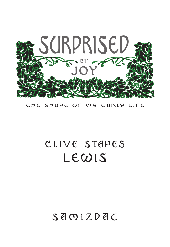

The Shape of my Early Life

## CLIVE STAPES LEWIS

SAMIZDAT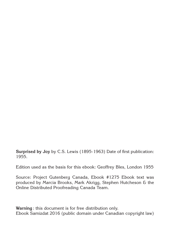**Surprised by Joy** by C.S. Lewis (1895-1963) Date of first publication: 1955.

Edition used as the basis for this ebook: Geoffrey Bles, London 1955

Source: [Project Gutenberg Canada](http://www.gutenberg.ca/), Ebook #1275 Ebook text was produced by Marcia Brooks, Mark Akrigg, Stephen Hutcheson & the Online Distributed Proofreading Canada Team.

**Warning** : this document is for free distribution only. [Ebook Samizdat](http://www.samizdat.qc.ca/Ebooks/) 2016 (public domain under [Canadian copyright law\)](http://laws-lois.justice.gc.ca/eng/acts/C-42/page-3.html#h-6)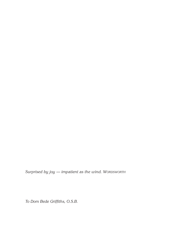$Surprised by joy - impatient as the wind. *WORDSWORTH*$ 

*To Dom Bede Griffiths, O.S.B.*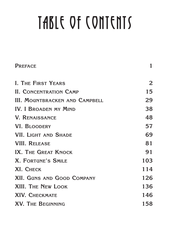# TABLE OF CONTENTS

| <b>PREFACE</b>                    | $\mathbf{1}$   |
|-----------------------------------|----------------|
| I. THE FIRST YEARS                | $\overline{2}$ |
| <b>II. CONCENTRATION CAMP</b>     | 15             |
| III. MOUNTBRACKEN AND CAMPBELL    | 29             |
| <b>IV. I BROADEN MY MIND</b>      | 38             |
| <b>V. RENAISSANCE</b>             | 48             |
| <b>VI. BLOODERY</b>               | 57             |
| <b>VII. LIGHT AND SHADE</b>       | 69             |
| <b>VIII. RELEASE</b>              | 81             |
| IX. THE GREAT KNOCK               | 91             |
| <b>X. FORTUNE'S SMILE</b>         | 103            |
| <b>XI. CHECK</b>                  | 114            |
| <b>XII. GUNS AND GOOD COMPANY</b> | 126            |
| <b>XIII. THE NEW LOOK</b>         | 136            |
| <b>XIV. CHECKMATE</b>             | 146            |
| <b>XV. THE BEGINNING</b>          | 158            |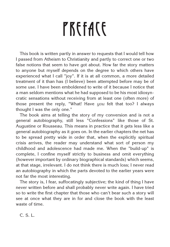# Preface

<span id="page-4-0"></span>This book is written partly in answer to requests that I would tell how I passed from Atheism to Christianity and partly to correct one or two false notions that seem to have got about. How far the story matters to anyone but myself depends on the degree to which others have experienced what I call "joy". If it is at all common, a more detailed treatment of it than has (I believe) been attempted before may be of some use. I have been emboldened to write of it because I notice that a man seldom mentions what he had supposed to be his most idiosyncratic sensations without receiving from at least one (often more) of those present the reply, "What! Have *you* felt that too? I always thought I was the only one."

The book aims at telling the story of my conversion and is not a general autobiography, still less "Confessions" like those of St. Augustine or Rousseau. This means in practice that it gets less like a general autobiography as it goes on. In the earlier chapters the net has to be spread pretty wide in order that, when the explicitly spiritual crisis arrives, the reader may understand what sort of person my childhood and adolescence had made me. When the "build-up" is complete, I confine myself strictly to business and omit everything (however important by ordinary biographical standards) which seems, at that stage, irrelevant. I do not think there is much loss; I never read an autobiography in which the parts devoted to the earlier years were not far the most interesting.

The story is, I fear, suffocatingly subjective; the kind of thing I have never written before and shall probably never write again. I have tried so to write the first chapter that those who can't bear such a story will see at once what they are in for and close the book with the least waste of time.

C. S. L.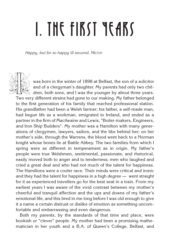# <span id="page-5-0"></span>I. The First Years

*Happy, but for so happy ill secured. Milton*



Was born in the winter of 1898 at Belfast, the son of a solicitor<br>and of a clergyman's daughter. My parents had only two chil-<br>dren, both sons, and I was the younger by about three years. and of a clergyman's daughter. My parents had only two children, both sons, and I was the younger by about three years.

Two very different strains had gone to our making. My father belonged to the first generation of his family that reached professional station. His grandfather had been a Welsh farmer; his father, a self-made man, had begun life as a workman, emigrated to Ireland, and ended as a partner in the firm of Macilwaine and Lewis, "Boiler-makers, Engineers, and Iron Ship Builders". My mother was a Hamilton with many generations of clergymen, lawyers, sailors, and the like behind her; on her mother's side, through the Warrens, the blood went back to a Norman knight whose bones lie at Battle Abbey. The two families from which I spring were as different in temperament as in origin. My father's people were true Welshmen, sentimental, passionate, and rhetorical, easily moved both to anger and to tenderness; men who laughed and cried a great deal and who had not much of the talent for happiness. The Hamiltons were a cooler race. Their minds were critical and ironic and they had the talent for happiness in a high degree — went straight for it as experienced travellers go for the best seat in a train. From my earliest years I was aware of the vivid contrast between my mother's cheerful and tranquil affection and the ups and downs of my father's emotional life, and this bred in me long before I was old enough to give it a name a certain distrust or dislike of emotion as something uncomfortable and embarrassing and even dangerous.

Both my parents, by the standards of that time and place, were bookish or "clever" people. My mother had been a promising mathematician in her youth and a B.A. of Queen's College, Belfast, and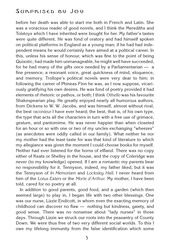before her death was able to start me both in French and Latin. She was a voracious reader of good novels, and I think the Merediths and Tolstoys which I have inherited were bought for her. My father's tastes were quite different. He was fond of oratory and had himself spoken on political platforms in England as a young man; if he had had independent means he would certainly have aimed at a political career. In this, unless his sense of honour, which was fine to the point of being Quixotic, had made him unmanageable, he might well have succeeded, for he had many of the gifts once needed by a Parliamentarian — a fine presence, a resonant voice, great quickness of mind, eloquence, and memory. Trollope's political novels were very dear to him; in following the career of Phineas Finn he was, as I now suppose, vicariously gratifying his own desires. He was fond of poetry provided it had elements of rhetoric or pathos, or both; I think *Othello* was his favourite Shakespearian play. He greatly enjoyed nearly all humorous authors, from Dickens to W. W. Jacobs, and was himself, almost without rival, the best *raconteur* I have ever heard; the best, that is, of his own type, the type that acts all the characters in turn with a free use of grimace, gesture, and pantomime. He was never happier than when closeted for an hour or so with one or two of my uncles exchanging "wheezes" (as anecdotes were oddly called in our family). What neither he nor my mother had the least taste for was that kind of literature to which my allegiance was given the moment I could choose books for myself. Neither had ever listened for the horns of elfland. There was no copy either of Keats or Shelley in the house, and the copy of Coleridge was never (to my knowledge) opened. If I am a romantic my parents bear no responsibility for it. Tennyson, indeed, my father liked, but it was the Tennyson of *In Memoriam* and *Locksley Hall*. I never heard from him of the *Lotus Eaters* or the *Morte d'Arthur*. My mother, I have been told, cared for no poetry at all.

In addition to good parents, good food, and a garden (which then seemed large) to play in, I began life with two other blessings. One was our nurse, Lizzie Endicott, in whom even the exacting memory of childhood can discover no flaw — nothing but kindness, gaiety, and good sense. There was no nonsense about "lady nurses" in those days. Through Lizzie we struck our roots into the peasantry of County Down. We were thus free of two very different social worlds. To this I owe my lifelong immunity from the false identification which some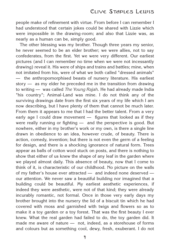people make of refinement with virtue. From before I can remember I had understood that certain jokes could be shared with Lizzie which were impossible in the drawing-room; and also that Lizzie was, as nearly as a human can be, simply good.

The other blessing was my brother. Though three years my senior, he never seemed to be an elder brother; we were allies, not to say confederates, from the first. Yet we were very different. Our earliest pictures (and I can remember no time when we were not incessantly drawing) reveal it. His were of ships and trains and battles; mine, when not imitated from his, were of what we both called "dressed animals" — the anthropomorphised beasts of nursery literature. His earliest story — as my elder he preceded me in the transition from drawing to writing — was called *The Young Rajah*. He had already made India "his country"; Animal-Land was mine. I do not think any of the surviving drawings date from the first six years of my life which I am now describing, but I have plenty of them that cannot be much later. From them it appears to me that I had the better talent. From a very early age I could draw movement — figures that looked as if they were really running or fighting — and the perspective is good. But nowhere, either in my brother's work or my own, is there a single line drawn in obedience to an idea, however crude, of beauty. There is action, comedy, invention; but there is not even the germ of a feeling for design, and there is a shocking ignorance of natural form. Trees appear as balls of cotton wool stuck on posts, and there is nothing to show that either of us knew the shape of any leaf in the garden where we played almost daily. This absence of beauty, now that I come to think of it, is characteristic of our childhood. No picture on the walls of my father's house ever attracted — and indeed none deserved our attention. We never saw a beautiful building nor imagined that a building could be beautiful. My earliest aesthetic experiences, if indeed they were aesthetic, were not of that kind; they were already incurably romantic, not formal. Once in those very early days my brother brought into the nursery the lid of a biscuit tin which he had covered with moss and garnished with twigs and flowers so as to make it a toy garden or a toy forest. That was the first beauty I ever knew. What the real garden had failed to do, the toy garden did. It made me aware of nature — not, indeed, as a storehouse of forms and colours but as something cool, dewy, fresh, exuberant. I do not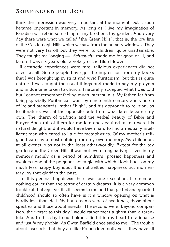think the impression was very important at the moment, but it soon became important in memory. As long as I live my imagination of Paradise will retain something of my brother's toy garden. And every day there were what we called "the Green Hills"; that is, the low line of the Castlereagh Hills which we saw from the nursery windows. They were not very far off but they were, to children, quite unattainable. They taught me longing — *Sehnsucht*; made me for good or ill, and before I was six years old, a votary of the Blue Flower.

If aesthetic experiences were rare, religious experiences did not occur at all. Some people have got the impression from my books that I was brought up in strict and vivid Puritanism, but this is quite untrue. I was taught the usual things and made to say my prayers and in due time taken to church. I naturally accepted what I was told but I cannot remember feeling much interest in it. My father, far from being specially Puritanical, was, by nineteenth-century and Church of Ireland standards, rather "high", and his approach to religion, as to literature, was at the opposite pole from what later became my own. The charm of tradition and the verbal beauty of Bible and Prayer Book (all of them for me late and acquired tastes) were his natural delight, and it would have been hard to find an equally intelligent man who cared so little for metaphysics. Of my mother's religion I can say almost nothing from my own memory. My childhood, at all events, was not in the least other-worldly. Except for the toy garden and the Green Hills it was not even imaginative; it lives in my memory mainly as a period of humdrum, prosaic happiness and awakes none of the poignant nostalgia with which I look back on my much less happy boyhood. It is not settled happiness but momentary joy that glorifies the past.

To this general happiness there was one exception. I remember nothing earlier than the terror of certain dreams. It is a very common trouble at that age, yet it still seems to me odd that petted and guarded childhood should so often have in it a window opening on what is hardly less than Hell. My bad dreams were of two kinds, those about spectres and those about insects. The second were, beyond comparison, the worse; to this day I would rather meet a ghost than a tarantula. And to this day I could almost find it in my heart to rationalise and justify my phobia. As Owen Barfield once said to me, "The trouble about insects is that they are like French locomotives — they have all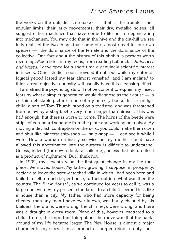the works on the outside." *The works* — that is the trouble. Their angular limbs, their jerky movements, their dry, metallic noises, all suggest either machines that have come to life or life degenerating into mechanism. You may add that in the hive and the ant-hill we see fully realised the two things that some of us most dread for our own species — the dominance of the female and the dominance of the collective. One fact about the history of this phobia is perhaps worth recording. Much later, in my teens, from reading Lubbock's *Ants, Bees and Wasps*, I developed for a short time a genuinely scientific interest in insects. Other studies soon crowded it out; but while my entomological period lasted my fear almost vanished, and I am inclined to think a real objective curiosity will usually have this cleansing effect.

I am afraid the psychologists will not be content to explain my insect fears by what a simpler generation would diagnose as their cause — a certain detestable picture in one of my nursery books. In it a midget child, a sort of Tom Thumb, stood on a toadstool and was threatened from below by a stag-beetle very much larger than himself. This was bad enough; but there is worse to come. The horns of the beetle were strips of cardboard separate from the plate and working on a pivot. By moving a devilish contraption on the *verso* you could make them open and shut like pincers: snip-snap — snip-snap — I can see it while I write. How a woman ordinarily so wise as my mother could have allowed this abomination into the nursery is difficult to understand. Unless, indeed (for now a doubt assails me), unless that picture itself is a product of nightmare. But I think not.

In 1905, my seventh year, the first great change in my life took place. We moved house. My father, growing, I suppose, in prosperity, decided to leave the semi-detached villa in which I had been born and build himself a much larger house, further out into what was then the country. The "New House", as we continued for years to call it, was a large one even by my present standards; to a child it seemed less like a house than a city. My father, who had more capacity for being cheated than any man I have ever known, was badly cheated by his builders; the drains were wrong, the chimneys were wrong, and there was a draught in every room. None of this, however, mattered to a child. To me, the important thing about the move was that the background of my life became larger. The New House is almost a major character in my story. I am a product of long corridors, empty sunlit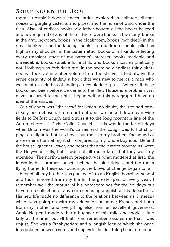rooms, upstair indoor silences, attics explored in solitude, distant noises of gurgling cisterns and pipes, and the noise of wind under the tiles. Also, of endless books. My father bought all the books he read and never got rid of any of them. There were books in the study, books in the drawing-room, books in the cloakroom, books (two deep) in the great bookcase on the landing, books in a bedroom, books piled as high as my shoulder in the cistern attic, books of all kinds reflecting every transient stage of my parents' interests, books readable and unreadable, books suitable for a child and books most emphatically not. Nothing was forbidden me. In the seemingly endless rainy afternoons I took volume after volume from the shelves. I had always the same certainty of finding a book that was new to me as a man who walks into a field has of finding a new blade of grass. Where all these books had been before we came to the New House is a problem that never occurred to me until I began writing this paragraph. I have no idea of the answer.

Out of doors was "the view" for which, no doubt, the site had principally been chosen. From our front door we looked down over wide fields to Belfast Lough and across it to the long mountain line of the Antrim shore — Divis, Colin, Cave Hill. This was in the far-off days when Britain was the world's carrier and the Lough was full of shipping; a delight to both us boys, but most to my brother. The sound of a steamer's horn at night still conjures up my whole boyhood. Behind the house, greener, lower, and nearer than the Antrim mountains, were the Holywood Hills, but it was not till much later that they won my attention. The north-western prospect was what mattered at first; the interminable summer sunsets behind the blue ridges, and the rooks flying home. In these surroundings the blows of change began to fall.

First of all, my brother was packed off to an English boarding-school and thus removed from my life for the greater part of every year. I remember well the rapture of his homecomings for the holidays but have no recollection of any corresponding anguish at his departures. His new life made no difference to the relations between us. I, meanwhile, was going on with my education at home; French and Latin from my mother and everything else from an excellent governess, Annie Harper. I made rather a bugbear of this mild and modest little lady at the time, but all that I can remember assures me that I was unjust. She was a Presbyterian; and a longish lecture which she once interpolated between sums and copies is the first thing I can remember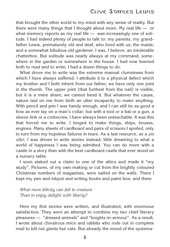that brought the other world to my mind with any sense of reality. But there were many things that I thought about more. My real life — or what memory reports as my real life — was increasingly one of solitude. I had indeed plenty of people to talk to: my parents, my grandfather Lewis, prematurely old and deaf, who lived with us; the maids; and a somewhat bibulous old gardener. I was, I believe, an intolerable chatterbox. But solitude was nearly always at my command, somewhere in the garden or somewhere in the house. I had now learned both to read and to write; I had a dozen things to do.

What drove me to write was the extreme manual clumsiness from which I have always suffered. I attribute it to a physical defect which my brother and I both inherit from our father; we have only one joint in the thumb. The upper joint (that furthest from the nail) is visible, but it is a mere sham; we cannot bend it. But whatever the cause, nature laid on me from birth an utter incapacity to make anything. With pencil and pen I was handy enough, and I can still tie as good a bow as ever lay on a man's collar; but with a tool or a bat or a gun, a sleeve-link or a corkscrew, I have always been unteachable. It was this that forced me to write. I longed to make things, ships, houses, engines. Many sheets of cardboard and pairs of scissors I spoiled, only to turn from my hopeless failures in tears. As a last resource, as a *pis aller*, I was driven to write stories instead; little dreaming to what a world of happiness I was being admitted. You can do more with a castle in a story than with the best cardboard castle that ever stood on a nursery table.

I soon staked out a claim to one of the attics and made it "my study". Pictures, of my own making or cut from the brightly coloured Christmas numbers of magazines, were nailed on the walls. There I kept my pen and inkpot and writing books and paint-box; and there

*What more felicity can fall to creature Than to enjoy delight with liberty?*

Here my first stories were written, and illustrated, with enormous satisfaction. They were an attempt to combine my two chief literary pleasures — "dressed animals" and "knights-in-armour". As a result, I wrote about chivalrous mice and rabbits who rode out in complete mail to kill not giants but cats. But already the mood of the systema-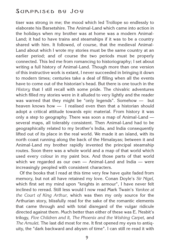tiser was strong in me; the mood which led Trollope so endlessly to elaborate his Barsetshire. The Animal-Land which came into action in the holidays when my brother was at home was a modern Animal-Land; it had to have trains and steamships if it was to be a country shared with him. It followed, of course, that the medieval Animal-Land about which I wrote my stories must be the same country at an earlier period; and of course the two periods must be properly connected. This led me from romancing to historiography; I set about writing a full history of Animal-Land. Though more than one version of this instructive work is extant, I never succeeded in bringing it down to modern times; centuries take a deal of filling when all the events have to come out of the historian's head. But there is one touch in the *History* that I still recall with some pride. The chivalric adventures which filled my stories were in it alluded to very lightly and the reader was warned that they might be "only legends". Somehow — but heaven knows how — I realised even then that a historian should adopt a critical attitude towards epic material. From history it was only a step to geography. There was soon a map of Animal-Land several maps, all tolerably consistent. Then Animal-Land had to be geographically related to my brother's India, and India consequently lifted out of its place in the real world. We made it an island, with its north coast running along the back of the Himalayas; between it and Animal-Land my brother rapidly invented the principal steamship routes. Soon there was a whole world and a map of that world which used every colour in my paint box. And those parts of that world which we regarded as our own — Animal-Land and India — were increasingly peopled with consistent characters.

Of the books that I read at this time very few have quite faded from memory, but not all have retained my love. Conan Doyle's *Sir Nigel*, which first set my mind upon "knights in armour", I have never felt inclined to reread. Still less would I now read Mark Twain's *Yankee at the Court of King Arthur*, which was then my only source for the Arthurian story, blissfully read for the sake of the romantic elements that came through and with total disregard of the vulgar ridicule directed against them. Much better than either of these was E. Nesbit's trilogy, *Five Children and It*, *The Phoenix and the Wishing Carpet*, and *The Amulet*. The last did most for me. It first opened my eyes to antiquity, the "dark backward and abysm of time". I can still re-read it with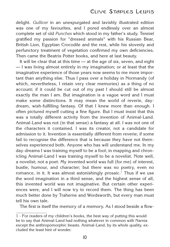delight. *Gulliver* in an unexpurgated and lavishly illustrated edition was one of my favourites, and I pored endlessly over an almost complete set of old *Punches* which stood in my father's study. Tenniel gratified my passion for "dressed animals" with his Russian Bear, British Lion, Egyptian Crocodile and the rest, while his slovenly and perfunctory treatment of vegetation confirmed my own deficiencies. Then came the Beatrix Potter books, and here at last beauty.

It will be clear that at this time — at the age of six, seven, and eight — I was living almost entirely in my imagination; or at least that the imaginative experience of those years now seems to me more important than anything else. Thus I pass over a holiday in Normandy (of which, nevertheless, I retain very clear memories) as a thing of no account; if it could be cut out of my past I should still be almost exactly the man I am. But imagination is a vague word and I must make some distinctions. It may mean the world of reverie, daydream, wish-fulfilling fantasy. Of that I knew more than enough. I often pictured myself cutting a fine figure. But I must insist that this was a totally different activity from the invention of Animal-Land. Animal-Land was not (in that sense) a fantasy at all. I was not one of the characters it contained. I was its creator, not a candidate for admission to it. Invention is essentially different from reverie; if some fail to recognise the difference that is because they have not themselves experienced both. Anyone who has will understand me. In my day-dreams I was training myself to be a fool; in mapping and chronicling Animal-Land I was training myself to be a novelist. Note well, a novelist; not a poet. My invented world was full (for me) of interest, bustle, humour, and character; but there was no poetry, even no romance, in it. It was almost astonishingly prosaic.<sup>1</sup> Thus if we use the word imagination in a third sense, and the highest sense of all, this invented world was not imaginative. But certain other experiences were, and I will now try to record them. The thing has been much better done by Traherne and Wordsworth, but every man must tell his own tale.

The first is itself the memory of a memory. As I stood beside a flow-

<sup>1 -</sup> For readers of my children's books, the best way of putting this would be to say that Animal-Land had nothing whatever in common with Narnia except the anthropomorphic beasts. Animal-Land, by its whole quality, excluded the least hint of wonder.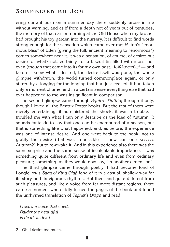ering currant bush on a summer day there suddenly arose in me without warning, and as if from a depth not of years but of centuries, the memory of that earlier morning at the Old House when my brother had brought his toy garden into the nursery. It is difficult to find words strong enough for the sensation which came over me; Milton's "enormous bliss" of Eden (giving the full, ancient meaning to "enormous") comes somewhere near it. It was a sensation, of course, of desire; but desire for what? not, certainly, for a biscuit-tin filled with moss, nor even (though that came into it) for my own past. Ioυλίανποθω<sup>2</sup> — and before I knew what I desired, the desire itself was gone, the whole glimpse withdrawn, the world turned commonplace again, or only stirred by a longing for the longing that had just ceased. It had taken only a moment of time; and in a certain sense everything else that had ever happened to me was insignificant in comparison.

The second glimpse came through *Squirrel Nutkin*; through it only, though I loved all the Beatrix Potter books. But the rest of them were merely entertaining; it administered the shock, it was a trouble. It troubled me with what I can only describe as the Idea of Autumn. It sounds fantastic to say that one can be enamoured of a season, but that is something like what happened; and, as before, the experience was one of intense desire. And one went back to the book, not to gratify the desire (that was impossible — how can one *possess* Autumn?) but to re-awake it. And in this experience also there was the same surprise and the same sense of incalculable importance. It was something quite different from ordinary life and even from ordinary pleasure; something, as they would now say, "in another dimension".

The third glimpse came through poetry. I had become fond of Longfellow's *Saga of King Olaf*: fond of it in a casual, shallow way for its story and its vigorous rhythms. But then, and quite different from such pleasures, and like a voice from far more distant regions, there came a moment when I idly turned the pages of the book and found the unrhymed translation of *Tegner's Drapa* and read

*I heard a voice that cried, Balder the beautiful Is dead, is dead ——* 

2 - Oh, I desire too much.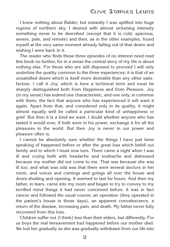I knew nothing about Balder; but instantly I was uplifted into huge regions of northern sky, I desired with almost sickening intensity something never to be described (except that it is cold, spacious, severe, pale, and remote) and then, as in the other examples, found myself at the very same moment already falling out of that desire and wishing I were back in it.

The reader who finds these three episodes of no interest need read this book no further, for in a sense the central story of my life is about nothing else. For those who are still disposed to proceed I will only underline the quality common to the three experiences; it is that of an unsatisfied desire which is itself more desirable than any other satisfaction. I call it Joy, which is here a technical term and must be sharply distinguished both from Happiness and from Pleasure. Joy (in my sense) has indeed one characteristic, and one only, in common with them; the fact that anyone who has experienced it will want it again. Apart from that, and considered only in its quality, it might almost equally well be called a particular kind of unhappiness or grief. But then it is a kind we want. I doubt whether anyone who has tasted it would ever, if both were in his power, exchange it for all the pleasures in the world. But then Joy is never in our power and pleasure often is.

I cannot be absolutely sure whether the things I have just been speaking of happened before or after the great loss which befell our family and to which I must now turn. There came a night when I was ill and crying both with headache and toothache and distressed because my mother did not come to me. That was because she was ill too; and what was odd was that there were several doctors in her room, and voices and comings and goings all over the house and doors shutting and opening. It seemed to last for hours. And then my father, in tears, came into my room and began to try to convey to my terrified mind things it had never conceived before. It was in fact cancer and followed the usual course; an operation (they operated in the patient's house in those days), an apparent convalescence, a return of the disease, increasing pain, and death. My father never fully recovered from this loss.

Children suffer not (I think) less than their elders, but differently. For us boys the real bereavement had happened before our mother died. We lost her gradually as she was gradually withdrawn from our life into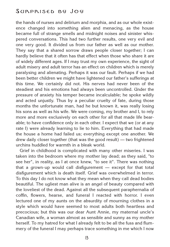the hands of nurses and delirium and morphia, and as our whole existence changed into something alien and menacing, as the house became full of strange smells and midnight noises and sinister whispered conversations. This had two further results, one very evil and one very good. It divided us from our father as well as our mother. They say that a shared sorrow draws people closer together; I can hardly believe that it often has that effect when those who share it are of widely different ages. If I may trust my own experience, the sight of adult misery and adult terror has an effect on children which is merely paralysing and alienating. Perhaps it was our fault. Perhaps if we had been better children we might have lightened our father's sufferings at this time. We certainly did not. His nerves had never been of the steadiest and his emotions had always been uncontrolled. Under the pressure of anxiety his temper became incalculable; he spoke wildly and acted unjustly. Thus by a peculiar cruelty of fate, during those months the unfortunate man, had he but known it, was really losing his sons as well as his wife. We were coming, my brother and I, to rely more and more exclusively on each other for all that made life bearable; to have confidence only in each other. I expect that we (or at any rate I) were already learning to lie to him. Everything that had made the house a home had failed us; everything except one another. We drew daily closer together (that was the good result) — two frightened urchins huddled for warmth in a bleak world.

Grief in childhood is complicated with many other miseries. I was taken into the bedroom where my mother lay dead; as they said, "to see her", in reality, as I at once knew, "to see it". There was nothing that a grown-up would call disfigurement — except for that total disfigurement which is death itself. Grief was overwhelmed in terror. To this day I do not know what they mean when they call dead bodies beautiful. The ugliest man alive is an angel of beauty compared with the loveliest of the dead. Against all the subsequent paraphernalia of coffin, flowers, hearse, and funeral I reacted with horror. I even lectured one of my aunts on the absurdity of mourning clothes in a style which would have seemed to most adults both heartless and precocious; but this was our dear Aunt Annie, my maternal uncle's Canadian wife, a woman almost as sensible and sunny as my mother herself. To my hatred for what I already felt to be all the fuss and flummery of the funeral I may perhaps trace something in me which I now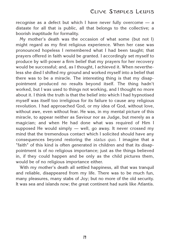recognise as a defect but which I have never fully overcome — a distaste for all that is public, all that belongs to the collective; a boorish inaptitude for formality.

My mother's death was the occasion of what some (but not I) might regard as my first religious experience. When her case was pronounced hopeless I remembered what I had been taught; that prayers offered in faith would be granted. I accordingly set myself to produce by will-power a firm belief that my prayers for her recovery would be successful; and, as I thought, I achieved it. When nevertheless she died I shifted my ground and worked myself into a belief that there was to be a miracle. The interesting thing is that my disappointment produced no results beyond itself. The thing hadn't worked, but I was used to things not working, and I thought no more about it. I think the truth is that the belief into which I had hypnotised myself was itself too irreligious for its failure to cause any religious revolution. I had approached God, or my idea of God, without love, without awe, even without fear. He was, in my mental picture of this miracle, to appear neither as Saviour nor as Judge, but merely as a magician; and when He had done what was required of Him I supposed He would simply — well, go away. It never crossed my mind that the tremendous contact which I solicited should have any consequences beyond restoring the *status quo*. I imagine that a "faith" of this kind is often generated in children and that its disappointment is of no religious importance; just as the things believed in, if they could happen and be only as the child pictures them, would be of no religious importance either.

With my mother's death all settled happiness, all that was tranquil and reliable, disappeared from my life. There was to be much fun, many pleasures, many stabs of Joy; but no more of the old security. It was sea and islands now; the great continent had sunk like Atlantis.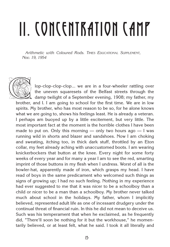# <span id="page-18-0"></span>II. CONCENTRATION CAMP

*Arithmetic with Coloured Rods. Times Educational Supplement, Nov. 19, 1954*



lop-clop-clop-clop... we are in a four-wheeler rattling over the uneven squaresets of the Belfast streets through the damp twilight of a September evening, 1908; my father, my brother, and I. I am going to school for the first time. We are in low spirits. My brother, who has most reason to be so, for he alone knows what we are going to, shows his feelings least. He is already a veteran. I perhaps am buoyed up by a little excitement, but very little. The most important fact at the moment is the horrible clothes I have been made to put on. Only this morning  $-$  only two hours ago  $-1$  was running wild in shorts and blazer and sandshoes. Now I am choking and sweating, itching too, in thick dark stuff, throttled by an Eton collar, my feet already aching with unaccustomed boots. I am wearing knickerbockers that button at the knee. Every night for some forty weeks of every year and for many a year I am to see the red, smarting imprint of those buttons in my flesh when I undress. Worst of all is the bowler-hat, apparently made of iron, which grasps my head. I have read of boys in the same predicament who welcomed such things as signs of growing up; I had no such feeling. Nothing in my experience had ever suggested to me that it was nicer to be a schoolboy than a child or nicer to be a man than a schoolboy. My brother never talked much about school in the holidays. My father, whom I implicitly believed, represented adult life as one of incessant drudgery under the continual threat of financial ruin. In this he did not mean to deceive us. Such was his temperament that when he exclaimed, as he frequently did, "There'll soon be nothing for it but the workhouse," he momentarily believed, or at least felt, what he said. I took it all literally and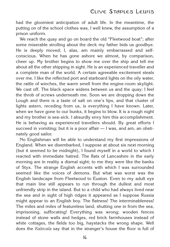had the gloomiest anticipation of adult life. In the meantime, the putting on of the school clothes was, I well knew, the assumption of a prison uniform.

We reach the quay and go on board the old "Fleetwood boat"; after some miserable strolling about the deck my father bids us goodbye. He is deeply moved; I, alas, am mainly embarrassed and selfconscious. When he has gone ashore we almost, by comparison, cheer up. My brother begins to show me over the ship and tell me about all the other shipping in sight. He is an experienced traveller and a complete man of the world. A certain agreeable excitement steals over me. I like the reflected port and starboard lights on the oily water, the rattle of winches, the warm smell from the engine-room skylight. We cast off. The black space widens between us and the quay; I feel the throb of screws underneath me. Soon we are dropping down the Lough and there is a taste of salt on one's lips, and that cluster of lights astern, receding from us, is everything I have known. Later, when we have gone to our bunks, it begins to blow. It is a rough night and my brother is sea-sick. I absurdly envy him this accomplishment. He is behaving as experienced travellers should. By great efforts I succeed in vomiting; but it is a poor affair — I was, and am, an obstinately good sailor.

No Englishman will be able to understand my first impressions of England. When we disembarked, I suppose at about six next morning (but it seemed to be midnight), I found myself in a world to which I reacted with immediate hatred. The flats of Lancashire in the early morning are in reality a dismal sight; to me they were like the banks of Styx. The strange English accents with which I was surrounded seemed like the voices of demons. But what was worst was the English landscape from Fleetwood to Euston. Even to my adult eye that main line still appears to run through the dullest and most unfriendly strip in the island. But to a child who had always lived near the sea and in sight of high ridges it appeared as I suppose Russia might appear to an English boy. The flatness! The interminableness! The miles and miles of featureless land, shutting one in from the sea, imprisoning, suffocating! Everything was wrong; wooden fences instead of stone walls and hedges, red brick farmhouses instead of white cottages, the fields too big, haystacks the wrong shape. Well does the *Kalevala* say that in the stranger's house the floor is full of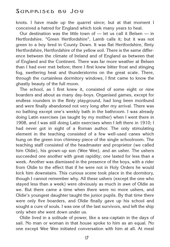knots. I have made up the quarrel since; but at that moment I conceived a hatred for England which took many years to heal.

Our destination was the little town of  $-$  let us call it Belsen  $-$  in Hertfordshire. "Green Hertfordshire", Lamb calls it; but it was not green to a boy bred in County Down. It was flat Hertfordshire, flinty Hertfordshire, Hertfordshire of the yellow soil. There is the same difference between the climate of Ireland and of England as between that of England and the Continent. There was far more weather at Belsen than I had ever met before; there I first knew bitter frost and stinging fog, sweltering heat and thunderstorms on the great scale. There, through the curtainless dormitory windows, I first came to know the ghastly beauty of the full moon.

The school, as I first knew it, consisted of some eight or nine boarders and about as many day-boys. Organised games, except for endless rounders in the flinty playground, had long been moribund and were finally abandoned not very long after my arrival. There was no bathing except one's weekly bath in the bathroom. I was already doing Latin exercises (as taught by my mother) when I went there in 1908, and I was still doing Latin exercises when I left there in 1910; I had never got in sight of a Roman author. The only stimulating element in the teaching consisted of a few well-used canes which hung on the green iron chimney-piece of the single schoolroom. The teaching staff consisted of the headmaster and proprietor (we called him Oldie), his grown-up son (Wee Wee), and an usher. The ushers succeeded one another with great rapidity; one lasted for less than a week. Another was dismissed in the presence of the boys, with a rider from Oldie to the effect that if he were not in Holy Orders he would kick him downstairs. This curious scene took place in the dormitory, though I cannot remember why. All these ushers (except the one who stayed less than a week) were obviously as much in awe of Oldie as we. But there came a time when there were no more ushers, and Oldie's youngest daughter taught the junior pupils. By that time there were only five boarders, and Oldie finally gave up his school and sought a cure of souls. I was one of the last survivors, and left the ship only when she went down under us.

Oldie lived in a solitude of power, like a sea-captain in the days of sail. No man or woman in that house spoke to him as an equal. No one except Wee Wee initiated conversation with him at all. At meal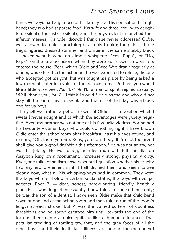times we boys had a glimpse of his family life. His son sat on his right hand; they two had separate food. His wife and three grown-up daughters (silent), the usher (silent), and the boys (silent) munched their inferior messes. His wife, though I think she never addressed Oldie, was allowed to make something of a reply to him; the girls — three tragic figures, dressed summer and winter in the same shabby black — never went beyond an almost whispered "Yes, Papa", or "No, Papa", on the rare occasions when they were addressed. Few visitors entered the house. Beer, which Oldie and Wee Wee drank regularly at dinner, was offered to the usher but he was expected to refuse; the one who accepted got his pint, but was taught his place by being asked a few moments later in a voice of thunderous irony, "Perhaps you would like a little *more* beer, Mr. N.?" Mr. N., a man of spirit, replied casually, "Well, thank you, Mr. C., I think I would." He was the one who did not stay till the end of his first week; and the rest of that day was a black one for us boys.

I myself was rather a pet or mascot of Oldie's — a position which I swear I never sought and of which the advantages were purely negative. Even my brother was not one of his favourite victims. For he had his favourite victims, boys who could do nothing right. I have known Oldie enter the schoolroom after breakfast, cast his eyes round, and remark, "Oh, there you are, Rees, you horrid boy. If I'm not too tired I shall give you a good drubbing this afternoon." He was not angry, nor was he joking. He was a big, bearded man with full lips like an Assyrian king on a monument, immensely strong, physically dirty. Everyone talks of sadism nowadays but I question whether his cruelty had any erotic element in it. I half divined then, and seem to see clearly now, what all his whipping-boys had in common. They were the boys who fell below a certain social status, the boys with vulgar accents. Poor P. — dear, honest, hard-working, friendly, healthily pious P. — was flogged incessantly, I now think, for one offence only; he was the son of a dentist. I have seen Oldie make that child bend down at one end of the schoolroom and then take a run of the room's length at each stroke; but P. was the trained sufferer of countless thrashings and no sound escaped him until, towards the end of the torture, there came a noise quite unlike a human utterance. That peculiar croaking or rattling cry, that, and the grey faces of all the other boys, and their deathlike stillness, are among the memories I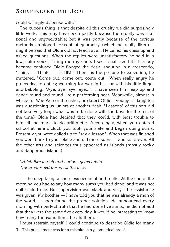could willingly dispense with.<sup>3</sup>

The curious thing is that despite all this cruelty we did surprisingly little work. This may have been partly because the cruelty was irrational and unpredictable; but it was partly because of the curious methods employed. Except at geometry (which he really liked) it might be said that Oldie did not teach at all. He called his class up and asked questions. When the replies were unsatisfactory he said in a low, calm voice, "Bring me my cane. I see I shall need it." If a boy became confused Oldie flogged the desk, shouting in a crescendo, "Think — Think — THINK!!" Then, as the prelude to execution, he muttered, "Come out, come out, come out." When really angry he proceeded to antics; worming for wax in his ear with his little finger and babbling, "Aye, aye, aye, aye...". I have seen him leap up and dance round and round like a performing bear. Meanwhile, almost in whispers, Wee Wee or the usher, or (later) Oldie's youngest daughter, was questioning us juniors at another desk. "Lessons" of this sort did not take very long; what was to be done with the boys for the rest of the time? Oldie had decided that they could, with least trouble to himself, be made to do arithmetic. Accordingly, when you entered school at nine o'clock you took your slate and began doing sums. Presently you were called up to "say a lesson". When that was finished you went back to your place and did more sums — and so forever. All the other arts and sciences thus appeared as islands (mostly rocky and dangerous islands)

*Which like to rich and various gems inlaid The unadorned bosom of the deep*

 — the deep being a shoreless ocean of arithmetic. At the end of the morning you had to say how many sums you had done; and it was not quite safe to lie. But supervision was slack and very little assistance was given. My brother — I have told you that he was already a man of the world — soon found the proper solution. He announced every morning with perfect truth that he had done five sums; he did not add that they were the same five every day. It would be interesting to know how many thousand times he did them.

I must restrain myself. I could continue to describe Oldie for many 3 - This punishment was for a mistake in a geometrical proof.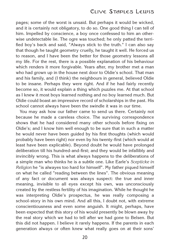pages; some of the worst is unsaid. But perhaps it would be wicked, and it is certainly not obligatory, to do so. One good thing I can tell of him. Impelled by conscience, a boy once confessed to him an otherwise undetectable lie. The ogre was touched; he only patted the terrified boy's back and said, "Always stick to the truth." I can also say that though he taught geometry cruelly, he taught it well. He forced us to reason, and I have been the better for those geometry lessons all my life. For the rest, there is a possible explanation of his behaviour which renders it more forgivable. Years after, my brother met a man who had grown up in the house next door to Oldie's school. That man and his family, and (I think) the neighbours in general, believed Oldie to be insane. Perhaps they were right. And if he had fairly recently become so, it would explain a thing which puzzles me. At that school as I knew it most boys learned nothing and no boy learned much. But Oldie could boast an impressive record of scholarships in the past. His school cannot always have been the swindle it was in our time.

You may ask how our father came to send us there. Certainly not because he made a careless choice. The surviving correspondence shows that he had considered many other schools before fixing on Oldie's; and I know him well enough to be sure that in such a matter he would never have been guided by his first thoughts (which would probably have been right) nor even by his twenty-first (which would at least have been explicable). Beyond doubt he would have prolonged deliberation till his hundred-and-first; and they would be infallibly and invincibly wrong. This is what always happens to the deliberations of a simple man who thinks he is a subtle one. Like Earle's *Scepticke in Religion* he "is alwayes too hard for himself". My father piqued himself on what he called "reading between the lines". The obvious meaning of any fact or document was always suspect: the true and inner meaning, invisible to all eyes except his own, was unconsciously created by the restless fertility of his imagination. While he thought he was interpreting Oldie's prospectus, he was really composing a school-story in his own mind. And all this, I doubt not, with extreme conscientiousness and even some anguish. It might, perhaps, have been expected that this story of his would presently be blown away by the real story which we had to tell after we had gone to Belsen. But this did not happen. I believe it rarely happens. If the parents in each generation always or often knew what really goes on at their sons'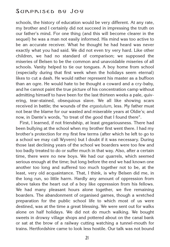schools, the history of education would be very different. At any rate, my brother and I certainly did not succeed in impressing the truth on our father's mind. For one thing (and this will become clearer in the sequel) he was a man not easily informed. His mind was too active to be an accurate receiver. What he thought he had heard was never exactly what you had said. We did not even try very hard. Like other children, we had no standard of comparison; we supposed the miseries of Belsen to be the common and unavoidable miseries of all schools. Vanity helped to tie our tongues. A boy home from school (especially during that first week when the holidays seem eternal) likes to cut a dash. He would rather represent his master as a buffoon than an ogre. He would hate to be thought a coward and a cry-baby, and he cannot paint the true picture of his concentration camp without admitting himself to have been for the last thirteen weeks a pale, quivering, tear-stained, obsequious slave. We all like showing scars received in battle; the wounds of the *ergastulum*, less. My father must not bear the blame for our wasted and miserable years at Oldie's; and now, in Dante's words, "to treat of the good that I found there".

First, I learned, if not friendship, at least gregariousness. There had been bullying at the school when my brother first went there. I had my brother's protection for my first few terms (after which he left to go to a school we may call Wyvern) but I doubt if it was necessary. During those last declining years of the school we boarders were too few and too badly treated to do or suffer much in that way. Also, after a certain time, there were no new boys. We had our quarrels, which seemed serious enough at the time; but long before the end we had known one another too long and suffered too much together not to be, at the least, very old acquaintance. That, I think, is why Belsen did me, in the long run, so little harm. Hardly any amount of oppression from above takes the heart out of a boy like oppression from his fellows. We had many pleasant hours alone together, we five remaining boarders. The abandonment of organised games, though a wretched preparation for the public school life to which most of us were destined, was at the time a great blessing. We were sent out for walks alone on half holidays. We did not do much walking. We bought sweets in drowsy village shops and pottered about on the canal bank or sat at the brow of a railway cutting watching a tunnel-mouth for trains. Hertfordshire came to look less hostile. Our talk was not bound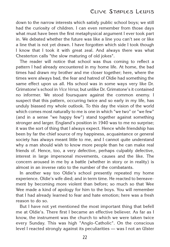down to the narrow interests which satisfy public school boys; we still had the curiosity of children. I can even remember from those days what must have been the first metaphysical argument I ever took part in. We debated whether the future was like a line you can't see or like a line that is not yet drawn. I have forgotten which side I took though I know that I took it with great zeal. And always there was what Chesterton calls "the slow maturing of old jokes".

The reader will notice that school was thus coming to reflect a pattern I had already encountered in my home life. At home, the bad times had drawn my brother and me closer together; here, where the times were always bad, the fear and hatred of Oldie had something the same effect upon us all. His school was in some ways very like Dr. Grimstone's school in *Vice Versa*; but unlike Dr. Grimstone's it contained no informer. We stood foursquare against the common enemy. I suspect that this pattern, occurring twice and so early in my life, has unduly biassed my whole outlook. To this day the vision of the world which comes most naturally to me is one in which "we two" or "we few" (and in a sense "we happy few") stand together against something stronger and larger. England's position in 1940 was to me no surprise; it was the sort of thing that I always expect. Hence while friendship has been by far the chief source of my happiness, acquaintance or general society has always meant little to me, and I cannot quite understand why a man should wish to know more people than he can make real friends of. Hence, too, a very defective, perhaps culpably defective, interest in large impersonal movements, causes and the like. The concern aroused in me by a battle (whether in story or in reality) is almost in an inverse ratio to the number of the combatants.

In another way too Oldie's school presently repeated my home experience. Oldie's wife died; and in term time. He reacted to bereavement by becoming more violent than before; so much so that Wee Wee made a kind of apology for him to the boys. You will remember that I had already learned to fear and hate emotion; here was a fresh reason to do so.

But I have not yet mentioned the most important thing that befell me at Oldie's. There first I became an effective believer. As far as I know, the instrument was the church to which we were taken twice every Sunday. This was high "Anglo-Catholic". On the conscious level I reacted strongly against its peculiarities — was I not an Ulster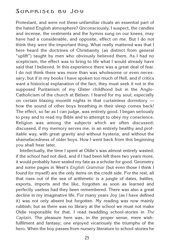Protestant, and were not these unfamiliar rituals an essential part of the hated English atmosphere? Unconsciously, I suspect, the candles and incense, the vestments and the hymns sung on our knees, may have had a considerable, and opposite, effect on me. But I do not think they were the important thing. What really mattered was that I here heard the doctrines of Christianity (as distinct from general "uplift") taught by men who obviously believed them. As I had no scepticism, the effect was to bring to life what I would already have said that I believed. In this experience there was a great deal of fear. I do not think there was more than was wholesome or even necessary; but if in my books I have spoken too much of Hell, and if critics want a historical explanation of the fact, they must seek it not in the supposed Puritanism of my Ulster childhood but in the Anglo-Catholicism of the church at Belsen. I feared for my soul; especially on certain blazing moonlit nights in that curtainless dormitory how the sound of other boys breathing in their sleep comes back! The effect, so far as I can judge, was entirely good. I began seriously to pray and to read my Bible and to attempt to obey my conscience. Religion was among the subjects which we often discussed; discussed, if my memory serves me, in an entirely healthy and profitable way, with great gravity and without hysteria, and without the shamefacedness of older boys. How I went back from this beginning you shall hear later.

Intellectually, the time I spent at Oldie's was almost entirely wasted; if the school had not died, and if I had been left there two years more, it would probably have sealed my fate as a scholar for good. Geometry and some pages in West's *English Grammar* (but even those I think I found for myself) are the only items on the credit side. For the rest, all that rises out of the sea of arithmetic is a jungle of dates, battles, exports, imports and the like, forgotten as soon as learned and perfectly useless had they been remembered. There was also a great decline in my imaginative life. For many years Joy (as I have defined it) was not only absent but forgotten. My reading was now mainly rubbish; but as there was no library at the school we must not make Oldie responsible for that. I read twaddling school-stories in *The Captain*. The pleasure here was, in the proper sense, mere wishfulfilment and fantasy; one enjoyed vicariously the triumphs of the hero. When the boy passes from nursery literature to school-stories he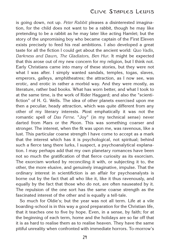is going down, not up. *Peter Rabbit* pleases a disinterested imagination, for the child does not want to be a rabbit, though he may like pretending to be a rabbit as he may later like acting Hamlet; but the story of the unpromising boy who became captain of the First Eleven exists precisely to feed his real ambitions. I also developed a great taste for all the fiction I could get about the ancient world: *Quo Vadis*, *Darkness and Dawn*, *The Gladiators*, *Ben Hur*. It might be expected that this arose out of my new concern for my religion, but I think not. Early Christians came into many of these stories, but they were not what I was after. I simply wanted sandals, temples, togas, slaves, emperors, galleys, amphitheatres; the attraction, as I now see, was erotic, and erotic in rather a morbid way. And they were mostly, as literature, rather bad books. What has worn better, and what I took to at the same time, is the work of Rider Haggard; and also the "scientifiction" of H. G. Wells. The idea of other planets exercised upon me then a peculiar, heady attraction, which was quite different from any other of my literary interests. Most emphatically it was not the romantic spell of *Das Ferne*. "Joy" (in my technical sense) never darted from Mars or the Moon. This was something coarser and stronger. The interest, when the fit was upon me, was ravenous, like a lust. This particular coarse strength I have come to accept as a mark that the interest which has it is psychological, not spiritual; behind such a fierce tang there lurks, I suspect, a psychoanalytical explanation. I may perhaps add that my own planetary romances have been not so much the gratification of that fierce curiosity as its exorcism. The exorcism worked by reconciling it with, or subjecting it to, the other, the more elusive, and genuinely imaginative, impulse. That the ordinary interest in scientifiction is an affair for psychoanalysts is borne out by the fact that all who like it, like it thus ravenously, and equally by the fact that those who do not, are often nauseated by it. The repulsion of the one sort has the same coarse strength as the fascinated interest of the other and is equally a tell-tale.

So much for Oldie's; but the year was not all term. Life at a vile boarding-school is in this way a good preparation for the Christian life, that it teaches one to five by hope. Even, in a sense, by faith; for at the beginning of each term, home and the holidays are so far off that it is as hard to realise them as to realise heaven. They have the same pitiful unreality when confronted with immediate horrors. To-morrow's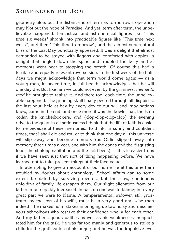geometry blots out the distant end of term as to-morrow's operation may blot out the hope of Paradise. And yet, term after term, the unbelievable happened. Fantastical and astronomical figures like "This time six weeks" shrank into practicable figures like "This time next week", and then "This time to-morrow", and the almost supernatural bliss of the Last Day punctually appeared. It was a delight that almost demanded to be stayed with flagons and comforted with apples; a delight that tingled down the spine and troubled the belly and at moments went near to stopping the breath. Of course this had a terrible and equally relevant reverse side. In the first week of the holidays we might acknowledge that term would come again — as a young man, in peace time, in full health, acknowledges that he will one day die. But like him we could not even by the grimmest *memento mori* be brought to realise it. And there too, each time, the unbelievable happened. The grinning skull finally peered through all disguises; the last hour, held at bay by every device our will and imaginations knew, came in the end, and once more it was the bowler-hat, the Eton collar, the knickerbockers, and (clop-clop-clop-clop) the evening drive to the quay. In all seriousness I think that the life of faith is easier to me because of these memories. To think, in sunny and confident times, that I shall die and rot, or to think that one day all this universe will slip away and become memory (as Oldie slipped away into memory three times a year, and with him the canes and the disgusting food, the stinking sanitation and the cold beds) — this is easier to us if we have seen just that sort of thing happening before. We have learned not to take present things at their face value.

In attempting to give an account of our home life at this time I am troubled by doubts about chronology. School affairs can to some extent be dated by surviving records, but the slow, continuous unfolding of family life escapes them. Our slight alienation from our father imperceptibly increased. In part no one was to blame; in a very great part we were to blame. A temperamental widower, still prostrated by the loss of his wife, must be a very good and wise man indeed if he makes no mistakes in bringing up two noisy and mischievous schoolboys who reserve their confidence wholly for each other. And my father's good qualities as well as his weaknesses incapacitated him for the task. He was far too manly and generous to strike a child for the gratification of his anger; and he was too impulsive ever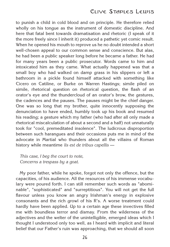to punish a child in cold blood and on principle. He therefore relied wholly on his tongue as the instrument of domestic discipline. And here that fatal bent towards dramatisation and rhetoric (I speak of it the more freely since I inherit it) produced a pathetic yet comic result. When he opened his mouth to reprove us he no doubt intended a short well-chosen appeal to our common sense and conscience. But alas, he had been a public speaker long before he became a father. He had for many years been a public prosecutor. Words came to him and intoxicated him as they came. What actually happened was that a small boy who had walked on damp grass in his slippers or left a bathroom in a pickle found himself attacked with something like Cicero on Catiline, or Burke on Warren Hastings; simile piled on simile, rhetorical question on rhetorical question, the flash of an orator's eye and the thundercloud of an orator's brow, the gestures, the cadences and the pauses. The pauses might be the chief danger. One was so long that my brother, quite innocently supposing the denunciation to have ended, humbly took up his book and resumed his reading; a gesture which my father (who had after all only made a rhetorical miscalculation of about a second and a half) not unnaturally took for "cool, premeditated insolence". The ludicrous disproportion between such harangues and their occasions puts me in mind of the advocate in Martial who thunders about all the villains of Roman history while meantime *lis est de tribus capellis* —

*This case, I beg the court to note, Concerns a trespass by a goat.*

My poor father, while he spoke, forgot not only the offence, but the capacities, of his audience. All the resources of his immense vocabulary were poured forth. I can still remember such words as "abominable", "sophisticated" and "surreptitious". You will not get the full flavour unless you know an angry Irishman's energy in explosive consonants and the rich growl of his R's. A worse treatment could hardly have been applied. Up to a certain age these invectives filled me with boundless terror and dismay. From the wilderness of the adjectives and the welter of the unintelligible, emerged ideas which I thought I understood only too well, as I heard with implicit and literal belief that our Father's ruin was approaching, that we should all soon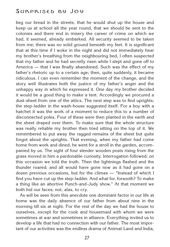beg our bread in the streets, that he would shut up the house and keep us at school all the year round, that we should be sent to the colonies and there end in misery the career of crime on which we had, it seemed, already embarked. All security seemed to be taken from me; there was no solid ground beneath my feet. It is significant that at this time if I woke in the night and did not immediately hear my brother's breathing from the neighbouring bed, I often suspected that my father and he had secretly risen while I slept and gone off to America — that I was finally abandoned. Such was the effect of my father's rhetoric up to a certain age; then, quite suddenly, it became ridiculous. I can even remember the moment of the change, and the story well illustrates both the justice of my father's anger and the unhappy way in which he expressed it. One day my brother decided it would be a good thing to make a tent. Accordingly we procured a dust-sheet from one of the attics. The next step was to find uprights; the step-ladder in the wash-house suggested itself. For a boy with a hatchet it was the work of a moment to reduce this to a number of disconnected poles. Four of these were then planted in the earth and the sheet draped over them. To make sure that the whole structure was really reliable my brother then tried sitting on the top of it. We remembered to put away the ragged remains of the sheet but quite forgot about the uprights. That evening, when my father had come home from work and dined, he went for a stroll in the garden, accompanied by us. The sight of four slender wooden posts rising from the grass moved in him a pardonable curiosity. Interrogation followed; on this occasion we told the truth. Then the lightnings flashed and the thunder roared; and all would have gone now as it had gone on a dozen previous occasions, but for the climax — "Instead of which I find you have cut up the step-ladder. And what for, forsooth? To make a thing like an abortive Punch-and-Judy show." At that moment we both hid our faces; not, alas, to cry.

As will be seen from this anecdote one dominant factor in our life at home was the daily absence of our father from about nine in the morning till six at night. For the rest of the day we had the house to ourselves, except for the cook and housemaid with whom we were sometimes at war and sometimes in alliance. Everything invited us to develop a life that had no connection with our father. The most important of our activities was the endless drama of Animal-Land and India,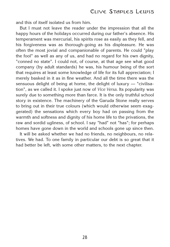and this of itself isolated us from him.

But I must not leave the reader under the impression that all the happy hours of the holidays occurred during our father's absence. His temperament was mercurial, his spirits rose as easily as they fell, and his forgiveness was as thorough-going as his displeasure. He was often the most jovial and companionable of parents. He could "play the fool" as well as any of us, and had no regard for his own dignity, "conned no state". I could not, of course, at that age see what good company (by adult standards) he was, his humour being of the sort that requires at least some knowledge of life for its full appreciation; I merely basked in it as in fine weather. And all the time there was the sensuous delight of being at home, the delight of luxury — "civilisation", as we called it. I spoke just now of *Vice Versa*. Its popularity was surely due to something more than farce. It is the only truthful school story in existence. The machinery of the Garuda Stone really serves to bring out in their true colours (which would otherwise seem exaggerated) the sensations which every boy had on passing from the warmth and softness and dignity of his home life to the privations, the raw and sordid ugliness, of school. I say "had" not "has"; for perhaps homes have gone down in the world and schools gone up since then.

It will be asked whether we had no friends, no neighbours, no relatives. We had. To one family in particular our debt is so great that it had better be left, with some other matters, to the next chapter.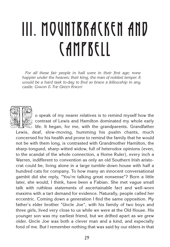# <span id="page-32-0"></span>III. MOUNTBRACKEN AND CAMPBELL

*For all these fair people in hall were in their first age; none happier under the heaven; their king, the man of noblest temper. It would be a hard task to-day to find so brave a fellowship in any castle. Gawain & The Green Knight*



o speak of my nearer relatives is to remind myself how the contrast of Lewis and Hamilton dominated my whole early life. It began, for me, with the grandparents. Grandfather

Lewis, deaf, slow-moving, humming his psalm chants, much concerned for his health and prone to remind the family that he would not be with them long, is contrasted with Grandmother Hamilton, the sharp-tongued, sharp-witted widow, full of heterodox opinions (even, to the scandal of the whole connection, a Home Ruler), every inch a Warren, indifferent to convention as only an old Southern Irish aristocrat could be, living alone in a large tumble-down house with half a hundred cats for company. To how many an innocent conversational gambit did she reply, "You're talking great nonsense"? Born a little later, she would, I think, have been a Fabian. She met vague small talk with ruthless statements of ascertainable fact and well-worn maxims with a tart demand for evidence. Naturally, people called her eccentric. Coming down a generation I find the same opposition. My father's elder brother "Uncle Joe", with his family of two boys and three girls, lived very close to us while we were at the Old House. His younger son was my earliest friend, but we drifted apart as we grew older. Uncle Joe was both a clever man and a kind, and especially fond of me. But I remember nothing that was said by our elders in that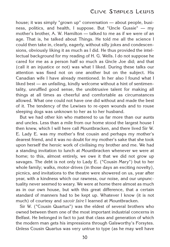house; it was simply "grown up" conversation — about people, business, politics, and health, I suppose. But "Uncle Gussie" — my mother's brother, A. W. Hamilton — talked to me as if we were of an age. That is, he talked about Things. He told me all the science I could then take in, clearly, eagerly, without silly jokes and condescensions, obviously liking it as much as I did. He thus provided the intellectual background for my reading of H. G. Wells. I do not suppose he cared for me as a person half so much as Uncle Joe did; and that (call it an injustice or not) was what I liked. During these talks our attention was fixed not on one another but on the subject. His Canadian wife I have already mentioned. In her also I found what I liked best — an unfailing, kindly welcome without a hint of sentimentality, unruffled good sense, the unobtrusive talent for making all things at all times as cheerful and comfortable as circumstances allowed. What one could not have one did without and made the best of it. The tendency of the Lewises to re-open wounds and to rouse sleeping dogs was unknown to her as to her husband.

But we had other kin who mattered to us far more than our aunts and uncles. Less than a mile from our home stood the largest house I then knew, which I will here call Mountbracken, and there lived Sir W. E. Lady E. was my mother's first cousin and perhaps my mother's dearest friend, and it was no doubt for my mother's sake that she took upon herself the heroic work of civilising my brother and me. We had a standing invitation to lunch at Mountbracken whenever we were at home; to this, almost entirely, we owe it that we did not grow up savages. The debt is not only to Lady E. ("Cousin Mary") but to her whole family; walks, motor-drives (in those days an exciting novelty), picnics, and invitations to the theatre were showered on us, year after year, with a kindness which our rawness, our noise, and our unpunctuality never seemed to weary. We were at home there almost as much as in our own house, but with this great difference, that a certain standard of manners had to be kept up. Whatever I know (it is not much) of courtesy and *savoir faire* I learned at Mountbracken.

Sir W. ("Cousin Quartus") was the eldest of several brothers who owned between them one of the most important industrial concerns in Belfast. He belonged in fact to just that class and generation of which the modern man gets his impressions through Galsworthy's Forsytes. Unless Cousin Quartus was very untrue to type (as he may well have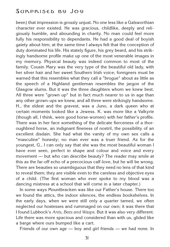been) that impression is grossly unjust. No one less like a Galsworthian character ever existed. He was gracious, childlike, deeply and religiously humble, and abounding in charity. No man could feel more fully his responsibility to dependants. He had a good deal of boyish gaiety about him; at the same time I always felt that the conception of duty dominated his life. His stately figure, his grey beard, and his strikingly handsome profile make up one of the most venerable images in my memory. Physical beauty was indeed common to most of the family. Cousin Mary was the very type of the beautiful old lady, with her silver hair and her sweet Southern Irish voice; foreigners must be warned that this resembles what they call a "brogue" about as little as the speech of a Highland gentleman resembles the jargon of the Glasgow slums. But it was the three daughters whom we knew best. All three were "grown up" but in fact much nearer to us in age than any other grown-ups we knew, and all three were strikingly handsome. H., the eldest and the gravest, was a Juno, a dark queen who at certain moments looked like a Jewess. K. was more like a Valkyrie (though all, I think, were good horse-women) with her father's profile. There was in her face something of the delicate fierceness of a thoroughbred horse, an indignant fineness of nostril, the possibility of an excellent disdain. She had what the vanity of my own sex calls a "masculine" honesty; no man ever was a truer friend. As for the youngest, G., I can only say that she was the most beautiful woman I have ever seen, perfect in shape and colour and voice and every movement — but who can describe beauty? The reader may smile at this as the far-off echo of a precocious calf-love, but he will be wrong. There are beauties so unambiguous that they need no lens of that kind to reveal them; they are visible even to the careless and objective eyes of a child. (The first woman who ever spoke to my blood was a dancing mistress at a school that will come in a later chapter.)

In some ways Mountbracken was like our Father's house. There too we found the attics, the indoor silences, the endless bookshelves. In the early days, when we were still only a quarter tamed, we often neglected our hostesses and rummaged on our own; it was there that I found Lubbock's *Ants, Bees and Wasps*. But it was also very different. Life there was more spacious and considered than with us, glided like a barge where ours bumped like a cart.

Friends of our own age — boy and girl friends — we had none. In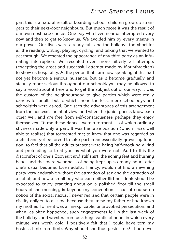part this is a natural result of boarding school; children grow up strangers to their next-door neighbours. But much more it was the result of our own obstinate choice. One boy who lived near us attempted every now and then to get to know us. We avoided him by every means in our power. Our lives were already full, and the holidays too short for all the reading, writing, playing, cycling, and talking that we wanted to get through. We resented the appearance of any third party as an infuriating interruption. We resented even more bitterly all attempts (excepting the great and successful attempt made by Mountbracken) to show us hospitality. At the period that I am now speaking of this had not yet become a serious nuisance, but as it became gradually and steadily more serious throughout our schooldays I may be allowed to say a word about it here and to get the subject out of our way. It was the custom of the neighbourhood to give parties which were really dances for adults but to which, none the less, mere schoolboys and schoolgirls were asked. One sees the advantages of this arrangement from the hostess's point of view; and when the junior guests know each other well and are free from self-consciousness perhaps they enjoy themselves. To me these dances were a torment — of which ordinary shyness made only a part. It was the false position (which I was well able to realise) that tormented me; to know that one was regarded as a child and yet be forced to take part in an essentially grown-up function, to feel that all the adults present were being half-mockingly kind and pretending to treat you as what you were not. Add to this the discomfort of one's Eton suit and stiff shirt, the aching feet and burning head, and the mere weariness of being kept up so many hours after one's usual bedtime. Even adults, I fancy, would not find an evening party very endurable without the attraction of sex and the attraction of alcohol; and how a small boy who can neither flirt nor drink should be expected to enjoy prancing about on a polished floor till the small hours of the morning, is beyond my conception. I had of course no notion of the social nexus. I never realised that certain people were in civility obliged to ask me because they knew my father or had known my mother. To me it was all inexplicable, unprovoked persecution; and when, as often happened, such engagements fell in the last week of the holidays and wrested from us a huge cantle of hours in which every minute was worth gold, I positively felt that I could have torn my hostess limb from limb. Why should she thus pester me? I had never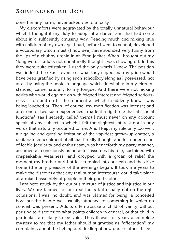done her any harm, never asked *her* to a party.

My discomforts were aggravated by the totally unnatural behaviour which I thought it my duty to adopt at a dance; and that had come about in a sufficiently amusing way. Reading much and mixing little with children of my own age, I had, before I went to school, developed a vocabulary which must (I now see) have sounded very funny from the lips of a chubby urchin in an Eton jacket. When I brought out my "long words" adults not unnaturally thought I was showing off. In this they were quite mistaken. I used the only words I knew. The position was indeed the exact reverse of what they supposed; my pride would have been gratified by using such schoolboy slang as I possessed, not at all by using the bookish language which (inevitably in my circumstances) came naturally to my tongue. And there were not lacking adults who would egg me on with feigned interest and feigned seriousness — on and on till the moment at which I suddenly knew I was being laughed at. Then, of course, my mortification was intense; and after one or two such experiences I made it a rigid rule that at "social functions" (as I secretly called them) I must never on any account speak of any subject in which I felt the slightest interest nor in any words that naturally occurred to me. And I kept my rule only too well; a giggling and gurgling imitation of the vapidest grown-up chatter, a deliberate concealment of all that I really thought and felt under a sort of feeble jocularity and enthusiasm, was henceforth my party manner, assumed as consciously as an actor assumes his role, sustained with unspeakable weariness, and dropped with a groan of relief the moment my brother and I at last tumbled into our cab and the drive home (the only pleasure of the evening) began. It took me years to make the discovery that any real human intercourse could take place at a mixed assembly of people in their good clothes.

I am here struck by the curious mixture of justice and injustice in our lives. We are blamed for our real faults but usually not on the right occasions. I was, no doubt, and was blamed for being, a conceited boy; but the blame was usually attached to something in which no conceit was present. Adults often accuse a child of vanity without pausing to discover on what points children in general, or that child in particular, are likely to be vain. Thus it was for years a complete mystery to me that my father should stigmatise as "affectation" my complaints about the itching and tickling of new underclothes. I see it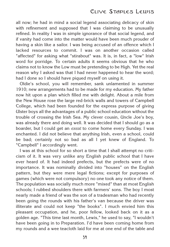all now; he had in mind a social legend associating delicacy of skin with refinement and supposed that I was claiming to be unusually refined. In reality I was in simple ignorance of that social legend, and if vanity had come into the matter would have been much prouder of having a skin like a sailor. I was being accused of an offence which I lacked resources to commit. I was on another occasion called "affected" for asking what "stirabout" was. It is, in fact, a "low" Irish word for porridge. To certain adults it seems obvious that he who claims not to know the Low must be pretending to be High. Yet the real reason why I asked was that I had never happened to hear the word; had I done so I should have piqued myself on using it.

Oldie's school, you will remember, sank unlamented in summer 1910; new arrangements had to be made for my education. My father now hit upon a plan which filled me with delight. About a mile from the New House rose the large red-brick walls and towers of Campbell College, which had been founded for the express purpose of giving Ulster boys all the advantages of a public school education without the trouble of crossing the Irish Sea. My clever cousin, Uncle Joe's boy, was already there and doing well. It was decided that I should go as a boarder, but I could get an *exeat* to come home every Sunday. I was enchanted. I did not believe that anything Irish, even a school, could be bad; certainly not so bad as all I yet knew of England. To "Campbell" I accordingly went.

I was at this school for so short a time that I shall attempt no criticism of it. It was very unlike any English public school that I have ever heard of. It had indeed prefects, but the prefects were of no importance. It was nominally divided into "houses" on the English pattern, but they were mere legal fictions; except for purposes of games (which were not compulsory) no one took any notice of them. The population was socially much more "mixed" than at most English schools; I rubbed shoulders there with farmers' sons. The boy I most nearly made a friend of was the son of a tradesman who had recently been going the rounds with his father's van because the driver was illiterate and could not keep "the books". I much envied him this pleasant occupation, and he, poor fellow, looked back on it as a golden age. "This time last month, Lewis," he used to say, "I wouldn't have been going in to Preparation. I'd have been coming home from my rounds and a wee teacloth laid for me at one end of the table and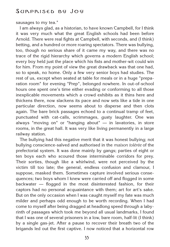sausages to my tea."

I am always glad, as a historian, to have known Campbell, for I think it was very much what the great English schools had been before Arnold. There were real fights at Campbell, with seconds, and (I think) betting, and a hundred or more roaring spectators. There was bullying, too, though no serious share of it came my way, and there was no trace of the rigid hierarchy which governs a modern English school; every boy held just the place which his fists and mother-wit could win for him. From my point of view the great drawback was that one had, so to speak, no home. Only a few very senior boys had studies. The rest of us, except when seated at table for meals or in a huge "preparation room" for evening "Prep", belonged nowhere. In out-of-school hours one spent one's time either evading or conforming to all those inexplicable movements which a crowd exhibits as it thins here and thickens there, now slackens its pace and now sets like a tide in one particular direction, now seems about to disperse and then clots again. The bare brick passages echoed to a continual tramp of feet, punctuated with cat-calls, scrimmages, gusty laughter. One was always "moving on" or "hanging about" — in lavatories, in store rooms, in the great hall. It was very like living permanently in a large railway station.

The bullying had this negative merit that it was honest bullying; not bullying conscience-salved and authorised in the *maison tolérée* of the prefectorial system. It was done mainly by gangs; parties of eight or ten boys each who scoured those interminable corridors for prey. Their sorties, though like a whirlwind, were not perceived by the victim till too late; the general, endless confusion and clamour, I suppose, masked them. Sometimes capture involved serious consequences; two boys whom I knew were carried off and flogged in some backwater — flogged in the most disinterested fashion, for their captors had no personal acquaintance with them; art for art's sake. But on the only occasion when I was caught myself my fate was much milder and perhaps odd enough to be worth recording. When I had come to myself after being dragged at headlong speed through a labyrinth of passages which took me beyond all usual landmarks, I found that I was one of several prisoners in a low, bare room, half-lit (I think) by a single gas-jet. After a pause to recover their breath two of the brigands led out the first captive. I now noticed that a horizontal row

35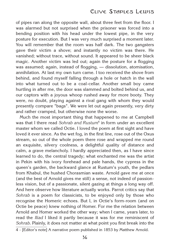of pipes ran along the opposite wall, about three feet from the floor. I was alarmed but not surprised when the prisoner was forced into a bending position with his head under the lowest pipe, in the very posture for execution. But I was very much surprised a moment later. You will remember that the room was half dark. The two gangsters gave their victim a shove; and instantly no victim was there. He vanished; without trace, without sound. It appeared to be sheer black magic. Another victim was led out; again the posture for a flogging was assumed; again, instead of flogging, — dissolution, atomisation, annihilation. At last my own turn came. I too received the shove from behind, and found myself falling through a hole or hatch in the wall into what turned out to be a coal-cellar. Another small boy came hurtling in after me, the door was slammed and bolted behind us, and our captors with a joyous whoop rushed away for more booty. They were, no doubt, playing against a rival gang with whom they would presently compare "bags". We were let out again presently, very dirty and rather cramped, but otherwise none the worse.

Much the most important thing that happened to me at Campbell was that I there read *Sohrab and Rustum*<sup>4</sup> in form under an excellent master whom we called Octie. I loved the poem at first sight and have loved it ever since. As the wet fog, in the first line, rose out of the Oxus stream, so out of the whole poem there rose and wrapped me round an exquisite, silvery coolness, a delightful quality of distance and calm, a grave melancholy. I hardly appreciated then, as I have since learned to do, the central tragedy; what enchanted me was the artist in Pekin with his ivory forehead and pale hands, the cypress in the queen's garden, the backward glance at Rustum's youth, the pedlars from Khabul, the hushed Chorasmian waste. Arnold gave me at once (and the best of Arnold gives me still) a sense, not indeed of passionless vision, but of a passionate, silent gazing at things a long way off. And here observe how literature actually works. Parrot critics say that *Sohrab* is a poem for classicists, to be enjoyed only by those who recognise the Homeric echoes. But I, in Octie's form-room (and on Octie be peace) knew nothing of Homer. For me the relation between Arnold and Homer worked the other way; when I came, years later, to read the *Iliad* I liked it partly because it was for me reminiscent of *Sohrab*. Plainly, it does not matter at what point you first break into the

<sup>4 - [</sup>Editor's note] A narrative poem published in 1853 by Matthew Arnold.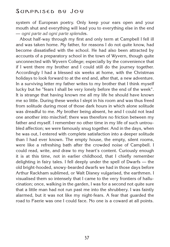system of European poetry. Only keep your ears open and your mouth shut and everything will lead you to everything else in the end — *ogni parte ad ogni parte splende*s.

About half-way through my first and only term at Campbell I fell ill and was taken home. My father, for reasons I do not quite know, had become dissatisfied with the school. He had also been attracted by accounts of a preparatory school in the town of Wyvern, though quite unconnected with Wyvern College; especially by the convenience that if I went there my brother and I could still do the journey together. Accordingly I had a blessed six weeks at home, with the Christmas holidays to look forward to at the end and, after that, a new adventure. In a surviving letter my father writes to my brother that I think myself lucky but he "fears I shall be very lonely before the end of the week". It is strange that having known me all my life he should have known me so little. During these weeks I slept in his room and was thus freed from solitude during most of those dark hours in which alone solitude was dreadful to me. My brother being absent, he and I could not lead one another into mischief; there was therefore no friction between my father and myself. I remember no other time in my life of such untroubled affection; we were famously snug together. And in the days, when he was out, I entered with complete satisfaction into a deeper solitude than I had ever known. The empty house, the empty, silent rooms, were like a refreshing bath after the crowded noise of Campbell. I could read, write, and draw to my heart's content. Curiously enough it is at this time, not in earlier childhood, that I chiefly remember delighting in fairy tales. I fell deeply under the spell of Dwarfs — the old bright-hooded, snowy-bearded dwarfs we had in those days before Arthur Rackham sublimed, or Walt Disney vulgarised, the earthmen. I visualised them so intensely that I came to the very frontiers of hallucination; once, walking in the garden, I was for a second not quite sure that a little man had not run past me into the shrubbery. I was faintly alarmed, but it was not like my night-fears. A fear that guarded the road to Faerie was one I could face. No one is a coward at all points.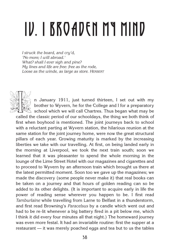# IV. I BROADEN MY MIND

*I struck the board, and cry'd, 'No more; I will abroad.' What? shall I ever sigh and pine? My lines and life are free: free as the rode, Loose as the winde, as large as store. Herbert*



In January 1911, just turned thirteen, I set out with my<br>brother to Wyvern, he for the College and I for a preparatory<br>school which we will call Chartres. Thus began what may be brother to Wyvern, he for the College and I for a preparatory school which we will call Chartres. Thus began what may be

called the classic period of our schooldays, the thing we both think of first when boyhood is mentioned. The joint journeys back to school with a reluctant parting at Wyvern station, the hilarious reunion at the same station for the joint journey home, were now the great structural pillars of each year. Growing maturity is marked by the increasing liberties we take with our travelling. At first, on being landed early in the morning at Liverpool, we took the next train south; soon we learned that it was pleasanter to spend the whole morning in the lounge of the Lime Street Hotel with our magazines and cigarettes and to proceed to Wyvern by an afternoon train which brought us there at the latest permitted moment. Soon too we gave up the magazines; we made the discovery (some people never make it) that real books can be taken on a journey and that hours of golden reading can so be added to its other delights. (It is important to acquire early in life the power of reading sense wherever you happen to be. I first read *Tamburlaine* while travelling from Larne to Belfast in a thunderstorm, and first read Browning's *Paracelsus* by a candle which went out and had to be re-lit whenever a big battery fired in a pit below me, which I think it did every four minutes all that night.) The homeward journey was even more festal. It had an invariable routine: first the supper at a restaurant — it was merely poached eggs and tea but to us the tables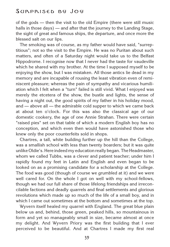of the gods — then the visit to the old Empire (there were still music halls in those days) — and after that the journey to the Landing Stage, the sight of great and famous ships, the departure, and once more the blessed salt on our lips.

The smoking was of course, as my father would have said, "surreptitious"; not so the visit to the Empire. He was no Puritan about such matters, and often of a Saturday night would take us to the Belfast Hippodrome. I recognise now that I never had the taste for vaudeville which he shared with my brother. At the time I supposed myself to be enjoying the show, but I was mistaken. All those antics lie dead in my memory and are incapable of rousing the least vibration even of reminiscent pleasure; whereas the pain of sympathy and vicarious humiliation which I felt when a "turn" failed is still vivid. What I enjoyed was merely the etcetera of the show, the bustle and lights, the sense of having a night out, the good spirits of my father in his holiday mood, and — above all — the admirable cold supper to which we came back at about ten o'clock. For this was also the classical age of our domestic cookery, the age of one Annie Strahan. There were certain "raised pies" set on that table of which a modern English boy has no conception, and which even then would have astonished those who knew only the poor counterfeits sold in shops.

Chartres, a tall, white building further up the hill than the College, was a smallish school with less than twenty boarders; but it was quite unlike Oldie's. Here indeed my education really began. The Headmaster, whom we called Tubbs, was a clever and patient teacher; under him I rapidly found my feet in Latin and English and even began to be looked on as a promising candidate for a scholarship at the College. The food was good (though of course we grumbled at it) and we were well cared for. On the whole I got on well with my school-fellows, though we had our full share of those lifelong friendships and irreconcilable factions and deadly quarrels and final settlements and glorious revolutions which made up so much of the life of a small boy, and in which I came out sometimes at the bottom and sometimes at the top.

Wyvern itself healed my quarrel with England. The great blue plain below us and, behind, those green, peaked hills, so mountainous in form and yet so manageably small in size, became almost at once my delight. And Wyvern Priory was the first building that I ever perceived to be beautiful. And at Chartres I made my first real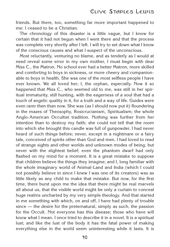friends. But there, too, something far more important happened to me: I ceased to be a Christian.

The chronology of this disaster is a little vague, but I know for certain that it had not begun when I went there and that the process was complete very shortly after I left. I will try to set down what I know of the conscious causes and what I suspect of the unconscious.

Most reluctantly, venturing no blame, and as tenderly as I would at need reveal some error in my own mother, I must begin with dear Miss C., the Matron. No school ever had a better Matron, more skilled and comforting to boys in sickness, or more cheery and companionable to boys in health. She was one of the most selfless people I have ever known. We all loved her; I, the orphan, especially. Now it so happened that Miss C., who seemed old to me, was still in her spiritual immaturity, still hunting, with the eagerness of a soul that had a touch of angelic quality in it, for a truth and a way of life. Guides were even rarer then than now. She was (as I should now put it) floundering in the mazes of Theosophy, Rosicrucianism, Spiritualism; the whole Anglo-American Occultist tradition. Nothing was further from her intention than to destroy my faith; she could not tell that the room into which she brought this candle was full of gunpowder. I had never heard of such things before; never, except in a nightmare or a fairy tale, conceived of spirits other than God and men. I had loved to read of strange sights and other worlds and unknown modes of being, but never with the slightest belief; even the phantom dwarf had only flashed on my mind for a moment. It is a great mistake to suppose that children believe the things they imagine; and I, long familiar with the whole imaginary world of Animal-Land and India (which I could not possibly believe in since I knew I was one of its creators) was as little likely as any child to make that mistake. But now, for the first time, there burst upon me the idea that there might be real marvels all about us, that the visible world might be only a curtain to conceal huge realms uncharted by my very simple theology. And that started in me something with which, on and off, I have had plenty of trouble since — the desire for the preternatural, simply as such, the passion for the Occult. Not everyone has this disease; those who have will know what I mean. I once tried to describe it in a novel. It is a spiritual lust; and like the lust of the body it has the fatal power of making everything else in the world seem uninteresting while it lasts. It is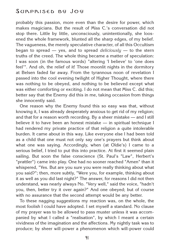probably this passion, more even than the desire for power, which makes magicians. But the result of Miss C.'s conversation did not stop there. Little by little, unconsciously, unintentionally, she loosened the whole framework, blunted all the sharp edges, of my belief. The vagueness, the merely speculative character, of all this Occultism began to spread — yes, and to spread *deliciously* — to the stern truths of the creed. The whole thing became a matter of speculation: I was soon (in the famous words) "altering 'I believe' to 'one does feel'". And oh, the relief of it! Those moonlit nights in the dormitory at Belsen faded far away. From the tyrannous noon of revelation I passed into the cool evening twilight of Higher Thought, where there was nothing to be obeyed, and nothing to be believed except what was either comforting or exciting. I do not mean that Miss C. did this; better say that the Enemy did this in me, taking occasion from things she innocently said.

One reason why the Enemy found this so easy was that, without knowing it, I was already desperately anxious to get rid of my religion; and that for a reason worth recording. By a sheer mistake — and I still believe it to have been an honest mistake — in spiritual technique I had rendered my private practice of that religion a quite intolerable burden. It came about in this way. Like everyone else I had been told as a child that one must not only say one's prayers but think about what one was saying. Accordingly, when (at Oldie's) I came to a serious belief, I tried to put this into practice. At first it seemed plain sailing. But soon the false conscience (St. Paul's "Law", Herbert's "prattler") came into play. One had no sooner reached "Amen" than it whispered, "Yes. But are you sure you were really thinking about what you said?"; then, more subtly, "Were you, for example, thinking about it as well as you did last night?" The answer, for reasons I did not then understand, was nearly always No. "Very well," said the voice, "hadn't you, then, better try it over again?" And one obeyed; but of course with no assurance that the second attempt would be any better.

To these nagging suggestions my reaction was, on the whole, the most foolish I could have adopted. I set myself a standard. No clause of my prayer was to be allowed to pass muster unless it was accompanied by what I called a "realisation", by which I meant a certain vividness of the imagination and the affections. My nightly task was to produce; by sheer will-power a phenomenon which will-power could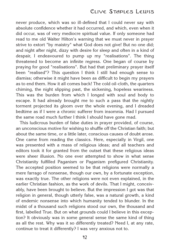never produce, which was so ill-defined that I could never say with absolute confidence whether it had occurred, and which, even when it did occur, was of very mediocre spiritual value. If only someone had read to me old Walter Hilton's warning that we must never in prayer strive to extort "by maistry" what God does not give! But no one did; and night after night, dizzy with desire for sleep and often in a kind of despair, I endeavoured to pump up my "realisations". The thing threatened to become an infinite regress. One began of course by praying for good "realisations". But had that preliminary prayer itself been "realised"? This question I think I still had enough sense to dismiss; otherwise it might have been as difficult to begin my prayers as to end them. How it all comes back! The cold oil-cloth, the quarters chiming, the night slipping past, the sickening, hopeless weariness. This was the burden from which I longed with soul and body to escape. It had already brought me to such a pass that the nightly torment projected its gloom over the whole evening, and I dreaded bedtime as if I were a chronic sufferer from insomnia. Had I pursued the same road much further I think I should have gone mad.

This ludicrous burden of false duties in prayer provided, of course, an unconscious motive for wishing to shuffle off the Christian faith; but about the same time, or a little later, conscious causes of doubt arose. One came from reading the classics. Here, especially in Virgil, one was presented with a mass of religious ideas; and all teachers and editors took it for granted from the outset that these religious ideas were sheer illusion. No one ever attempted to show in what sense Christianity fulfilled Paganism or Paganism prefigured Christianity. The accepted position seemed to be that religions were normally a mere farrago of nonsense, though our own, by a fortunate exception, was exactly true. The other religions were not even explained, in the earlier Christian fashion, as the work of devils. That I might, conceivably, have been brought to believe. But the impression I got was that religion in general, though utterly false, was a natural growth, a kind of endemic nonsense into which humanity tended to blunder. In the midst of a thousand such religions stood our own, the thousand and first, labelled True. But on what grounds could I believe in this exception? It obviously was in some general sense the same kind of thing as all the rest. Why was it so differently treated? Need I, at any rate, continue to treat it differently? I was very anxious not to.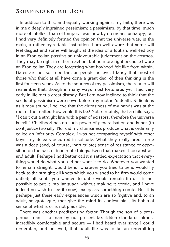In addition to this, and equally working against my faith, there was in me a deeply ingrained pessimism; a pessimism, by that time, much more of intellect than of temper. I was now by no means unhappy; but I had very definitely formed the opinion that the universe was, in the main, a rather regrettable institution. I am well aware that some will feel disgust and some will laugh, at the idea of a loutish, well-fed boy in an Eton collar, passing an unfavourable judgement on the cosmos. They may be right in either reaction, but no more right because I wore an Eton collar. They are forgetting what boyhood felt like from within. Dates are not so important as people believe. I fancy that most of those who think at all have done a great deal of their thinking in the first fourteen years. As to the sources of my pessimism, the reader will remember that, though in many ways most fortunate, yet I had very early in life met a great dismay. But I am now inclined to think that the seeds of pessimism were sown before my mother's death. Ridiculous as it may sound, I believe that the clumsiness of my hands was at the root of the matter. How could this be? Not, certainly, that a child says, "I can't cut a straight line with a pair of scissors, therefore the universe is evil." Childhood has no such power of generalisation and is not (to do it justice) so silly. Nor did my clumsiness produce what is ordinarily called an Inferiority Complex. I was not comparing myself with other boys; my defeats occurred in solitude. What they really bred in me was a deep (and, of course, inarticulate) sense of resistance or opposition on the part of inanimate things. Even that makes it too abstract and adult. Perhaps I had better call it a settled expectation that everything would do what you did not want it to do. Whatever you wanted to remain straight, would bend; whatever you tried to bend would fly back to the straight; all knots which you wished to be firm would come untied; all knots you wanted to untie would remain firm. It is not possible to put it into language without making it comic, and I have indeed no wish to see it (now) except as something comic. But it is perhaps just these early experiences which are so fugitive and, to an adult, so grotesque, that give the mind its earliest bias, its habitual sense of what is or is not plausible.

There was another predisposing factor. Though the son of a prosperous man — a man by our present tax-ridden standards almost incredibly comfortable and secure — I had heard ever since I could remember, and believed, that adult life was to be an unremitting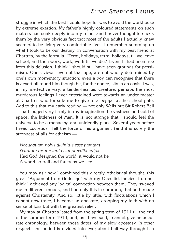struggle in which the best I could hope for was to avoid the workhouse by extreme exertion. My father's highly coloured statements on such matters had sunk deeply into my mind; and I never thought to check them by the very obvious fact that most of the adults I actually knew seemed to be living very comfortable lives. I remember summing up what I took to be our destiny, in conversation with my best friend at Chartres, by the formula, "Term, holidays, term, holidays, till we leave school, and then work, work, work till we die." Even if I had been free from this delusion, I think I should still have seen grounds for pessimism. One's views, even at that age, are not wholly determined by one's own momentary situation; even a boy can recognise that there is desert all round him though he, for the nonce, sits in an oasis. I was, in my ineffective way, a tender-hearted creature; perhaps the most murderous feelings I ever entertained were towards an under master at Chartres who forbade me to give to a beggar at the school gate. Add to this that my early reading — not only Wells but Sir Robert Ball — had lodged very firmly in my imagination the vastness and cold of space, the littleness of Man. It is not strange that I should feel the universe to be a menacing and unfriendly place. Several years before I read Lucretius I felt the force of his argument (and it is surely the strongest of all) for atheism —

*Nequaquam nobis divinitus esse paratam Naturam rerum; tanta stat praedita culpa* Had God designed the world, it would not be A world so frail and faulty as we see.

You may ask how I combined this directly Atheistical thought, this great "Argument from Undesign" with my Occultist fancies. I do not think I achieved any logical connection between them. They swayed me in different moods, and had only this in common, that both made against Christianity. And so, little by little, with fluctuations which I cannot now trace, I became an apostate, dropping my faith with no sense of loss but with the greatest relief.

My stay at Chartres lasted from the spring term of 1911 till the end of the summer term 1913, and, as I have said, I cannot give an accurate chronology, between those dates, of my slow apostasy. In other respects the period is divided into two; about half-way through it a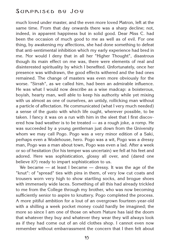much loved under master, and the even more loved Matron, left at the same time. From that day onwards there was a sharp decline; not, indeed, in apparent happiness but in solid good. Dear Miss C. had been the occasion of much good to me as well as of evil. For one thing, by awakening my affections, she had done something to defeat that anti-sentimental inhibition which my early experience had bred in me. Nor would I deny that in all her "Higher Thought", disastrous though its main effect on me was, there were elements of real and disinterested spirituality by which I benefited. Unfortunately, once her presence was withdrawn, the good effects withered and the bad ones remained. The change of masters was even more obviously for the worse. "Sirrah", as we called him, had been an admirable influence. He was what I would now describe as a wise madcap: a boisterous, boyish, hearty man, well able to keep his authority while yet mixing with us almost as one of ourselves, an untidy, rollicking man without a particle of affectation. He communicated (what I very much needed) a sense of the gusto with which life ought, wherever possible, to be taken. I fancy it was on a run with him in the sleet that I first discovered how bad weather is to be treated — as a rough joke, a romp. He was succeeded by a young gentleman just down from the University whom we may call Pogo. Pogo was a very minor edition of a Saki, perhaps even a Wodehouse, hero. Pogo was a wit, Pogo was a dressy man, Pogo was a man about town, Pogo was even a lad. After a week or so of hesitation (for his temper was uncertain) we fell at his feet and adored. Here was sophistication, glossy all over, and (dared one believe it?) ready to impart sophistication to us.

We became — at least I became — dressy. It was the age of the "knut": of "spread" ties with pins in them, of very low cut coats and trousers worn very high to show startling socks, and brogue shoes with immensely wide laces. Something of all this had already trickled to me from the College through my brother, who was now becoming sufficiently senior to aspire to knuttery. Pogo completed the process. A more pitiful ambition for a lout of an overgrown fourteen-year-old with a shilling a week pocket money could hardly be imagined; the more so since I am one of those on whom Nature has laid the doom that whatever they buy and whatever they wear they will always look as if they had come out of an old clothes shop. I cannot even now remember without embarrassment the concern that I then felt about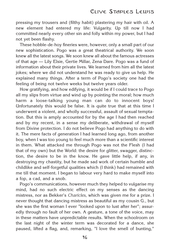pressing my trousers and (filthy habit) plastering my hair with oil. A new element had entered my life: Vulgarity. Up till now I had committed nearly every other sin and folly within my power, but I had not yet been flashy.

These hobble-de-hoy fineries were, however, only a small part of our new sophistication. Pogo was a great theatrical authority. We soon knew all the latest songs. We soon knew all about the famous actresses of that age — Lily Elsie, Gertie Millar, Zena Dare. Pogo was a fund of information about their private lives. We learned from him all the latest jokes; where we did not understand he was ready to give us help. He explained many things. After a term of Pogo's society one had the feeling of being not twelve weeks but twelve years older.

How gratifying, and how edifying, it would be if I could trace to Pogo all my slips from virtue and wind up by pointing the moral; how much harm a loose-talking young man can do to innocent boys! Unfortunately this would be false. It is quite true that at this time I underwent a violent, and wholly successful, assault of sexual temptation. But this is amply accounted for by the age I had then reached and by my recent, in a sense my deliberate, withdrawal of myself from Divine protection. I do not believe Pogo had anything to do with it. The mere facts of generation I had learned long ago, from another boy, when I was too young to feel much more than a scientific interest in them. What attacked me through Pogo was not the Flesh (I had that of my own) but the World: the desire for glitter, swagger, distinction, the desire to be in the know. He gave little help, if any, in destroying my chastity, but he made sad work of certain humble and childlike and self-forgetful qualities which (I think) had remained with me till that moment. I began to labour very hard to make myself into a fop, a cad, and a snob.

Pogo's communications, however much they helped to vulgarise my mind, had no such electric effect on my senses as the dancing mistress, nor as Bekker's *Charicles*, which was given me for a prize. I never thought that dancing mistress as beautiful as my cousin G., but she was the first woman I ever "looked upon to lust after her"; assuredly through no fault of her own. A gesture, a tone of the voice, may in these matters have unpredictable results. When the schoolroom on the last night of the winter term was decorated for a dance, she paused, lifted a flag, and, remarking, "I love the smell of bunting,"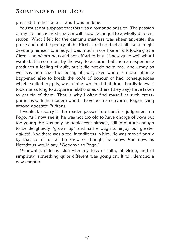pressed it to her face — and I was undone.

You must not suppose that this was a romantic passion. The passion of my life, as the next chapter will show, belonged to a wholly different region. What I felt for the dancing mistress was sheer appetite; the prose and not the poetry of the Flesh. I did not feel at all like a knight devoting himself to a lady; I was much more like a Turk looking at a Circassian whom he could not afford to buy. I knew quite well what I wanted. It is common, by the way, to assume that such an experience produces a feeling of guilt, but it did not do so in me. And I may as well say here that the feeling of guilt, save where a moral offence happened also to break the code of honour or had consequences which excited my pity, was a thing which at that time I hardly knew. It took me as long to acquire inhibitions as others (they say) have taken to get rid of them. That is why I often find myself at such crosspurposes with the modern world: I have been a converted Pagan living among apostate Puritans.

I would be sorry if the reader passed too harsh a judgement on Pogo. As I now see it, he was not too old to have charge of boys but too young. He was only an adolescent himself, still immature enough to be delightedly "grown up" and naif enough to enjoy our greater *naïveté*. And there was a real friendliness in him. He was moved partly by that to tell us all he knew or thought he knew. And now, as Herodotus would say, "Goodbye to Pogo."

Meanwhile, side by side with my loss of faith, of virtue, and of simplicity, something quite different was going on. It will demand a new chapter.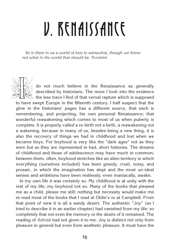## V. RENAISSANCE

*So is there in us a world of love to somewhat, though we know not what in the world that should be. Traherne*



do not much believe in the Renaissance as generally described by historians. The more I look into the evidence the less trace I find of that vernal rapture which is supposed

to have swept Europe in the fifteenth century. I half suspect that the glow in the historians' pages has a different source, that each is remembering, and projecting, his own personal Renaissance; that wonderful reawakening which comes to most of us when puberty is complete. It is properly called a re-birth not a birth, a reawakening not a wakening, because in many of us, besides being a new thing, it is also the recovery of things we had in childhood and lost when we became boys. For boyhood is very like the "dark ages" not as they were but as they are represented in bad, short histories. The dreams of childhood and those of adolescence may have much in common; between them, often, boyhood stretches like an alien territory in which everything (ourselves included) has been greedy, cruel, noisy, and prosaic, in which the imagination has slept and the most un-ideal senses and ambitions have been restlessly, even maniacally, awake.

In my own life it was certainly so. My childhood is at unity with the rest of my life; my boyhood not so. Many of the books that pleased me as a child, please me still; nothing but necessity would make me re-read most of the books that I read at Oldie's or at Campbell. From that point of view it is all a sandy desert. The authentic "Joy" (as I tried to describe it in an earlier chapter) had vanished from my life: so completely that not even the memory or the desire of it remained. The reading of *Sohrab* had not given it to me. Joy is distinct not only from pleasure in general but even from aesthetic pleasure. It must have the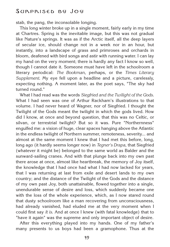stab, the pang, the inconsolable longing.

This long winter broke up in a single moment, fairly early in my time at Chartres. Spring is the inevitable image, but this was not gradual like Nature's springs. It was as if the Arctic itself, all the deep layers of secular ice, should change not in a week nor in an hour, but instantly, into a landscape of grass and primroses and orchards in bloom, deafened with bird songs and astir with running water. I can lay my hand on the very moment; there is hardly any fact I know so well, though I cannot date it. Someone must have left in the schoolroom a literary periodical: *The Bookman*, perhaps, or the *Times Literary Supplement*. My eye fell upon a headline and a picture, carelessly, expecting nothing. A moment later, as the poet says, "The sky had turned round."

What I had read was the words *Siegfried and the Twilight of the Gods*. What I had seen was one of Arthur Rackham's illustrations to that volume. I had never heard of Wagner, nor of Siegfried. I thought the Twilight of the Gods meant the twilight in which the gods lived. How did I know, at once and beyond question, that this was no Celtic, or silvan, or terrestrial twilight? But so it was. Pure "Northernness" engulfed me: a vision of huge, clear spaces hanging above the Atlantic in the endless twilight of Northern summer, remoteness, severity... and almost at the same moment I knew that I had met this before, long, long ago (it hardly seems longer now) in *Tegner's Drapa*, that Siegfried (whatever it might be) belonged to the same world as Balder and the sunward-sailing cranes. And with that plunge back into my own past there arose at once, almost like heartbreak, the memory of Joy itself, the knowledge that I had once had what I had now lacked for years, that I was returning at last from exile and desert lands to my own country; and the distance of the Twilight of the Gods and the distance of my own past Joy, both unattainable, flowed together into a single, unendurable sense of desire and loss, which suddenly became one with the loss of the whole experience, which, as I now stared round that dusty schoolroom like a man recovering from unconsciousness, had already vanished, had eluded me at the very moment when I could first say *It is*. And at once I knew (with fatal knowledge) that to "have it again" was the supreme and only important object of desire.

After this everything played into my hands. One of my father's many presents to us boys had been a gramophone. Thus at the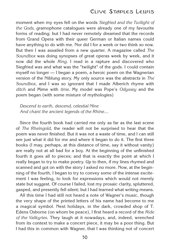moment when my eyes fell on the words *Siegfried and the Twilight of the Gods*, gramophone catalogues were already one of my favourite forms of reading; but I had never remotely dreamed that the records from Grand Opera with their queer German or Italian names could have anything to do with me. Nor did I for a week or two think so now. But then I was assailed from a new quarter. A magazine called *The Soundbox* was doing synopses of great operas week by week, and it now did the whole *Ring*. I read in a rapture and discovered who Siegfried was and what was the "twilight" of the gods. I could contain myself no longer — I began a poem, a heroic poem on the Wagnerian version of the Niblung story. My only source was the abstracts in *The Soundbox*, and I was so ignorant that I made Alberich rhyme with *ditch* and Mime with *time*. My model was Pope's *Odyssey* and the poem began (with some mixture of mythologies)

*Descend to earth, descend, celestial Nine And chant the ancient legends of the Rhine....*

Since the fourth book had carried me only as far as the last scene of *The Rheingold*, the reader will not be surprised to hear that the poem was never finished. But it was not a waste of time, and I can still see just what it did for me and where it began to do it. The first three books (I may, perhaps, at this distance of time, say it without vanity) are really not at all bad for a boy. At the beginning of the unfinished fourth it goes all to pieces; and that is exactly the point at which I really began to try to make poetry. Up to then, if my lines rhymed and scanned and got on with the story I asked no more. Now, at the beginning of the fourth, I began to try to convey some of the intense excitement I was feeling, to look for expressions which would not merely state but suggest. Of course I failed, lost my prosaic clarity, spluttered, gasped, and presently fell silent; but I had learned what writing means.

All this time I had still not heard a note of Wagner's music, though the very shape of the printed letters of his name had become to me a magical symbol. Next holidays, in the dark, crowded shop of T. Edens Osborne (on whom be peace), I first heard a record of the *Ride of the Valkyries*. They laugh at it nowadays, and, indeed, wrenched from its context to make a concert piece, it may be a poor thing. But I had this in common with Wagner, that I was thinking not of concert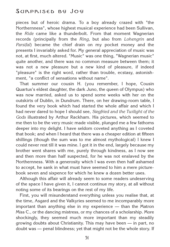pieces but of heroic drama. To a boy already crazed with "the Northernness", whose highest musical experience had been Sullivan, the *Ride* came like a thunderbolt. From that moment Wagnerian records (principally from the *Ring*, but also from *Lohengrin* and *Parsifal*) became the chief drain on my pocket money and the presents I invariably asked for. My general appreciation of music was not, at first, much altered. "Music" was one thing, "Wagnerian music" quite another, and there was no common measure between them; it was not a new pleasure but a new kind of pleasure, if indeed "pleasure" is the right word, rather than trouble, ecstasy, astonishment, "a conflict of sensations without name".

That summer our cousin H. (you remember, I hope, Cousin Quartus's eldest daughter, the dark Juno, the queen of Olympus) who was now married, asked us to spend some weeks with her on the outskirts of Dublin, in Dundrum. There, on her drawing-room table, I found the very book which had started the whole affair and which I had never dared to hope I should see, *Siegfried and the Twilight of the Gods* illustrated by Arthur Rackham. His pictures, which seemed to me then to be the very music made visible, plunged me a few fathoms deeper into my delight. I have seldom coveted anything as I coveted that book; and when I heard that there was a cheaper edition at fifteen shillings (though the sum was to me almost mythological) I knew I could never rest till it was mine. I got it in the end, largely because my brother went shares with me, purely through kindness, as I now see and then more than half suspected, for he was not enslaved by the Northernness. With a generosity which I was even then half ashamed to accept, he sank in what must have seemed to him a mere picturebook seven and sixpence for which he knew a dozen better uses.

Although this affair will already seem to some readers undeserving of the space I have given it, I cannot continue my story, at all without noting some of its bearings on the rest of my life.

First, you will misunderstand everything unless you realise that, at the time, Asgard and the Valkyries seemed to me incomparably more important than anything else in my experience — than the Matron Miss C., or the dancing mistress, or my chances of a scholarship. More shockingly, they seemed much more important than my steadily growing doubts about Christianity. This may have been — in part, no doubt was — penal blindness; yet that might not be the whole story. If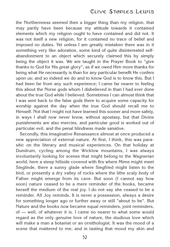the Northernness seemed then a bigger thing than my religion, that may partly have been because my attitude towards it contained elements which my religion ought to have contained and did not. It was not itself a new religion, for it contained no trace of belief and imposed no duties. Yet unless I am greatly mistaken there was in it something very like adoration, some kind of quite disinterested selfabandonment to an object which securely claimed this by simply being the object it was. We are taught in the Prayer Book to "give thanks to God for His great glory", as if we owed Him more thanks for being what He necessarily is than for any particular benefit He confers upon us; and so indeed we do and to know God is to know this. But I had been far from any such experience; I came far nearer to feeling this about the Norse gods whom I disbelieved in than I had ever done about the true God while I believed. Sometimes I can almost think that I was sent back to the false gods there to acquire some capacity for worship against the day when the true God should recall me to Himself. Not that I might not have learned this sooner and more safely, in ways I shall now never know, without apostasy, but that Divine punishments are also mercies, and particular good is worked out of particular evil, and the penal blindness made sanative.

Secondly, this imaginative Renaissance almost at once produced a new appreciation of external nature. At first, I think, this was parasitic on the literary and musical experiences. On that holiday at Dundrum, cycling among the Wicklow mountains, I was always involuntarily looking for scenes that might belong to the Wagnerian world, here a steep hillside covered with firs where Mime might meet Sieglinde, there a sunny glade where Siegfried might listen to the bird, or presently a dry valley of rocks where the lithe scaly body of Fafner might emerge from its cave. But soon (I cannot say how soon) nature ceased to be a mere reminder of the books, became herself the medium of the real joy. I do not say she ceased to be a reminder. All Joy reminds. It is never a possession, always a desire for something longer ago or further away or still "about to be". But Nature and the books now became equal reminders, joint reminders, of — well, of whatever it is. I came no nearer to what some would regard as the only genuine love of nature, the studious love which will make a man a botanist or an ornithologist. It was the mood of a scene that mattered to me; and in tasting that mood my skin and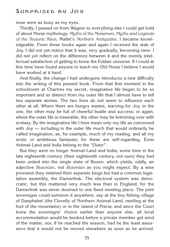nose were as busy as my eyes.

Thirdly, I passed on from Wagner to everything else I could get hold of about Norse mythology, *Myths of the Norsemen*, *Myths and Legends of the Teutonic Race*, Mallet's *Northern Antiquities*. I became knowledgeable. From these books again and again I received the stab of Joy. I did not yet notice that it was, very gradually, becoming rarer. I did not yet reflect on the difference between it and the merely intellectual satisfaction of getting to know the Eddaic universe. If I could at this time have found anyone to teach me Old Norse I believe I would have worked at it hard.

And finally, the change I had undergone introduces a new difficulty into the writing of this present book. From that first moment in the schoolroom at Chartres my secret, imaginative life began to be so important and so distinct from my outer life that I almost have to tell two separate stories. The two lives do not seem to influence each other at all. Where there are hungry wastes, starving for Joy, in the one, the other may be full of cheerful bustle and success; or again, where the outer life is miserable, the other may be brimming over with ecstasy. By the imaginative life I here mean only my life as concerned with Joy — including in the outer life much that would ordinarily be called imagination, as, for example, much of my reading, and all my erotic or ambitious fantasies; for these are self-regarding. Even Animal-Land and India belong to the "Outer".

But they were no longer Animal-Land and India; some time in the late eighteenth century (their eighteenth century, not ours) they had been united into the single state of Boxen, which yields, oddly, an adjective *Boxonian*, not *Boxenian* as you might expect. By a wise provision they retained their separate kings but had a common legislative assembly, the Damerfesk. The electoral system was democratic, but this mattered very much less than in England, for the Damerfesk was never doomed to one fixed meeting place. The joint sovereigns could summon it anywhere, say at the tiny fishing village of Danphabel (the Clovelly of Northern Animal-Land, nestling at the foot of the mountains) or in the island of Piscia; and since the Court knew the sovereigns' choice earlier than anyone else, all local accommodation would be booked before a private member got wind of the matter, nor, if he reached the session, had he the least assurance that it would not be moved elsewhere as soon as he arrived.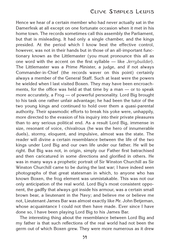Hence we hear of a certain member who had never actually sat in the Damerfesk at all except on one fortunate occasion when it met in his home town. The records sometimes call this assembly the Parliament, but that is misleading. It had only a single chamber, and the kings presided. At the period which I know best the effective control, however, was not in their hands but in those of an all-important functionary known as the Littlemaster (you must pronounce this all as one word with the accent on the first syllable — like *Jerrybuilder*). The Littlemaster was a Prime Minister, a judge, and if not always Commander-in-Chief (the records waver on this point) certainly always a member of the General Staff. Such at least were the powers he wielded when I last visited Boxen. They may have been encroachments, for the office was held at that time by a man — or to speak more accurately, a Frog — of powerful personality. Lord Big brought to his task one rather unfair advantage; he had been the tutor of the two young kings and continued to hold over them a quasi-parental authority. Their spasmodic efforts to break his yoke were, unhappily, more directed to the evasion of his inquiry into their private pleasures than to any serious political end. As a result Lord Big, immense in size, resonant of voice, chivalrous (he was the hero of innumerable duels), stormy, eloquent, and impulsive, almost was the state. The reader will divine a certain resemblance between the life of the two kings under Lord Big and our own life under our father. He will be right. But Big was not, in origin, simply our Father first batrachised and then caricatured in some directions and glorified in others. He was in many ways a prophetic portrait of Sir Winston Churchill as Sir Winston Churchill came to be during the last war; I have indeed seen photographs of that great statesman in which, to anyone who has known Boxen, the frog element was unmistakable. This was not our only anticipation of the real world. Lord Big's most consistent opponent, the gadfly that always got inside his armour, was a certain small brown bear, a lieutenant in the Navy; and believe me or believe me not, Lieutenant James Bar was almost exactly like Mr. John Betjeman, whose acquaintance I could not then have made. Ever since I have done so, I have been playing Lord Big to his James Bar.

The interesting thing about the resemblance between Lord Big and my father is that such reflections of the real world had not been the germ out of which Boxen grew. They were more numerous as it drew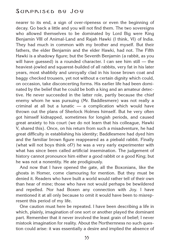nearer to its end, a sign of over-ripeness or even the beginning of decay. Go back a little and you will not find them. The two sovereigns who allowed themselves to be dominated by Lord Big were King Benjamin VIII of Animal-Land and Rajah Hawki (I think, VI) of India. They had much in common with my brother and myself. But their fathers, the elder Benjamin and the elder Hawki, had not. The Fifth Hawki is a shadowy figure; but the Seventh Benjamin (a rabbit, as you will have guessed) is a rounded character. I can see him still — the heaviest-jowled and squarest-builded of all rabbits, very fat in his later years, most shabbily and unroyally clad in his loose brown coat and baggy checked trousers, yet not without a certain dignity which could, on occasion, take disconcerting forms. His earlier life had been dominated by the belief that he could be both a king and an amateur detective. He never succeeded in the latter role, partly because the chief enemy whom he was pursuing (Mr. Baddlesmere) was not really a criminal at all but a lunatic — a complication which would have thrown out the plans of Sherlock Holmes himself. But he very often got himself kidnapped, sometimes for longish periods, and caused great anxiety to his court (we do not learn that his colleague, Hawki V, shared this). Once, on his return from such a misadventure, he had great difficulty in establishing his identity; Baddlesmere had dyed him and the familiar brown figure reappeared as a piebald rabbit. Finally (what will not boys think of?) he was a very early experimenter with what has since been called artificial insemination. The judgement of history cannot pronounce him either a good rabbit or a good King; but he was not a nonentity. He ate prodigiously.

And now that I have opened the gate, all the Boxonians, like the ghosts in Homer, come clamouring for mention. But they must be denied it. Readers who have built a world would rather tell of their own than hear of mine; those who have not would perhaps be bewildered and repelled. Nor had Boxen any connection with Joy. I have mentioned it at all only because to omit it would have been to misrepresent this period of my life.

One caution must here be repeated. I have been describing a life in which, plainly, imagination of one sort or another played the dominant part. Remember that it never involved the least grain of belief; I never mistook imagination for reality. About the Northernness no such question could arise: it was essentially a desire and implied the absence of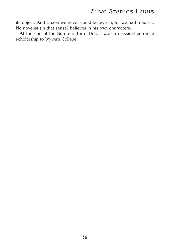its object. And Boxen we never could believe in, for we had made it. No novelist (in that sense) believes in his own characters.

At the end of the Summer Term 1913 I won a classical entrance scholarship to Wyvern College.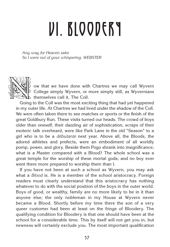## VI. Bloodery

*Any way for Heaven sake So I were out of your whispering. WEBSTER*



Now that we have done with Chartres we may call Wyvern<br>College simply Wyvern, or more simply still, as Wyvernians<br>States themselves call it, The Coll. College simply Wyvern, or more simply still, as Wyvernians **themselves call it. The Coll.** 

Going to the Coll was the most exciting thing that had yet happened in my outer life. At Chartres we had lived under the shadow of the Coll. We were often taken there to see matches or sports or the finish of the great Goldbury Run. These visits turned our heads. The crowd of boys older than oneself, their dazzling air of sophistication, scraps of their esoteric talk overheard, were like Park Lane in the old "Season" to a girl who is to be a *débutante* next year. Above all, the Bloods, the adored athletes and prefects, were an embodiment of all worldly pomp, power, and glory. Beside them Pogo shrank into insignificance; what is a Master compared with a Blood? The whole school was a great temple for the worship of these mortal gods; and no boy ever went there more prepared to worship them than I.

If you have not been at such a school as Wyvern, you may ask what a *Blood* is. He is a member of the school aristocracy. Foreign readers must clearly understand that this aristocracy has nothing whatever to do with the social position of the boys in the outer world. Boys of good, or wealthy, family are no more likely to be in it than anyone else; the only nobleman in my House at Wyvern never became a Blood. Shortly before my time there the son of a very queer customer had been at least on the fringe of Bloodery. The qualifying condition for Bloodery is that one should have been at the school for a considerable time. This by itself will not get you in, but newness will certainly exclude you. The most important qualification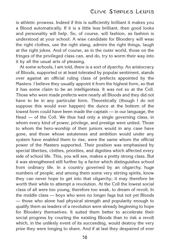is athletic prowess. Indeed if this is sufficiently brilliant it makes you a Blood automatically. If it is a little less brilliant, then good looks and personality will help. So, of course, will fashion, as fashion is understood at your school. A wise candidate for Bloodery will wear the right clothes, use the right slang, admire the right things, laugh at the right jokes. And of course, as in the outer world, those on the fringes of the privileged class can, and do, try to worm their way into it by all the usual arts of pleasing.

At some schools, I am told, there is a sort of dyarchy. An aristocracy of Bloods, supported or at least tolerated by popular sentiment, stands over against an official ruling class of prefects appointed by the Masters. I believe they usually appoint it from the highest form, so that it has some claim to be an intelligentsia. It was not so at the Coll. Those who were made prefects were nearly all Bloods and they did not have to be in any particular form. Theoretically (though I do not suppose this would ever happen) the dunce at the bottom of the lowest form could have been made the captain — in our language, the Head — of the Coll. We thus had only a single governing class, in whom every kind of power, privilege, and prestige were united. Those to whom the hero-worship of their juniors would in any case have gone, and those whose astuteness and ambition would under any system have enabled them to rise, were the same whom the official power of the Masters supported. Their position was emphasised by special liberties, clothes, priorities, and dignities which affected every side of school life. This, you will see, makes a pretty strong class. But it was strengthened still further by a factor which distinguishes school from ordinary life. In a country governed by an oligarchy, huge numbers of people, and among them some very stirring spirits, know they can never hope to get into that oligarchy; it may therefore be worth their while to attempt a revolution. At the Coll the lowest social class of all were too young, therefore too weak, to dream of revolt. In the middle class — boys who were no longer fags but not yet Bloods — those who alone had physical strength and popularity enough to qualify them as leaders of a revolution were already beginning to hope for Bloodery themselves. It suited them better to accelerate their social progress by courting the existing Bloods than to risk a revolt which, in the unlikely event of its succeeding, would destroy the very prize they were longing to share. And if at last they despaired of ever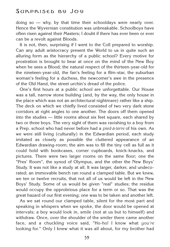doing so — why, by that time their schooldays were nearly over. Hence the Wyvernian constitution was unbreakable. Schoolboys have often risen against their Masters; I doubt if there has ever been or ever can be a revolt against Bloods.

It is not, then, surprising if I went to the Coll prepared to worship. Can any adult aristocracy present the World to us in quite such an alluring form as the hierarchy of a public school? Every motive for prostration is brought to bear at once on the mind of the New Boy when he sees a Blood; the natural respect of the thirteen-year-old for the nineteen-year-old, the fan's feeling for a film-star, the suburban woman's feeling for a duchess, the newcomer's awe in the presence of the Old Hand, the street urchin's dread of the police.

One's first hours at a public school are unforgettable. Our House was a tall, narrow stone building (and, by the way, the only house in the place which was not an architectural nightmare) rather like a ship. The deck on which we chiefly lived consisted of two very dark stone corridors at right angles to one another. The doors off them opened into the studies — little rooms about six feet square, each shared by two or three boys. The very sight of them was ravishing to a boy from a Prep. school who had never before had a *pied-à-terre* of his own. As we were still living (culturally) in the Edwardian period, each study imitated as closely as possible the cluttered appearance of an Edwardian drawing-room; the aim was to fill the tiny cell as full as it could hold with bookcases, corner cupboards, knick-knacks, and pictures. There were two larger rooms on the same floor; one the "Pres' Room", the synod of Olympus, and the other the New Boys' Study. It was not like a study at all. It was larger, darker, and undecorated; an immovable bench ran round a clamped table. But we knew, we ten or twelve recruits, that not all of us would be left in the New Boys' Study. Some of us would be given "real" studies; the residue would occupy the opprobrious place for a term or so. That was the great hazard of our first evening; one was to be taken and another left.

As we sat round our clamped table, silent for the most part and speaking in whispers when we spoke, the door would be opened at intervals; a boy would look in, smile (not at us but to himself) and withdraw. Once, over the shoulder of the smiler there came another face, and a chuckling voice said, "Ho-ho! I know what *you're* looking for." Only I knew what it was all about, for my brother had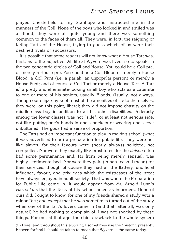played Chesterfield to my Stanhope and instructed me in the manners of the Coll. None of the boys who looked in and smiled was a Blood; they were all quite young and there was something common to the faces of them all. They were, in fact, the reigning or fading Tarts of the House, trying to guess which of us were their destined rivals or successors.

It is possible that some readers will not know what a House Tart was. First, as to the adjective. All life at Wyvern was lived, so to speak, in the two concentric circles of Coll and House. You could be a Coll pre. or merely a House pre. You could be a Coll Blood or merely a House Blood, a Coll Punt (i.e. a pariah, an unpopular person) or merely a House Punt; and of course a Coll Tart or merely a House Tart. A Tart is<sup>5</sup> a pretty and effeminate-looking small boy who acts as a catamite to one or more of his seniors, usually Bloods. Usually, not always. Though our oligarchy kept most of the amenities of life to themselves, they were, on this point, liberal; they did not impose chastity on the middle-class boy in addition to all his other disabilities. Pederasty among the lower classes was not "side", or at least not serious side; not like putting one's hands in one's pockets or wearing one's coat unbuttoned. The gods had a sense of proportion.

The Tarts had an important function to play in making school (what it was advertised to be) a preparation for public life. They were not like slaves, for their favours were (nearly always) solicited, not compelled. Nor were they exactly like prostitutes, for the *liaison* often had some permanence and, far from being merely sensual, was highly sentimentalised. Nor were they paid (in hard cash, I mean) for their services; though of course they had all the flattery, unofficial influence, favour, and privileges which the mistresses of the great have always enjoyed in adult society. That was where the Preparation for Public Life came in. It would appear from Mr. Arnold Lunn's *Harrovians* that the Tarts at his school acted as informers. None of ours did. I ought to know, for one of my friends shared a study with a minor Tart; and except that he was sometimes turned out of the study when one of the Tart's lovers came in (and that, after all, was only natural) he had nothing to complain of. I was not shocked by these things. For me, at that age, the chief drawback to the whole system

<sup>5 -</sup> Here, and throughout this account, I sometimes use the "historic present". Heaven forfend I should be taken to mean that Wyvern is the same today.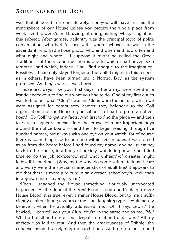was that it bored me considerably. For you will have missed the atmosphere of our House unless you picture the whole place from week's end to week's end buzzing, tittering, hinting, whispering about this subject. After games, gallantry was the principal topic of polite conversation; who had "a case with" whom, whose star was in the ascendant, who had whose photo, who and when and how often and what night and where.... I suppose it might be called the Greek Tradition. But the vice in question is one to which I had never been tempted, and which, indeed, I still find opaque to the imagination. Possibly, if I had only stayed longer at the Coll, I might, in this respect as in others, have been turned into a Normal Boy, as the system promises. As things were, I was bored.

Those first days, like your first days in the army, were spent in a frantic endeavour to find out what you had to do. One of my first duties was to find out what "Club" I was in. Clubs were the units to which we were assigned for compulsory games; they belonged to the Coll organisation, not the House organisation, so I had to go to a noticeboard "Up Coll" to get my facts. And first to find the place — and then to dare to squeeze oneself into the crowd of more important boys around the notice-board — and then to begin reading through five hundred names, but always with one eye on your watch, for of course there is something else to be done within ten minutes. I was forced away from the board before I had found my name, and so, sweating, back to the House, in a flurry of anxiety, wondering how I could find time to do the job to-morrow and what unheard-of disaster might follow if I could not. (Why, by the way, do some writers talk as if care and worry were the special characteristics of adult life? It appears to me that there is more *atra cura* in an average schoolboy's week than in a grown man's average year.)

When I reached the House something gloriously unexpected happened. At the door of the Pres' Room stood one Fribble; a mere House Blood, it is true, even a minor House Blood, but to me a sufficiently exalted figure; a youth of the lean, laughing type. I could hardly believe it when he actually addressed me. "Oh, I say, Lewis," he bawled, "I can tell you your Club. You're in the same one as me, B6." What a transition from all but despair to elation I underwent! All my anxiety was laid to rest. And then the graciousness of Fribble, the condescension! If a reigning monarch had asked me to dine, I could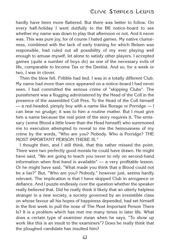hardly have been more flattered. But there was better to follow. On every half-holiday I went dutifully to the B6 notice-board to see whether my name was down to play that afternoon or not. And it never was. This was pure joy, for of course I hated games. My native clumsiness, combined with the lack of early training for which Belsen was responsible, had ruled out all possibility of my ever playing well enough to amuse myself, let alone to satisfy other players. I accepted games (quite a number of boys do) as one of the necessary evils of life, comparable to Income Tax or the Dentist. And so, for a week or two, I was in clover.

Then the blow fell. Fribble had lied. I was in a totally different Club. My name had more than once appeared on a notice-board I had never seen. I had committed the serious crime of "skipping Clubs". The punishment was a flogging administered by the Head of the Coll in the presence of the assembled Coll Pres. To the Head of the Coll himself — a red-headed, pimply boy with a name like Borage or Porridge — I can bear no grudge; it was to him a routine matter. But I must give him a name because the real point of the story requires it. The emissary (some Blood a little lower than the Head himself) who summoned me to execution attempted to reveal to me the heinousness of my crime by the words, "Who are you? Nobody. Who is Porridge? THE MOST IMPORTANT PERSON THERE IS."

I thought then, and I still think, that this rather missed the point. There were two perfectly good morals he could have drawn. He might have said, "We are going to teach you never to rely on second-hand information when first-hand is available" — a very profitable lesson. Or he might have said, "What made you think that a Blood could not be a liar?" But, "Who are you? Nobody," however just, seems hardly relevant. The implication is that I have skipped Club in arrogance or defiance. And I puzzle endlessly over the question whether the speaker really believed that. Did he really think it likely that an utterly helpless stranger in a new society, a society governed by an irresistible class on whose favour all his hopes of happiness depended, had set himself in the first week to pull the nose of The Most Important Person There Is? It is a problem which has met me many times in later life. What does a certain type of examiner mean when he says, "To show up work like this is an insult to the examiners"? Does he really think that the ploughed candidate has insulted him?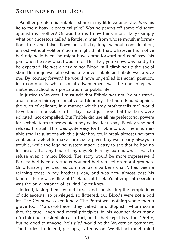Another problem is Fribble's share in my little catastrophe. Was his lie to me a hoax, a practical joke? Was he paying off some old score against my brother? Or was he (as I now think most likely) simply what our ancestors called a Rattle, a man from whose mouth information, true and false, flows out all day long without consideration, almost without volition? Some might think that, whatever his motive had originally been, he might have come forward and confessed his part when he saw what I was in for. But that, you know, was hardly to be expected. He was a very minor Blood, still climbing up the social stair; Burradge was almost as far above Fribble as Fribble was above me. By coming forward he would have imperilled his social position, in a community where social advancement was the one thing that mattered; school is a preparation for public life.

In justice to Wyvern, I must add that Fribble was not, by our standards, quite a fair representative of Bloodery. He had offended against the rules of gallantry in a manner which (my brother tells me) would have been impossible in his day. I said just now that the Tarts were solicited, not compelled. But Fribble did use all his prefectorial powers for a whole term to persecute a boy called, let us say, Parsley who had refused his suit. This was quite easy for Fribble to do. The innumerable small regulations which a junior boy could break almost unawares enabled a prefect to make sure that a given boy was nearly always in trouble, while the fagging system made it easy to see that he had no leisure at all at any hour of any day. So Parsley learned what it was to refuse even a minor Blood. The story would be more impressive if Parsley had been a virtuous boy and had refused on moral grounds. Unfortunately he was "as common as a barber's chair", had been a reigning toast in my brother's day, and was now almost past his bloom. He drew the line at Fribble. But Fribble's attempt at coercion was the only instance of its kind I ever knew.

Indeed, taking them by and large, and considering the temptations of adolescents, so privileged, so flattered, our Bloods were not a bad lot. The Count was even kindly. The Parrot was nothing worse than a grave fool: "Yards-of-Face" they called him. Stopfish, whom some thought cruel, even had moral principles; in his younger days many (I'm told) had desired him as a Tart, but he had kept his virtue. "Pretty, but no good to anyone; he's *pie*," would be the Wyvernian comment. The hardest to defend, perhaps, is Tennyson. We did not much mind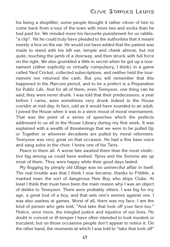his being a shoplifter; some people thought it rather clever of him to come back from a tour of the town with more ties and socks than he had paid for. We minded more his favourite punishment for us rabble, "a clip". Yet he could truly have pleaded to the authorities that it meant merely a box on the ear. He would not have added that the patient was made to stand with his left ear, temple and cheek almost, but not quite, touching the jamb of a doorway, and then struck with full force on the right. We also grumbled a little in secret when he got up a tournament (either explicitly or virtually compulsory, I think) in a game called Yard Cricket, collected subscriptions, and neither held the tournament nor returned the cash. But you will remember that this happened in the Marconi period, and to be a prefect is a Preparation for Public Life. And for all of them, even Tennyson, one thing can be said; they were never drunk. I was told that their predecessors, a year before I came, were sometimes very drunk indeed in the House corridor at mid-day. In fact, odd as it would have sounded to an adult, I joined the House when it was in a stern mood of moral rearmament. That was the point of a series of speeches which the prefects addressed to us all in the House Library during my first week. It was explained with a wealth of threatenings that we were to be pulled Up or Together or wherever decadents are pulled by moral reformers. Tennyson was very great on that occasion. He had a fine bass voice and sang solos in the choir. I knew one of his Tarts.

Peace to them all. A worse fate awaited them than the most vindictive fag among us could have wished. Ypres and the Somme ate up most of them. They were happy while their good days lasted.

My flogging by pimply old Ullage was no unmerciful affair in itself. The real trouble was that I think I now became, thanks to Fribble, a marked man; the sort of dangerous New Boy who skips Clubs. At least I think that must have been the main reason why I was an object of dislike to Tennyson. There were probably others. I was big for my age, a great lout of a boy, and that sets one's seniors against one. I was also useless at games. Worst of all, there was my face. I am the kind of person who gets told, "And take that look off your face too." Notice, once more, the mingled justice and injustice of our lives. No doubt in conceit or ill-temper I have often intended to look insolent or truculent; but on those occasions people don't appear to notice it. On the other hand, the moments at which I was told to "take that look off"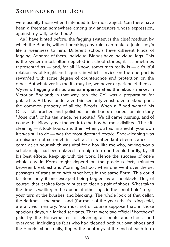were usually those when I intended to be most abject. Can there have been a freeman somewhere among my ancestors whose expression, against my will, looked out?

As I have hinted before, the fagging system is the chief medium by which the Bloods, without breaking any rule, can make a junior boy's life a weariness to him. Different schools have different kinds of fagging. At some of them, individual Bloods have individual fags. This is the system most often depicted in school stories; it is sometimes represented as — and, for all I know, sometimes really is — a fruitful relation as of knight and squire, in which service on the one part is rewarded with some degree of countenance and protection on the other. But whatever its merits may be, we never experienced them at Wyvern. Fagging with us was as impersonal as the labour-market in Victorian England; in that way, too, the Coll was a preparation for public life. All boys under a certain seniority constituted a labour pool, the common property of all the Bloods. When a Blood wanted his O.T.C. kit brushed and polished, or his boots cleaned, or his study "done out", or his tea made, he shouted. We all came running, and of course the Blood gave the work to the boy he most disliked. The kitcleaning — it took hours, and then, when you had finished it, your own kit was still to do — was the most detested *corvée*. Shoe-cleaning was a nuisance not so much in itself as in its attendant circumstances. It came at an hour which was vital for a boy like me who, having won a scholarship, had been placed in a high form and could hardly, by all his best efforts, keep up with the work. Hence the success of one's whole day in Form might depend on the precious forty minutes between breakfast and Morning School, when one went over the set passages of translation with other boys in the same Form. This could be done only if one escaped being fagged as a shoeblack. Not, of course, that it takes forty minutes to clean a pair of shoes. What takes the time is waiting in the queue of other fags in the "boot-hole" to get your turn at the brushes and blacking. The whole look of that cellar, the darkness, the smell, and (for most of the year) the freezing cold, are a vivid memory. You must not of course suppose that, in those spacious days, we lacked servants. There were two official "bootboys" paid by the Housemaster for cleaning all boots and shoes, and everyone, including us fags who had cleaned both our own shoes and the Bloods' shoes daily, tipped the bootboys at the end of each term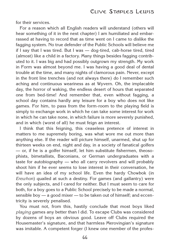for their services.

For a reason which all English readers will understand (others will hear something of it in the next chapter) I am humiliated and embarrassed at having to record that as time went on I came to dislike the fagging system. No true defender of the Public Schools will believe me if I say that I was tired. But I was — dog-tired, cab-horse tired, tired (almost) like a child in a factory. Many things besides fagging contributed to it. I was big and had possibly outgrown my strength. My work in Form was almost beyond me. I was having a good deal of dental trouble at the time, and many nights of clamorous pain. Never, except in the front line trenches (and not always there) do I remember such aching and continuous weariness as at Wyvern. Oh, the implacable day, the horror of waking, the endless desert of hours that separated one from bed-time! And remember that, even without fagging, a school day contains hardly any leisure for a boy who does not like games. For him, to pass from the form-room to the playing field is simply to exchange work in which he can take some interest for work in which he can take none, in which failure is more severely punished, and in which (worst of all) he must feign an interest.

I think that this feigning, this ceaseless pretence of interest in matters to me supremely boring, was what wore me out more than anything else. If the reader will picture himself, unarmed, shut up for thirteen weeks on end, night and day, in a society of fanatical golfers — or, if he is a golfer himself, let him substitute fishermen, theosophists, bimetallists, Baconians, or German undergraduates with a taste for autobiography — who all carry revolvers and will probably shoot him if he ever seems to lose interest in their conversation, he will have an idea of my school life. Even the hardy Chowbok (in *Erewhon*) quailed at such a destiny. For games (and gallantry) were the only subjects, and I cared for neither. But I must seem to care for both, for a boy goes to a Public School precisely to be made a normal, sensible boy — a good mixer — to be taken out of himself; and eccentricity is severely penalised.

You must not, from this, hastily conclude that most boys liked *playing* games any better than I did. To escape Clubs was considered by dozens of boys an obvious good. Leave off Clubs required the Housemaster's signature, and that harmless Merovingian's signature was imitable. A competent forger (I knew one member of the profes-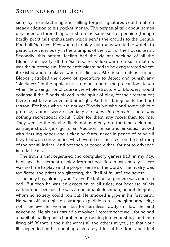sion) by manufacturing and selling forged signatures could make a steady addition to his pocket money. The perpetual talk about games depended on three things. First, on the same sort of genuine (though hardly practical) enthusiasm which sends the crowds to the League Football Matches. Few wanted to play, but many wanted to watch, to participate vicariously in the triumphs of the Coll, or the House, team. Secondly, this natural feeling had the vigilant backing of all the Bloods and nearly all the Masters. To be lukewarm on such matters was the supreme sin. Hence enthusiasm had to be exaggerated where it existed and simulated where it did not. At cricket matches minor Bloods patrolled the crowd of spectators to detect and punish any "slackness" in the applause; it reminds one of the precautions taken when Nero sang. For of course the whole structure of Bloodery would collapse if the Bloods played in the spirit of play, for their recreation; there must be audience and limelight. And this brings us to the third reason. For boys who were not yet Bloods but who had some athletic promise, Games were essentially a *moyen de parvenir*. There was nothing recreational about Clubs for them any more than for me. They went to the playing fields not as men go to the tennis-club but as stage-struck girls go to an Audition; tense and anxious, racked with dazzling hopes and sickening fears, never in peace of mind till they had won some notice which would set their feet on the first rung of the social ladder. And not then at peace either; for not to advance is to fall back.

The truth is that organised and compulsory games had, in my day, banished the element of play from school life almost entirely. There was no time to play (in the proper sense of the word). The rivalry was too fierce, the prizes too glittering, the "hell of failure" too severe.

The only boy, almost, who "played" (but not at games) was our Irish earl. But then he was an exception to all rules; not because of his earldom but because he was an untamable Irishman, anarch in grain, whom no society could iron out. He smoked a pipe in his first term. He went off by night on strange expeditions to a neighbouring city; not, I believe, for women, but for harmless rowdyism, low life, and adventure. He always carried a revolver. I remember it well, for he had a habit of loading one chamber only, rushing into your study, and then firing off (if that is the right word) all the others at you, so that your life depended on his counting accurately. I felt at the time, and I feel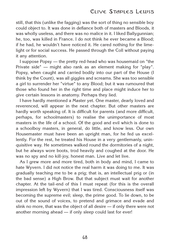still, that this (unlike the fagging) was the sort of thing no sensible boy could object to. It was done in defiance both of masters and Bloods, it was wholly useless, and there was no malice in it. I liked Ballygunnian; he, too, was killed in France. I do not think he ever became a Blood; if he had, he wouldn't have noticed it. He cared nothing for the limelight or for social success. He passed through the Coll without paying it any attention.

I suppose Popsy — the pretty red-head who was housemaid on "the Private side" — might also rank as an element making for "play". Popsy, when caught and carried bodily into our part of the House (I think by the Count), was all giggles and screams. She was too sensible a girl to surrender her "virtue" to any Blood; but it was rumoured that those who found her in the right time and place might induce her to give certain lessons in anatomy. Perhaps they lied.

I have hardly mentioned a Master yet. One master, dearly loved and reverenced, will appear in the next chapter. But other masters are hardly worth speaking of. It is difficult for parents (and more difficult, perhaps, for schoolmasters) to realise the unimportance of most masters in the life of a school. Of the good and evil which is done to a schoolboy masters, in general, do little, and know less. Our own Housemaster must have been an upright man, for he fed us excellently. For the rest, he treated his House in a very gentlemanly, uninquisitive way. He sometimes walked round the dormitories of a night, but he always wore boots, trod heavily and coughed at the door. He was no spy and no kill-joy, honest man. Live and let live.

As I grew more and more tired, both in body and mind, I came to hate Wyvern. I did not notice the real harm it was doing to me. It was gradually teaching me to be a prig; that is, an intellectual prig or (in the bad sense) a High Brow. But that subject must wait for another chapter. At the tail-end of this I must repeat (for this is the overall impression left by Wyvern) that I was tired. Consciousness itself was becoming the supreme evil; sleep, the prime good. To lie down, to be out of the sound of voices, to pretend and grimace and evade and slink no more, that was the object of all desire — if only there were not another morning ahead — if only sleep could last for ever!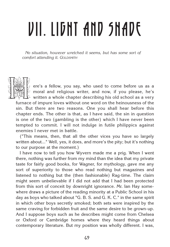# VII. Light and Shade

*No situation, however wretched it seems, but has some sort of*   $confort$  attending it. GOLDSMITH



ere's a fellow, you say, who used to come before us as a moral and religious writer, and now, if you please, he's written a whole chapter describing his old school as a very

furnace of impure loves without one word on the heinousness of the sin. But there are two reasons. One you shall hear before this chapter ends. The other is that, as I have said, the sin in question is one of the two (gambling is the other) which I have never been tempted to commit. I will not indulge in futile philippics against enemies I never met in battle.

("This means, then, that all the other vices you have so largely written about..." Well, yes, it does, and more's the pity; but it's nothing to our purpose at the moment.)

I have now to tell you how Wyvern made me a prig. When I went there, nothing was further from my mind than the idea that my private taste for fairly good books, for Wagner, for mythology, gave me any sort of superiority to those who read nothing but magazines and listened to nothing but the (then fashionable) Rag-time. The claim might seem unbelievable if I did not add that I had been protected from this sort of conceit by downright ignorance. Mr. Ian Hay somewhere draws a picture of the reading minority at a Public School in his day as boys who talked about "G. B. S. and G. K. C." in the same spirit in which other boys secretly smoked; both sets were inspired by the same craving for forbidden fruit and the same desire to be grown-up. And I suppose boys such as he describes might come from Chelsea or Oxford or Cambridge homes where they heard things about contemporary literature. But my position was wholly different. I was,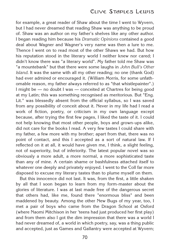for example, a great reader of Shaw about the time I went to Wyvern, but I had never dreamed that reading Shaw was anything to be proud of. Shaw was an author on my father's shelves like any other author. I began reading him because his *Dramatic Opinions* contained a good deal about Wagner and Wagner's very name was then a lure to me. Thence I went on to read most of the other Shaws we had. But how his reputation stood in the literary world I neither knew nor cared; I didn't know there was "a literary world". My father told me Shaw was "a mountebank" but that there were some laughs in *John Bull's Other Island*. It was the same with all my other reading; no one (thank God) had ever admired or encouraged it. (William Morris, for some unfathomable reason, my father always referred to as "that whistlepainter".) I might be — no doubt I was — conceited at Chartres for being good at my Latin; this was something recognised as meritorious. But "Eng. Lit." was blessedly absent from the official syllabus, so I was saved from any possibility of conceit about it. Never in my life had I read a work of fiction, poetry, or criticism in my own language except because, after trying the first few pages, I liked the taste of it. I could not help knowing that most other people, boys and grown-ups alike, did not care for the books I read. A very few tastes I could share with my father, a few more with my brother; apart from that, there was no point of contact, and this I accepted as a sort of natural law. If I reflected on it at all, it would have given me, I think, a slight feeling, not of superiority, but of inferiority. The latest popular novel was so obviously a more adult, a more normal, a more sophisticated taste than any of mine. A certain shame or bashfulness attached itself to whatever one deeply and privately enjoyed. I went to the Coll far more disposed to excuse my literary tastes than to plume myself on them.

But this innocence did not last. It was, from the first, a little shaken by all that I soon began to learn from my form-master about the glories of literature. I was at last made free of the dangerous secret that others had, like me, found there "enormous bliss" and been maddened by beauty. Among the other New Bugs of my year, too, I met a pair of boys who came from the Dragon School at Oxford (where Naomi Mitchison in her 'teens had just produced her first play) and from them also I got the dim impression that there was a world I had never dreamed of, a world in which poetry, say, was a thing public and accepted, just as Games and Gallantry were accepted at Wyvern;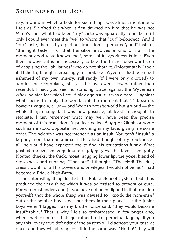nay, a world in which a taste for such things was almost meritorious. I felt as Siegfried felt when it first dawned on him that he was not Mime's son. What had been "my" taste was apparently "our" taste (if only I could ever meet the "we" to whom that "our" belonged). And if "our" taste, then — by a perilous transition — perhaps "good" taste or "the right taste". For that transition involves a kind of Fall. The moment good taste knows itself, some of its goodness is lost. Even then, however, it is not necessary to take the further downward step of despising the "philistines" who do not share it. Unfortunately I took it. Hitherto, though increasingly miserable at Wyvern, I had been half ashamed of my own misery, still ready (if I were only allowed) to admire the Olympians, still a little overawed, cowed rather than resentful. I had, you see, no standing place against the Wyvernian *ethos*, no side for which I could play against it; it was a bare "I" against what seemed simply the world. But the moment that "I" became, however vaguely, a *we* — and Wyvern not *the* world but *a* world — the whole thing changed. It was now possible, at least in thought, to retaliate. I can remember what may well have been the precise moment of this transition. A prefect called Blugg or Glubb or some such name stood opposite me, belching in my face, giving me some order. The belching was not intended as an insult. You can't "insult" a fag any more than an animal. If Bulb had thought of my reactions at all, he would have expected me to find his eructations funny. What pushed me over the edge into pure priggery was his face — the puffy bloated cheeks, the thick, moist, sagging lower lip, the yokel blend of drowsiness and cunning. "The lout!" I thought. "The clod! The dull, crass clown! For all his powers and privileges, I would not be he." I had become a Prig, a High-Brow.

The interesting thing is that the Public School system had thus produced the very thing which it was advertised to prevent or cure. For you must understand (if you have not been dipped in that tradition yourself) that the whole thing was devised to "knock the nonsense" out of the smaller boys and "put them in their place". "If the junior boys weren't fagged," as my brother once said, "they would become insufferable." That is why I felt so embarrassed, a few pages ago, when I had to confess that I got rather tired of perpetual fagging. If you say this, every true defender of the system will diagnose your case at once, and they will all diagnose it in the same way. "Ho-ho!" they will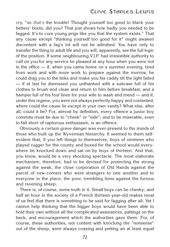cry, "so *that's* the trouble! Thought yourself too good to black your betters' boots, did you? That just shows how badly you needed to be fagged. It's to cure young prigs like you that the system exists." That any cause except "thinking yourself too good for it" might awaken discontent with a fag's lot will not be admitted. You have only to transfer the thing to adult life and you will, apparently, see the full logic of the position. If some neighbouring V.I.P. had irresistible authority to call on you for any service he pleased at any hour when you were not in the office — if, when you came home on a summer evening, tired from work and with more work to prepare against the morrow, he could drag you to the links and make you his caddy till the light failed — if at last he dismissed you unthanked with a suitcase full of his clothes to brush and clean and return to him before breakfast, and a hamper full of his foul linen for your wife to wash and mend — and if, under this regime, you were not always perfectly happy and contented; where could the cause lie except in your own vanity? What else, after all, could it be? For, almost by definition, every offence a junior boy commits must be due to "cheek" or "side"; and to be miserable, even to fall short of rapturous enthusiasm, is an offence.

Obviously a certain grave danger was ever-present to the minds of those who built up the Wyvernian hierarchy. It seemed to them selfevident that, if you left things to themselves, boys of nineteen who played rugger for the county and boxed for the school would everywhere be knocked down and sat on by boys of thirteen. And that, you know, would be a very shocking spectacle. The most elaborate mechanism, therefore, had to be devised for protecting the strong against the weak, the close corporation of Old Hands against the parcel of new-comers who were strangers to one another and to everyone in the place, the poor, trembling lions against the furious and ravening sheep.

There is, of course, some truth in it. Small boys can be cheeky; and half an hour in the society of a French thirteen-year-old makes most of us feel that there is something to be said for fagging after all. Yet I cannot help thinking that the bigger boys would have been able to hold their own without all the complicated assurances, pattings on the back, and encouragement which the authorities gave them. For, of course, these authorities, not content with knocking the "nonsense" out of the sheep, were always coaxing and petting an at least equal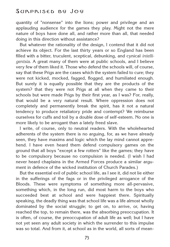quantity of "nonsense" into the lions; power and privilege and an applauding audience for the games they play. Might not the mere nature of boys have done all, and rather more than all, that needed doing in this direction without assistance?

But whatever the rationality of the design, I contend that it did not achieve its object. For the last thirty years or so England has been filled with a bitter, truculent, sceptical, debunking, and cynical *intelligentsia*. A great many of them were at public schools, and I believe very few of them liked it. Those who defend the schools will, of course, say that these Prigs are the cases which the system failed to cure; they were not kicked, mocked, fagged, flogged, and humiliated enough. But surely it is equally possible that they are the products of the system? that they were not Prigs at all when they came to their schools but were made Prigs by their first year, as I was? For, really, that would be a very natural result. Where oppression does not completely and permanently break the spirit, has it not a natural tendency to produce retaliatory pride and contempt? We reimburse ourselves for cuffs and toil by a double dose of self-esteem. No one is more likely to be arrogant than a lately freed slave.

I write, of course, only to neutral readers. With the wholehearted adherents of the system there is no arguing, for, as we have already seen, they have maxims and logic which the lay mind cannot apprehend. I have even heard them defend compulsory games on the ground that all boys "except a few rotters" like the games; they have to be compulsory because no compulsion is needed. (I wish I had never heard chaplains in the Armed Forces produce a similar argument in defence of the wicked institution of Church Parades.)

But the essential evil of public school life, as I see it, did not lie either in the sufferings of the fags or in the privileged arrogance of the Bloods. These were symptoms of something more all-pervasive, something which, in the long run, did most harm to the boys who succeeded best at school and were happiest there. Spiritually speaking, the deadly thing was that school life was a life almost wholly dominated by the social struggle; to get on, to arrive, or, having reached the top, to remain there, was the absorbing preoccupation. It is often, of course, the preoccupation of adult life as well; but I have not yet seen any adult society in which the surrender to this impulse was so total. And from it, at school as in the world, all sorts of mean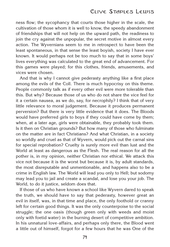ness flow; the sycophancy that courts those higher in the scale, the cultivation of those whom it is well to know, the speedy abandonment of friendships that will not help on the upward path, the readiness to join the cry against the unpopular, the secret motive in almost every action. The Wyvernians seem to me in retrospect to have been the least spontaneous, in that sense the least boyish, society I have ever known. It would perhaps not be too much to say that in some boys' lives everything was calculated to the great end of advancement. For this games were played; for this clothes, friends, amusements, and vices were chosen.

And that is why I cannot give pederasty anything like a first place among the evils of the Coll. There is much hypocrisy on this theme. People commonly talk as if every other evil were more tolerable than this. But why? Because those of us who do not share the vice feel for it a certain nausea, as we do, say, for necrophily? I think that of very little relevance to moral judgement. Because it produces permanent perversion? But there is very little evidence that it does. The Bloods would have preferred girls to boys if they could have come by them; when, at a later age, girls were obtainable, they probably took them. Is it then on Christian grounds? But how many of those who fulminate on the matter are in fact Christians? And what Christian, in a society so worldly and cruel as that of Wyvern, would pick out the carnal sins for special reprobation? Cruelty is surely more evil than lust and the World at least as dangerous as the Flesh. The real reason for all the pother is, in my opinion, neither Christian nor ethical. We attack this vice not because it is the worst but because it is, by adult standards, the most disreputable and unmentionable, and happens also to be a crime in English law. The World will lead you only to Hell; but sodomy may lead you to jail and create a scandal, and lose you your job. The World, to do it justice, seldom does that.

If those of us who have known a school like Wyvern dared to speak the truth, we should have to say that pederasty, however great an evil in itself, was, in that time and place, the only foothold or cranny left for certain good things. It was the only counterpoise to the social struggle; the one oasis (though green only with weeds and moist only with foetid water) in the burning desert of competitive ambition. In his unnatural love-affairs, and perhaps only there, the Blood went a little out of himself, forgot for a few hours that he was One of the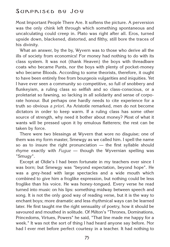Most Important People There Are. It softens the picture. A perversion was the only chink left through which something spontaneous and uncalculating could creep in. Plato was right after all. Eros, turned upside down, blackened, distorted, and filthy, still bore the traces of his divinity.

What an answer, by the by, Wyvern was to those who derive all the ills of society from economics! For money had nothing to do with its class system. It was not (thank Heaven) the boys with threadbare coats who became Punts, nor the boys with plenty of pocket-money who became Bloods. According to some theorists, therefore, it ought to have been entirely free from bourgeois vulgarities and iniquities. Yet I have ever seen a community so competitive, so full of snobbery and flunkeyism, a ruling class so selfish and so class-conscious, or a proletariat so fawning, so lacking in all solidarity and sense of corporate honour. But perhaps one hardly needs to cite experience for a truth so obvious *a priori*. As Aristotle remarked, men do not become dictators in order to keep warm. If a ruling class has some other source of strength, why need it bother about money? Most of what it wants will be pressed upon it by emulous flatterers; the rest can be taken by force.

There were two blessings at Wyvern that wore no disguise; one of them was my form master, Smewgy as we called him. I spell the name so as to insure the right pronunciation — the first syllable should rhyme exactly with *Fugue* — though the Wyvernian spelling was "Smugy".

Except at Oldie's I had been fortunate in my teachers ever since I was born; but Smewgy was "beyond expectation, beyond hope". He was a grey-head with large spectacles and a wide mouth which combined to give him a froglike expression, but nothing could be less froglike than his voice. He was honey-tongued. Every verse he read turned into music on his lips: something midway between speech and song. It is not the only good way of reading verse, but it is the way to enchant boys; more dramatic and less rhythmical ways can be learned later. He first taught me the right sensuality of poetry, how it should be savoured and mouthed in solitude. Of Milton's "Thrones, Dominations, Princedoms, Virtues, Powers" he said, "That line made me happy for a week." It was not the sort of thing I had heard anyone say before. Nor had I ever met before perfect courtesy in a teacher. It had nothing to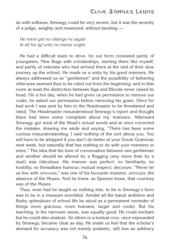do with softness; Smewgy could be very severe, but it was the severity of a judge, weighty and measured, without taunting —

*He never yet no vileinye ne sayde In all his lyf unto no maner wight.*

He had a difficult team to drive, for our form consisted partly of youngsters, New Bugs with scholarships, starting there like myself, and partly of veterans who had arrived there at the end of their slow journey up the school. He made us a unity by his good manners. He always addressed us as "gentlemen" and the possibility of behaving otherwise seemed thus to be ruled out from the beginning; and in that room at least the distinction between fags and Bloods never raised its head. On a hot day, when he had given us permission to remove our coats, he asked our permission before removing his gown. Once for bad work I was sent by him to the Headmaster to be threatened and rated. The Headmaster misunderstood Smewgy's report and thought there had been some complaint about my manners. Afterward Smewgy got wind of the Head's actual words and at once corrected the mistake, drawing me aside and saying, "There has been some curious misunderstanding. I said nothing of the sort about you. You will have to be whipped if you don't do better at your Greek Grammar next week, but naturally that has nothing to do with your manners or mine." The idea that the tone of conversation between one gentleman and another should be altered by a flogging (any more than by a duel) was ridiculous. His manner was perfect: no familiarity, no hostility, no threadbare humour; mutual respect; decorum. "Never let us live with *amousia*," was one of his favourite maxims: *amousia*, the absence of the Muses. And he knew, as Spenser knew, that courtesy was of the Muses.

Thus, even had he taught us nothing else, to be in Smewgy's form was to be in a measure ennobled. Amidst all the banal ambition and flashy splendours of school life he stood as a permanent reminder of things more gracious, more humane, larger and cooler. But his teaching, in the narrower sense, was equally good. He could enchant but he could also analyse. An idiom or a textual crux, once expounded by Smewgy, became clear as day. He made us feel that the scholar's demand for accuracy was not merely pedantic, still less an arbitrary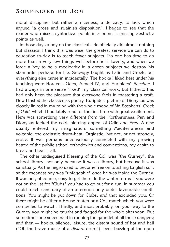moral discipline, but rather a niceness, a delicacy, to lack which argued "a gross and swainish disposition". I began to see that the reader who misses syntactical points in a poem is missing aesthetic points as well.

In those days a boy on the classical side officially did almost nothing but classics. I think this was wise; the greatest service we can do to education to-day is to teach fewer subjects. No one has time to do more than a very few things well before he is twenty, and when we force a boy to be a mediocrity in a dozen subjects we destroy his standards, perhaps for life. Smewgy taught us Latin and Greek, but everything else came in incidentally. The books I liked best under his teaching were Horace's Odes, Aeneid IV, and Euripides' *Bacchae*. I had always in one sense "liked" my classical work, but hitherto this had only been the pleasure that everyone feels in mastering a craft. Now I tasted the classics as poetry. Euripides' picture of Dionysus was closely linked in my mind with the whole mood of Mr. Stephens' *Crock of Gold*, which I had lately read for the first time with great excitement. Here was something very different from the Northernness. Pan and Dionysus lacked the cold, piercing appeal of Odin and Frey. A new quality entered my imagination: something Mediterranean and volcanic, the orgiastic drum-beat. Orgiastic, but not, or not strongly, erotic. It was perhaps unconsciously connected with my growing hatred of the public school orthodoxies and conventions, my desire to break and tear it all.

The other undisguised blessing of the Coll was "the Gurney", the school library; not only because it was a library, but because it was sanctuary. As the negro used to become free on touching English soil, so the meanest boy was "unfaggable" once he was inside the Gurney. It was not, of course, easy to get there. In the winter terms if you were not on the list for "Clubs" you had to go out for a run. In summer you could reach sanctuary of an afternoon only under favourable conditions. You might be put down for Clubs, and that excluded you. Or there might be either a House match or a Coll match which you were compelled to watch. Thirdly, and most probably, on your way to the Gurney you might be caught and fagged for the whole afternoon. But sometimes one succeeded in running the gauntlet of all these dangers; and then — books, silence, leisure, the distant sound of bat and ball ("Oh the brave music of a *distant* drum"), bees buzzing at the open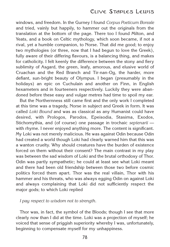windows, and freedom. In the Gurney I found *Corpus Poeticum Boreale* and tried, vainly but happily, to hammer out the originals from the translation at the bottom of the page. There too I found Milton, and Yeats, and a book on Celtic mythology, which soon became, if not a rival, yet a humble companion, to Norse. That did me good; to enjoy two mythologies (or three, now that I had begun to love the Greek), fully aware of their differing flavours, is a balancing thing, and makes for catholicity. I felt keenly the difference between the stony and fiery sublimity of Asgard, the green, leafy, amorous, and elusive world of Cruachan and the Red Branch and Tir-nan-Og, the harder, more defiant, sun-bright beauty of Olympus. I began (presumably in the holidays) an epic on Cuchulain and another on Finn, in English hexameters and in fourteeners respectively. Luckily they were abandoned before these easy and vulgar metres had time to spoil my ear.

But the Northernness still came first and the only work I completed at this time was a tragedy, Norse in subject and Greek in form. It was called *Loki Bound* and was as classical as any Humanist could have desired, with Prologos, Parodos, Epeisodia, Stasima, Exodos, Stichomythia, and (of course) one passage in trochaic *septenarii* with rhyme. I never enjoyed anything more. The content is significant. My Loki was not merely malicious. He was against Odin because Odin had created a world though Loki had clearly warned him that this was a wanton cruelty. Why should creatures have the burden of existence forced on them without their consent? The main contrast in my play was between the sad wisdom of Loki and the brutal orthodoxy of Thor. Odin was partly sympathetic; he could at least see what Loki meant and there had been old friendship between those two before cosmic politics forced them apart. Thor was the real villain, Thor with his hammer and his threats, who was always egging Odin on against Loki and always complaining that Loki did not sufficiently respect the major gods; to which Loki replied

*I pay respect to wisdom not to strength.*

Thor was, in fact, the symbol of the Bloods; though I see that more clearly now than I did at the time. Loki was a projection of myself; he voiced that sense of priggish superiority whereby I was, unfortunately, beginning to compensate myself for my unhappiness.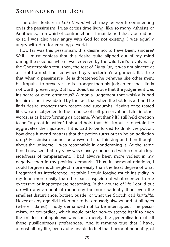The other feature in *Loki Bound* which may be worth commenting on is the pessimism. I was at this time living, like so many Atheists or Antitheists, in a whirl of contradictions. I maintained that God did not exist. I was also very angry with God for not existing. I was equally angry with Him for creating a world.

How far was this pessimism, this desire not to have been, sincere? Well, I must confess that this desire quite slipped out of my mind during the seconds when I was covered by the wild Earl's revolver. By the Chestertonian test, then, the test of *Manalive*, it was not sincere at all. But I am still not convinced by Chesterton's argument. It is true that when a pessimist's life is threatened he behaves like other men; his impulse to preserve life is stronger than his judgement that life is not worth preserving. But how does this prove that the judgement was insincere or even erroneous? A man's judgement that whisky is bad for him is not invalidated by the fact that when the bottle is at hand he finds desire stronger than reason and succumbs. Having once tasted life, we are subjected to the impulse of self-preservation. Life, in other words, is as habit-forming as cocaine. What then? If I still held creation to be "a great injustice" I should hold that this impulse to retain life aggravates the injustice. If it is bad to be forced to drink the potion, how does it mend matters that the potion turns out to be an addiction drug? Pessimism cannot be answered so. Thinking as I then thought about the universe, I was reasonable in condemning it. At the same time I now see that my view was closely connected with a certain lopsidedness of temperament. I had always been more violent in my negative than in my positive demands. Thus, in personal relations, I could forgive much neglect more easily than the least degree of what I regarded as interference. At table I could forgive much insipidity in my food more easily than the least suspicion of what seemed to me excessive or inappropriate seasoning. In the course of life I could put up with any amount of monotony far more patiently than even the smallest disturbance, bother, bustle, or what the Scotch call *kurfuffle*. Never at any age did I clamour to be amused; always and at all ages (where I dared) I hotly demanded not to be interrupted. The pessimism, or cowardice, which would prefer non-existence itself to even the mildest unhappiness was thus merely the generalisation of all these pusillanimous preferences. And it remains true that I have, almost all my life, been quite unable to feel that horror of nonentity, of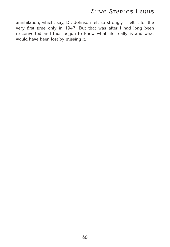annihilation, which, say, Dr. Johnson felt so strongly. I felt it for the very first time only in 1947. But that was after I had long been re-converted and thus begun to know what life really is and what would have been lost by missing it.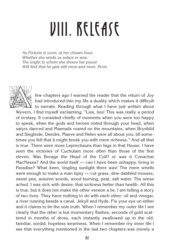### VIII. RELEASE

*As Fortune is wont, at her chosen hour, Whether she sends us solace or sore, The wight to whom she shows her power Will find that he gets still more and more. Pearl*



Few chapters ago I warned the reader that the return of Joy<br>
and introduced into my life a duality which makes it difficult<br>
to narrate. Reading through what I have just written about had introduced into my life a duality which makes it difficult to narrate. Reading through what I have just written about

Wyvern, I find myself exclaiming, "Lies, lies! This was really a period of ecstasy. It consisted chiefly of moments when you were too happy to speak, when the gods and heroes rioted through your head, when satyrs danced and Maenads roared on the mountains, when Brynhild and Sieglinde, Deirdre, Maeve and Helen were all about you, till sometimes you felt that it might break you with mere richness." And all that is true. There were more Leprechauns than fags in that House. I have seen the victories of Cuchulain more often than those of the first eleven. Was Borage the Head of the Coll? or was it Conachar MacNessa? And the world itself — can I have been unhappy, living in Paradise? What keen, tingling sunlight there was! The mere smells were enough to make a man tipsy — cut grass, dew-dabbled mosses, sweet pea, autumn woods, wood burning, peat, salt water. The sense ached. I was sick with desire; that sickness better than health. All this is true, but it does not make the other version a lie. I am telling a story of two lives. They have nothing to do with each other: oil and vinegar, a river running beside a canal, Jekyll and Hyde. Fix your eye on either and it claims to be the sole truth. When I remember my outer life I see clearly that the other is but momentary flashes, seconds of gold scattered in months of dross, each instantly swallowed up in the old, familiar, sordid, hopeless weariness. When I remember my inner life I see that everything mentioned in the last two chapters was merely a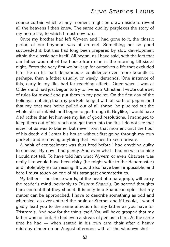coarse curtain which at any moment might be drawn aside to reveal all the heavens I then knew. The same duality perplexes the story of my home life, to which I must now turn.

Once my brother had left Wyvern and I had gone to it, the classic period of our boyhood was at an end. Something not so good succeeded it, but this had long been prepared by slow development within the classic age itself. All began, as I have said, with the fact that our father was out of the house from nine in the morning till six at night. From the very first we built up for ourselves a life that excluded him. He on his part demanded a confidence even more boundless, perhaps, than a father usually, or wisely, demands. One instance of this, early in my life, had far reaching effects. Once when I was at Oldie's and had just begun to try to live as a Christian I wrote out a set of rules for myself and put them in my pocket. On the first day of the holidays, noticing that my pockets bulged with all sorts of papers and that my coat was being pulled out of all shape, he plucked out the whole pile of rubbish and began to go through it. Boylike, I would have died rather than let him see my list of good resolutions. I managed to keep them out of his reach and get them into the fire. I do not see that either of us was to blame; but never from that moment until the hour of his death did I enter his house without first going through my own pockets and removing anything that I wished to keep private.

A habit of concealment was thus bred before I had anything guilty to conceal. By now I had plenty. And even what I had no wish to hide I could not tell. To have told him what Wyvern or even Chartres was really like would have been risky (he might write to the Headmaster) and intolerably embarrassing. It would also have been impossible; and here I must touch on one of his strangest characteristics.

My father — but these words, at the head of a paragraph, will carry the reader's mind inevitably to *Tristram Shandy*. On second thoughts I am content that they should. It is only in a Shandean spirit that my matter can be approached. I have to describe something as odd and whimsical as ever entered the brain of Sterne; and if I could, I would gladly lead you to the same affection for my father as you have for Tristram's. And now for the thing itself. You will have grasped that my father was no fool. He had even a streak of genius in him. At the same time he had — when seated in his own arm chair after a heavy mid-day dinner on an August afternoon with all the windows shut —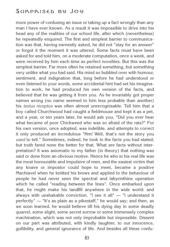more power of confusing an issue or taking up a fact wrongly than any man I have ever known. As a result it was impossible to drive into his head any of the realities of our school life, after which (nevertheless) he repeatedly enquired. The first and simplest barrier to communication was that, having earnestly asked, he did not "stay for an answer" or forgot it the moment it was uttered. Some facts must have been asked for and told him, on a moderate computation, once a week, and were received by him each time as perfect novelties. But this was the simplest barrier. Far more often he retained something, but something very unlike what you had said. His mind so bubbled over with humour, sentiment, and indignation that, long before he had understood or even listened to your words, some accidental hint had set his imagination to work, he had produced his own version of the facts, and believed that he was getting it from you. As he invariably got proper names wrong (no name seemed to him less probable than another) his *textus receptus* was often almost unrecognisable. Tell him that a boy called Churchwood had caught a fieldmouse and kept it as a pet, and a year, or ten years later, he would ask you, "Did you ever hear what became of poor Chickweed who was so afraid of the rats?" For his own version, once adopted, was indelible, and attempts to correct it only produced an incredulous "Hm! Well, that's not the story you *used* to tell." Sometimes, indeed, he took in the facts you had stated; but truth fared none the better for that. What are facts without interpretation? It was axiomatic to my father (in theory) that nothing was said or done from an obvious motive. Hence he who in his real life was the most honourable and impulsive of men, and the easiest victim that any knave or impostor could hope to meet, became a positive Machiavel when he knitted his brows and applied to the behaviour of people he had never seen the spectral and labyrinthine operation which he called "reading between the lines". Once embarked upon that, he might make his landfill anywhere in the wide world: and always with unshakable conviction. "I see it all" — "I understand it perfectly" — "It's as plain as a pikestaff," he would say; and then, as we soon learned, he would believe till his dying day in some deadly quarrel, some slight, some secret sorrow or some immensely complex machination, which was not only improbable but impossible. Dissent on our part was attributed, with kindly laughter, to our innocence, gullibility, and general ignorance of life. And besides all these confu-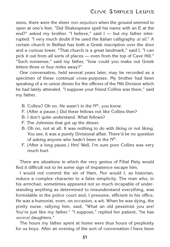sions, there were the sheer *non sequiturs* when the ground seemed to open at one's feet. "Did Shakespeare spell his name with an E at the end?" asked my brother. "I believe," said  $I -$  but my father interrupted: "I very much doubt if he used the Italian calligraphy *at all*." A certain church in Belfast has both a Greek inscription over the door and a curious tower. "That church is a great landmark," said I, "I can pick it out from all sorts of places — even from the top of Cave Hill." "Such nonsense," said my father, "how could you make out Greek letters three or four miles away?"

One conversation, held several years later, may be recorded as a specimen of these continual cross-purposes. My brother had been speaking of a re-union dinner for the officers of the Nth Division which he had lately attended. "I suppose your friend Collins was there," said my father.

- B. Collins? Oh no. He wasn't in the  $N<sup>th</sup>$ , you know.
- F. (After a pause.) Did these fellows not like Collins then?
- B. I don't quite understand. What fellows?
- F. The Johnnies that got up the dinner.
- B. Oh no, not at all. It was nothing to do with liking or not liking. You see, it was a purely Divisional affair. There'd be no question of asking anyone who hadn't been in the  $N<sup>th</sup>$ .
- F. (After a long pause.) Hm! Well, I'm sure poor Collins was very much hurt.

There are situations in which the very genius of Filial Piety would find it difficult not to let some sign of impatience escape him.

I would not commit the sin of Ham. Nor would I, as historian, reduce a complex character to a false simplicity. The man who, in his armchair, sometimes appeared not so much incapable of understanding anything as determined to misunderstand everything, was formidable in the police court and, I presume, efficient in his office. He was a humorist, even, on occasion, a wit. When he was dying, the pretty nurse, rallying him, said, "What an old pessimist you are! You're just like my father." "I suppose," replied her patient, "he has *several* daughters."

The hours my father spent at home were thus hours of perplexity for us boys. After an evening of the sort of conversation I have been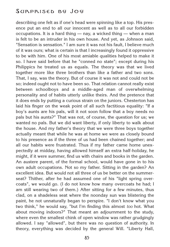describing one felt as if one's head were spinning like a top. His presence put an end to all our innocent as well as to all our forbidden occupations. It is a hard thing — nay, a wicked thing — when a man is felt to be an intruder in his own house. And yet, as Johnson said, "Sensation is sensation." I am sure it was not his fault, I believe much of it was ours; what is certain is that I increasingly found it oppressive to be with him. One of his most amiable qualities helped to make it so. I have said before that he "conned no state"; except during his Philippics he treated us as equals. The theory was that we lived together more like three brothers than like a father and two sons. That, I say, was the theory. But of course it was not and could not be so; indeed ought not to have been so. That relation cannot really exist between schoolboys and a middle-aged man of overwhelming personality and of habits utterly unlike theirs. And the pretence that it does ends by putting a curious strain on the juniors. Chesterton has laid his finger on the weak point of all such factitious equality: "If a boy's aunts are his pals, will it not soon follow that a boy needs no pals but his aunts?" That was not, of course, the question for us; we wanted no pals. But we did want liberty, if only liberty to walk about the house. And my father's theory that we were three boys together actually meant that while he was at home we were as closely bound to his presence as if the three of us had been chained together; and all our habits were frustrated. Thus if my father came home unexpectedly at midday, having allowed himself an extra half-holiday, he might, if it were summer, find us with chairs and books in the garden. An austere parent, of the formal school, would have gone in to his own adult occupations. Not so my father. Sitting in the garden? An excellent idea. But would not all three of us be better on the summerseat? Thither, after he had assumed one of his "light spring overcoats", we would go. (I do not know how many overcoats he had; I am still wearing two of them.) After sitting for a few minutes, thus clad, on a shadeless seat where the noonday sun was blistering the paint, he not unnaturally began to perspire. "I don't know what you two think," he would say, "but I'm finding this almost *too* hot. What about moving indoors?" That meant an adjournment to the study, where even the smallest chink of open window was rather grudgingly allowed. I say "allowed", but there was no question of authority. In theory, everything was decided by the general Will. "Liberty Hall,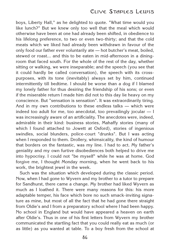boys, Liberty Hall," as he delighted to quote. "What time would you like lunch?" But we knew only too well that the meal which would otherwise have been at one had already been shifted, in obedience to his lifelong preference, to two or even two-thirty; and that the cold meats which we liked had already been withdrawn in favour of the only food our father ever voluntarily ate — hot butcher's meat, boiled, stewed or roast... and this to be eaten in mid-afternoon in a diningroom that faced south. For the whole of the rest of the day, whether sitting or walking, we were inseparable; and the speech (you see that it could hardly be called conversation), the speech with its crosspurposes, with its tone (inevitably) always set by him, continued intermittently till bedtime. I should be worse than a dog if I blamed my lonely father for thus desiring the friendship of his sons; or even if the miserable return I made him did not to this day lie heavy on my conscience. But "sensation is sensation". It was extraordinarily tiring. And in my own contributions to these endless talks — which were indeed too adult for me, too anecdotal, too prevailingly jocular — I was increasingly aware of an artificiality. The anecdotes were, indeed, admirable in their kind: business stories, Mahaffy stories (many of which I found attached to Jowett at Oxford), stories of ingenious swindles, social blunders, police-court "drunks". But I was acting when I responded to them. Drollery, whimsicality, the kind of humour that borders on the fantastic, was my line. I had to act. My father's geniality and my own furtive disobediences both helped to drive me into hypocrisy. I could not "be myself" while he was at home. God forgive me, I thought Monday morning, when he went back to his work, the brightest jewel in the week.

Such was the situation which developed during the classic period. Now, when I had gone to Wyvern and my brother to a tutor to prepare for Sandhurst, there came a change. My brother had liked Wyvern as much as I loathed it. There were many reasons for this: his more adaptable temper, his face which bore no such smack-inviting signature as mine, but most of all the fact that he had gone there straight from Oldie's and I from a preparatory school where I had been happy. No school in England but would have appeared a heaven on earth after Oldie's. Thus in one of his first letters from Wyvern my brother communicated the startling fact that you could really eat as much (or as little) as you wanted at table. To a boy fresh from the school at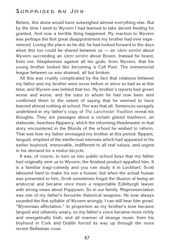Belsen, this alone would have outweighed almost everything else. But by the time I went to Wyvern I had learned to take decent feeding for granted. And now a terrible thing happened. My reaction to Wyvern was perhaps the first great disappointment my brother had ever experienced. Loving the place as he did, he had looked forward to the days when this too could be shared between us — an *idem sentire* about Wyvern succeeding an *idem sentire* about Boxen. Instead he heard, from me, blasphemies against all his gods; from Wyvern, that his young brother looked like becoming a Coll Punt. The immemorial league between us was strained, all but broken.

All this was cruelly complicated by the fact that relations between my father and my brother were never before or since so bad as at this time; and Wyvern was behind that too. My brother's reports had grown worse and worse; and the tutor to whom he had now been sent confirmed them to the extent of saying that he seemed to have learned almost nothing at school. Nor was that all. Sentences savagely underlined in my father's copy of *The Lanchester Tradition* reveal his thoughts. They are passages about a certain glazed insolence, an elaborate, heartless flippancy, which the reforming Headmaster in that story encountered in the Bloods of the school he wished to reform. That was how my father envisaged my brother at this period: flippant, languid, emptied of the intellectual interests which had appeared in his earlier boyhood, immovable, indifferent to all real values, and urgent in his demand for a motor-bicycle.

It was, of course, to turn us into public-school boys that my father had originally sent us to Wyvern; the finished product appalled him. It is a familiar tragi-comedy and you can study it in Lockhart; Scott laboured hard to make his son a hussar, but when the actual hussar was presented to him, Scott sometimes forgot the illusion of being an aristocrat and became once more a respectable Edinburgh lawyer with strong views about Puppyism. So in our family. Mispronunciation was one of my father's favourite rhetorical weapons. He now always sounded the first syllable of Wyvern wrongly. I can still hear him growl, "Wyvernian affectation." In proportion as my brother's tone became languid and urbanely weary, so my father's voice became more richly and energetically Irish, and all manner of strange music from his boyhood in Cork and Dublin forced its way up through the more recent Belfastian crust.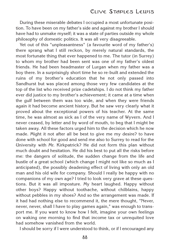During these miserable debates I occupied a most unfortunate position. To have been on my father's side and against my brother I should have had to unmake myself; it was a state of parties outside my whole philosophy of domestic politics. It was all very disagreeable.

Yet out of this "unpleasantness" (a favourite word of my father's) there sprang what I still reckon, by merely natural standards, the most fortunate thing that ever happened to me. The tutor (in Surrey) to whom my brother had been sent was one of my father's oldest friends. He had been headmaster of Lurgan when my father was a boy there. In a surprisingly short time he so re-built and extended the ruins of my brother's education that he not only passed into Sandhurst but was placed among those very few candidates at the top of the list who received prize cadetships. I do not think my father ever did justice to my brother's achievement; it came at a time when the gulf between them was too wide, and when they were friends again it had become ancient history. But he saw very clearly what it proved about the exceptional powers of his teacher. At the same time, he was almost as sick as I of the very name of Wyvern. And I never ceased, by letter and by word of mouth, to beg that I might be taken away. All these factors urged him to the decision which he now made. Might it not after all be best to give me my desire? to have done with school for good and send me also to Surrey to read for the University with Mr. Kirkpatrick? He did not form this plan without much doubt and hesitation. He did his best to put all the risks before me: the dangers of solitude, the sudden change from the life and bustle of a great school (which change I might not like so much as I anticipated), the possibly deadening effect of living with only an old man and his old wife for company. Should I really be happy with no companions of my own age? I tried to look very grave at these questions. But it was all imposture. My heart laughed. Happy without other boys? Happy without toothache, without chilblains, happy without pebbles in my shoes? And so the arrangement was made. If it had had nothing else to recommend it, the mere thought, "Never, never, never, shall I have to play games again," was enough to transport me. If you want to know how I felt, imagine your own feelings on waking one morning to find that income tax or unrequited love had somehow vanished from the world.

I should be sorry if I were understood to think, or if I encouraged any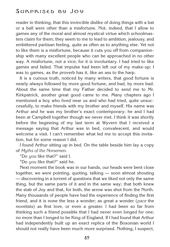reader in thinking, that this invincible dislike of doing things with a bat or a ball were other than a misfortune. Not, indeed, that I allow to games any of the moral and almost mystical virtue which schoolmasters claim for them; they seem to me to lead to ambition, jealousy, and embittered partisan feeling, quite as often as to anything else. Yet not to like them is a misfortune, because it cuts you off from companionship with many excellent people who can be approached in no other way. A misfortune, not a vice; for it is involuntary. I had tried to like games and failed. That impulse had been left out of my make-up; I was to games, as the proverb has it, like an ass to the harp.

It is a curious truth, noticed by many writers, that good fortune is nearly always followed by more good fortune, and bad, by more bad. About the same time that my Father decided to send me to Mr. Kirkpatrick, another great good came to me. Many chapters ago I mentioned a boy who lived near us and who had tried, quite unsuccessfully, to make friends with my brother and myself. His name was Arthur and he was my brother's exact contemporary; he and I had been at Campbell together though we never met. I think it was shortly before the beginning of my last term at Wyvern that I received a message saying that Arthur was in bed, convalescent, and would welcome a visit. I can't remember what led me to accept this invitation, but for some reason I did.

I found Arthur sitting up in bed. On the table beside him lay a copy of *Myths of the Norsemen*.

"Do *you* like that?" said I.

"Do *you* like that?" said he.

Next moment the book was in our hands, our heads were bent close together, we were pointing, quoting, talking — soon almost shouting — discovering in a torrent of questions that we liked not only the same thing, but the same parts of it and in the same way; that both knew the stab of Joy and that, for both, the arrow was shot from the North. Many thousands of people have had the experience of finding the first friend, and it is none the less a wonder; as great a wonder (*pace* the novelists) as first love, or even a greater. I had been so far from thinking such a friend possible that I had never even longed for one; no more than I longed to be King of England. If I had found that Arthur had independently built up an exact replica of the Boxonian world I should not really have been much more surprised. Nothing, I suspect,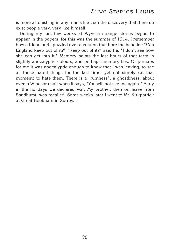is more astonishing in any man's life than the discovery that there do exist people very, very like himself.

During my last few weeks at Wyvern strange stories began to appear in the papers, for this was the summer of 1914. I remember how a friend and I puzzled over a column that bore the headline "Can England keep out of it?" "Keep out of it?" said he, "I don't see how she can get into it." Memory paints the last hours of that term in slightly apocalyptic colours, and perhaps memory lies. Or perhaps for me it was apocalyptic enough to know that I was leaving, to see all those hated things for the last time; yet not simply (at that moment) to hate them. There is a "rumness", a ghostliness, about even a Windsor chair when it says, "You will not see me again." Early in the holidays we declared war. My brother, then on leave from Sandhurst, was recalled. Some weeks later I went to Mr. Kirkpatrick at Great Bookham in Surrey.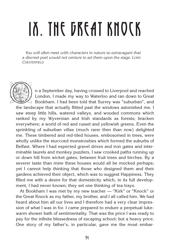# IX. The Great Knock

*You will often meet with characters in nature so extravagant that a discreet poet would not venture to set them upon the stage. Lord Chesterfield*



n a September day, having crossed to Liverpool and reached London, I made my way to Waterloo and ran down to Great Bookham. I had been told that Surrey was "suburban", and

the landscape that actually flitted past the windows astonished me. I saw steep little hills, watered valleys, and wooded commons which ranked by my Wyvernian and Irish standards as forests; bracken everywhere; a world of red and russet and yellowish greens. Even the sprinkling of suburban villas (much rarer then than now) delighted me. These timbered and red-tiled houses, embosomed in trees, were wholly unlike the stuccoed monstrosities which formed the suburbs of Belfast. Where I had expected gravel drives and iron gates and interminable laurels and monkey puzzlers, I saw crooked paths running up or down hill from wicket gates, between fruit trees and birches. By a severer taste than mine these houses would all be mocked perhaps; yet I cannot help thinking that those who designed them and their gardens achieved their object, which was to suggest Happiness. They filled me with a desire for that domesticity which, in its full development, I had never known; they set one thinking of tea trays.

At Bookham I was met by my new teacher — "Kirk" or "Knock" or the Great Knock as my father, my brother, and I all called him. We had heard about him all our lives and I therefore had a very clear impression of what I was in for. I came prepared to endure a perpetual lukewarm shower bath of sentimentality. That was the price I was ready to pay for the infinite blessedness of escaping school; but a heavy price. One story of my father's, in particular, gave me the most embar-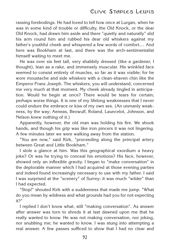rassing forebodings. He had loved to tell how once at Lurgan, when he was in some kind of trouble or difficulty, the Old Knock, or the dear Old Knock, had drawn him aside and there "quietly and naturally" slid his arm round him and rubbed his dear old whiskers against my father's youthful cheek and whispered a few words of comfort.... And here was Bookham at last, and there was the arch-sentimentalist himself waiting to meet me.

He was over six feet tall, very shabbily dressed (like a gardener, I thought), lean as a rake, and immensely muscular. His wrinkled face seemed to consist entirely of muscles, so far as it was visible; for he wore moustache and side whiskers with a clean-shaven chin like the Emperor Franz Joseph. The whiskers, you will understand, concerned me very much at that moment. My cheek already tingled in anticipation. Would he begin at once? There would be tears for certain; perhaps worse things. It is one of my lifelong weaknesses that I never could endure the embrace or kiss of my own sex. (An unmanly weakness, by the way; Aeneas, Beowulf, Roland, Launcelot, Johnson, and Nelson knew nothing of it.)

Apparently, however, the old man was holding his fire. We shook hands, and though his grip was like iron pincers it was not lingering. A few minutes later we were walking away from the station.

"You are now," said Kirk, "proceeding along the principal artery between Great and Little Bookham."

I stole a glance at him. Was this geographical exordium a heavy joke? Or was he trying to conceal his emotions? His face, however, showed only an inflexible gravity. I began to "make conversation" in the deplorable manner which I had acquired at those evening parties and indeed found increasingly necessary to use with my father. I said I was surprised at the "scenery" of Surrey; it was much "wilder" than I had expected.

"Stop!" shouted Kirk with a suddenness that made me jump. "What do you mean by wildness and what grounds had you for not expecting it?"

I replied I don't know what, still "making conversation". As answer after answer was torn to shreds it at last dawned upon me that he really wanted to know. He was not making conversation, nor joking, nor snubbing me; he wanted to know. I was stung into attempting a real answer. A few passes sufficed to show that I had no clear and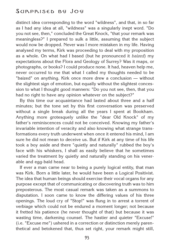distinct idea corresponding to the word "wildness", and that, in so far as I had any idea at all, "wildness" was a singularly inept word. "Do you not see, then," concluded the Great Knock, "that your remark was meaningless?" I prepared to sulk a little, assuming that the subject would now be dropped. Never was I more mistaken in my life. Having analysed my terms, Kirk was proceeding to deal with my proposition as a whole. On what had I based (but he pronounced it *baized*) my expectations about the Flora and Geology of Surrey? Was it maps, or photographs, or books? I could produce none. It had, heaven help me, never occurred to me that what I called my thoughts needed to be "baized" on anything. Kirk once more drew a conclusion — without the slightest sign of emotion, but equally without the slightest concession to what I thought good manners: "Do you not see, then, that you had no right to have any opinion whatever on the subject?"

By this time our acquaintance had lasted about three and a half minutes; but the tone set by this first conversation was preserved without a single break during all the years I spent at Bookham. Anything more grotesquely unlike the "dear Old Knock" of my father's reminiscences could not be conceived. Knowing my father's invariable intention of veracity and also knowing what strange transformations every truth underwent when once it entered his mind, I am sure he did not mean to deceive us. But if Kirk at any time of his life took a boy aside and there "quietly and naturally" rubbed the boy's face with his whiskers, I shall as easily believe that he sometimes varied the treatment by quietly and naturally standing on his venerable and egg-bald head.

If ever a man came near to being a purely logical entity, that man was Kirk. Born a little later, he would have been a Logical Positivist. The idea that human beings should exercise their vocal organs for any purpose except that of communicating or discovering truth was to him preposterous. The most casual remark was taken as a summons to disputation. I soon came to know the differing values of his three openings. The loud cry of "Stop!" was flung in to arrest a torrent of verbiage which could not be endured a moment longer; not because it fretted his patience (he never thought of that) but because it was wasting time, darkening counsel. The hastier and quieter "Excuse!" (i.e. "Excuse me") ushered in a correction or distinction merely parenthetical and betokened that, thus set right, your remark might still,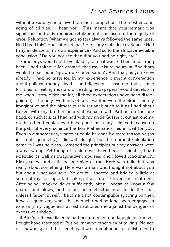without absurdity, be allowed to reach completion. The most encouraging of all was, "I hear you." This meant that your remark was significant and only required refutation; it had risen to the dignity of error. Refutation (when we got so far) always followed the same lines. Had I read this? Had I studied that? Had I any statistical evidence? Had I any evidence in my own experience? And so to the almost inevitable conclusion, "Do you not see then that you had no right, etc."

Some boys would not have liked it; to me it was red beef and strong beer. I had taken it for granted that my leisure hours at Bookham would be passed in "grown-up conversation". And that, as you know already, I had no taste for. In my experience it meant conversation about politics, money, deaths, and digestion. I assumed that a taste for it, as for eating mustard or reading newspapers, would develop in me when I grew older (so far, all three expectations have been disappointed). The only two kinds of talk I wanted were the almost purely imaginative and the almost purely rational; such talk as I had about Boxen with my brother or about Valhalla with Arthur, on the one hand, or such talk as I had had with my uncle Gussie about astronomy on the other. I could never have gone far in any science because on the path of every science the lion Mathematics lies in wait for you. Even in Mathematics, whatever could be done by mere reasoning (as in simple geometry) I did with delight; but the moment calculation came in I was helpless. I grasped the principles but my answers were always wrong. Yet though I could never have been a scientist, I had scientific as well as imaginative impulses, and I loved ratiocination. Kirk excited and satisfied one side of me. Here was talk that was really about something. Here was a man who thought not about you but about what you said. No doubt I snorted and bridled a little at some of my tossings; but, taking it all in all, I loved the treatment. After being knocked down sufficiently often I began to know a few guards and blows, and to put on intellectual muscle. In the end, unless I flatter myself, I became a not contemptible sparring partner. It was a great day when the man who had so long been engaged in exposing my vagueness at last cautioned me against the dangers of excessive subtlety.

If Kirk's ruthless dialectic had been merely a pedagogic instrument I might have resented it. But he knew no other way of talking. No age or sex was spared the elenchus. It was a continuous astonishment to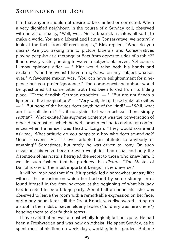him that anyone should not desire to be clarified or corrected. When a very dignified neighbour, in the course of a Sunday call, observed with an air of finality, "Well, well, Mr. Kirkpatrick, it takes all sorts to make a world. You are a Liberal and I am a Conservative; we naturally look at the facts from different angles," Kirk replied, "What do you mean? Are you asking me to picture Liberals and Conservatives playing peep-bo at a rectangular Fact from opposite sides of a table?" If an unwary visitor, hoping to waive a subject, observed, "Of course, I know opinions differ — " Kirk would raise both his hands and exclaim, "Good heavens! I have no *opinions* on any subject whatsoever." A favourite maxim was, "You can have enlightenment for ninepence but you prefer ignorance." The commonest metaphors would be questioned till some bitter truth had been forced from its hiding place. "These fiendish German atrocities — " "But are not fiends a figment of the imagination?" — "Very well, then; these brutal atrocities — " "But none of the brutes does anything of the kind!" — "Well, what am I to call them?" "Is it not plain that we must call them simply *Human*?" What excited his supreme contempt was the conversation of other Headmasters, which he had sometimes had to endure at conferences when he himself was Head of Lurgan. "They would come and ask me, 'What attitude do you adopt to a boy who does so-and-so?' Good Heavens! As if I ever adopted an attitude to anybody or anything!" Sometimes, but rarely, he was driven to irony. On such occasions his voice became even weightier than usual and only the distention of his nostrils betrayed the secret to those who knew him. It was in such fashion that he produced his *dictum*, "The Master of Balliol is one of the most important beings in the universe."

It will be imagined that Mrs. Kirkpatrick led a somewhat uneasy life: witness the occasion on which her husband by some strange error found himself in the drawing-room at the beginning of what his lady had intended to be a bridge party. About half an hour later she was observed to leave the room with a remarkable expression on her face; and many hours later still the Great Knock was discovered sitting on a stool in the midst of seven elderly ladies ("ful drery was hire chere") begging them to clarify their terms.

I have said that he was almost wholly logical; but not quite. He had been a Presbyterian and was now an Atheist. He spent Sunday, as he spent most of his time on week-days, working in his garden. But one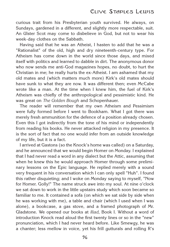curious trait from his Presbyterian youth survived. He always, on Sundays, gardened in a different, and slightly more respectable, suit. An Ulster Scot may come to disbelieve in God, but not to wear his week-day clothes on the Sabbath.

Having said that he was an Atheist, I hasten to add that he was a "Rationalist" of the old, high and dry nineteenth-century type. For Atheism has come down in the world since those days, and mixed itself with politics and learned to dabble in dirt. The anonymous donor who now sends me anti-God magazines hopes, no doubt, to hurt the Christian in me; he really hurts the ex-Atheist. I am ashamed that my old mates and (which matters much more) Kirk's old mates should have sunk to what they are now. It was different then; even McCabe wrote like a man. At the time when I knew him, the fuel of Kirk's Atheism was chiefly of the anthropological and pessimistic kind. He was great on *The Golden Bough* and Schopenhauer.

The reader will remember that my own Atheism and Pessimism were fully formed before I went to Bookham. What I got there was merely fresh ammunition for the defence of a position already chosen. Even this I got indirectly from the tone of his mind or independently from reading his books. He never attacked religion in my presence. It is the sort of fact that no one would infer from an outside knowledge of my life, but it is a fact.

I arrived at Gastons (so the Knock's home was called) on a Saturday, and he announced that we would begin Homer on Monday. I explained that I had never read a word in any dialect but the Attic, assuming that when he knew this he would approach Homer through some preliminary lessons on the Epic language. He replied merely with a sound very frequent in his conversation which I can only spell "Huh". I found this rather disquieting; and I woke on Monday saying to myself, "Now for Homer. Golly!" The name struck awe into my soul. At nine o'clock we sat down to work in the little upstairs study which soon became so familiar to me. It contained a sofa (on which we sat side by side when he was working with me), a table and chair (which I used when I was alone), a bookcase, a gas stove, and a framed photograph of Mr. Gladstone. We opened our books at *Iliad*, Book I. Without a word of introduction Knock read aloud the first twenty lines or so in the "new" pronunciation, which I had never heard before. Like Smewgy, he was a chanter; less mellow in voice, yet his frill gutturals and rolling R's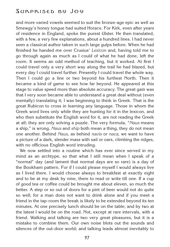and more varied vowels seemed to suit the bronze-age epic as well as Smewgy's honey tongue had suited Horace. For Kirk, even after years of residence in England, spoke the purest Ulster. He then translated, with a few, a very few explanations, about a hundred lines. I had never seen a classical author taken in such large gulps before. When he had finished he handed me over Crusius' *Lexicon* and, having told me to go through again as much as I could of what he had done, left the room. It seems an odd method of teaching, but it worked. At first I could travel only a very short way along the trail he had blazed, but every day I could travel further. Presently I could travel the whole way. Then I could go a line or two beyond his furthest North. Then it became a kind of game to see how far beyond. He appeared at this stage to value speed more than absolute accuracy. The great gain was that I very soon became able to understand a great deal without (even mentally) translating it; I was beginning to think in Greek. That is the great Rubicon to cross in learning any language. Those in whom the Greek word lives only while they are hunting for it in the lexicon, and who then substitute the English word for it, are not reading the Greek at all; they are only solving a puzzle. The very formula, "*Naus* means a ship," is wrong. *Naus* and *ship* both mean a thing, they do not mean one another. Behind *Naus*, as behind *navis* or *naca*, we want to have a picture of a dark, slender mass with sail or oars, climbing the ridges, with no officious English word intruding.

We now settled into a routine which has ever since served in my mind as an archtype, so that what I still mean when I speak of a "normal" day (and lament that normal days are so rare) is a day of the Bookham pattern. For if I could please myself I would always live as I lived there. I would choose always to breakfast at exactly eight and to be at my desk by nine, there to read or write till one. If a cup of good tea or coffee could be brought me about eleven, so much the better. A step or so out of doors for a pint of beer would not do quite so well; for a man does not want to drink alone and if you meet a friend in the tap-room the break is likely to be extended beyond its ten minutes. At one precisely lunch should be on the table; and by two at the latest I would be on the road. Not, except at rare intervals, with a friend. Walking and talking are two very great pleasures, but it is a mistake to combine them. Our own noise blots out the sounds and silences of the out-door world; and talking leads almost inevitably to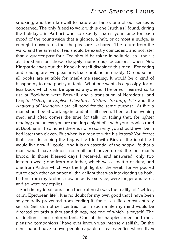smoking, and then farewell to nature as far as one of our senses is concerned. The only friend to walk with is one (such as I found, during the holidays, in Arthur) who so exactly shares your taste for each mood of the countryside that a glance, a halt, or at most a nudge, is enough to assure us that the pleasure is shared. The return from the walk, and the arrival of tea, should be exactly coincident, and not later than a quarter past four. Tea should be taken in solitude, as I took it at Bookham on those (happily numerous) occasions when Mrs. Kirkpatrick was out; the Knock himself disdained this meal. For eating and reading are two pleasures that combine admirably. Of course not all books are suitable for meal-time reading. It would be a kind of blasphemy to read poetry at table. What one wants is a gossipy, formless book which can be opened anywhere. The ones I learned so to use at Bookham were Boswell, and a translation of Herodotus, and Lang's *History of English Literature*. *Tristram Shandy*, *Elia* and the *Anatomy of Melancholy* are all good for the same purpose. At five a man should be at work again, and at it till seven. Then, at the evening meal and after, comes the time for talk, or, failing that, for lighter reading; and unless you are making a night of it with your cronies (and at Bookham I had none) there is no reason why you should ever be in bed later than eleven. But when is a man to write his letters? You forget that I am describing the happy life I led with Kirk or the ideal life I would live now if I could. And it is an essential of the happy life that a man would have almost no mail and never dread the postman's knock. In those blessed days I received, and answered, only two letters a week; one from my father, which was a matter of duty, and one from Arthur which was the high light of the week, for we poured out to each other on paper all the delight that was intoxicating us both. Letters from my brother, now on active service, were longer and rarer, and so were my replies.

Such is my ideal, and such then (almost) was the reality, of "settled, calm, Epicurean life". It is no doubt for my own good that I have been so generally prevented from leading it, for it is a life almost entirely selfish. Selfish, not self centred: for in such a life my mind would be directed towards a thousand things, not one of which is myself. The distinction is not unimportant. One of the happiest men and most pleasing companions I have ever known was intensely selfish. On the other hand I have known people capable of real sacrifice whose lives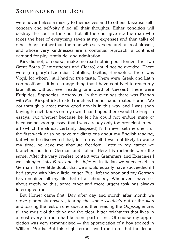were nevertheless a misery to themselves and to others, because selfconcern and self-pity filled all their thoughts. Either condition will destroy the soul in the end. But till the end, give me the man who takes the best of everything (even at my expense) and then talks of other things, rather than the man who serves me and talks of himself, and whose very kindnesses are a continual reproach, a continual demand for pity, gratitude, and admiration.

Kirk did not, of course, make me read nothing but Homer. The Two Great Bores (Demosthenes and Cicero) could not be avoided. There were (oh glory!) Lucretius, Catullus, Tacitus, Herodotus. There was Virgil, for whom I still had no true taste. There were Greek and Latin compositions. (It is a strange thing that I have contrived to reach my late fifties without ever reading one word of Caesar.) There were Euripides, Sophocles, Aeschylus. In the evenings there was French with Mrs. Kirkpatrick, treated much as her husband treated Homer. We got through a great many good novels in this way and I was soon buying French books on my own. I had hoped there would be English essays, but whether because he felt he could not endure mine or because he soon guessed that I was already only too proficient in that art (which he almost certainly despised) Kirk never set me one. For the first week or so he gave me directions about my English reading, but when he discovered that, left to myself, I was not likely to waste my time, he gave me absolute freedom. Later in my career we branched out into German and Italian. Here his methods were the same. After the very briefest contact with Grammars and Exercises I was plunged into *Faust* and the *Inferno*. In Italian we succeeded. In German I have little doubt that we should equally have succeeded if I had stayed with him a little longer. But I left too soon and my German has remained all my life that of a schoolboy. Whenever I have set about rectifying this, some other and more urgent task has always interrupted me.

But Homer came first. Day after day and month after month we drove gloriously onward, tearing the whole *Achilleid* out of the *Iliad* and tossing the rest on one side, and then reading the *Odyssey* entire, till the music of the thing and the clear, bitter brightness that lives in almost every formula had become part of me. Of course my appreciation was very romanticised — the appreciation of a boy soaked in William Morris. But this slight error saved me from that far deeper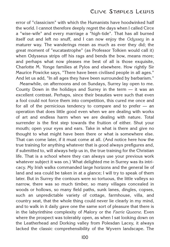error of "classicism" with which the Humanists have hoodwinked half the world. I cannot therefore deeply regret the days when I called Circe a "wise-wife" and every marriage a "high-tide". That has all burned itself out and left no snuff, and I can now enjoy the *Odyssey* in a maturer way. The wanderings mean as much as ever they did; the great moment of "eucatastrophe" (as Professor Tolkien would call it) when Odysseus strips off his rags and bends the bow, means more; and perhaps what now pleases me best of all is those exquisite, Charlotte M. Yonge families at Pylos and elsewhere. How rightly Sir Maurice Powicke says, "There have been civilised people in all ages." And let us add, "In all ages they have been surrounded by barbarism."

Meanwhile, on afternoons and on Sundays, Surrey lay open to me. County Down in the holidays and Surrey in the term  $-$  it was an excellent contrast. Perhaps, since their beauties were such that even a fool could not force them into competition, this cured me once and for all of the pernicious tendency to compare and to prefer — an operation that does little good even when we are dealing with works of art and endless harm when we are dealing with nature. Total surrender is the first step towards the fruition of either. Shut your mouth; open your eyes and ears. Take in what is there and give no thought to what might have been there or what is somewhere else. That can come later, if it must come at all. (And notice here how the true training for anything whatever that is good always prefigures and, if submitted to, will always help us in, the true training for the Christian life. That is a school where they can always use your previous work whatever subject it was on.) What delighted me in Surrey was its intricacy. My Irish walks commanded large horizons and the general lie of land and sea could be taken in at a glance; I will try to speak of them later. But in Surrey the contours were so tortuous, the little valleys so narrow, there was so much timber, so many villages concealed in woods or hollows, so many field paths, sunk lanes, dingles, copses, such an unpredictable variety of cottage, farmhouse, villa, and country seat, that the whole thing could never lie clearly in my mind, and to walk in it daily gave one the same sort of pleasure that there is in the labyrinthine complexity of Malory or the *Faerie Queene*. Even where the prospect was tolerably open, as when I sat looking down on the Leatherhead and Dorking valley from Polesdan Lacey, it always lacked the classic comprehensibility of the Wyvern landscape. The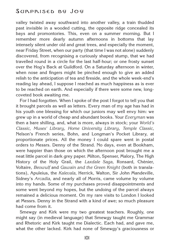valley twisted away southward into another valley, a train thudded past invisible in a wooded cutting, the opposite ridge concealed its bays and promontories. This, even on a summer morning. But I remember more dearly autumn afternoons in bottoms that lay intensely silent under old and great trees, and especially the moment, near Friday Street, when our party (that time I was not alone) suddenly discovered, from recognising a curiously shaped stump, that we had travelled round in a circle for the last half-hour; or one frosty sunset over the Hog's Back at Guildford. On a Saturday afternoon in winter, when nose and fingers might be pinched enough to give an added relish to the anticipation of tea and fireside, and the whole week-end's reading lay ahead, I suppose I reached as much happiness as is ever to be reached on earth. And especially if there were some new, longcoveted book awaiting me.

For I had forgotten. When I spoke of the post I forgot to tell you that it brought parcels as well as letters. Every man of my age has had in his youth one blessing for which our juniors may well envy him: we grew up in a world of cheap and abundant books. Your *Everyman* was then a bare shilling, and, what is more, always in stock; your *World's Classic*, *Muses' Library*, *Home University Library*, *Temple Classic*, Nelson's French series, Bohn, and Longman's Pocket Library, at proportionate prices. All the money I could spare went in postal orders to Messrs. Denny of the Strand. No days, even at Bookham, were happier than those on which the afternoon post brought me a neat little parcel in dark grey paper. Milton, Spenser, Malory, The High History of the Holy Grail, the *Laxdale Saga*, Ronsard, Chénier, Voltaire, *Beowulf* and *Gawain and the Green Knight* (both in translations), Apuleius, the *Kalevala*, Herrick, Walton, Sir John Mandeville, Sidney's *Arcadia*, and nearly all of Morris, came volume by volume into my hands. Some of my purchases proved disappointments and some went beyond my hopes, but the undoing of the parcel always remained a delicious moment. On my rare visits to London I looked at Messrs. Denny in the Strand with a kind of awe; so much pleasure had come from it.

Smewgy and Kirk were my two greatest teachers. Roughly, one might say (in medieval language) that Smewgy taught me Grammar and Rhetoric and Kirk taught me Dialectic. Each had, and gave me, what the other lacked. Kirk had none of Smewgy's graciousness or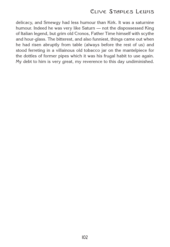delicacy, and Smewgy had less humour than Kirk. It was a saturnine humour. Indeed he was very like Saturn — not the dispossessed King of Italian legend, but grim old Cronos, Father Time himself with scythe and hour-glass. The bitterest, and also funniest, things came out when he had risen abruptly from table (always before the rest of us) and stood ferreting in a villainous old tobacco jar on the mantelpiece for the dottles of former pipes which it was his frugal habit to use again. My debt to him is very great, my reverence to this day undiminished.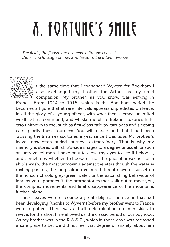# $\delta$ . FORTUNE'S SMILE

*The fields, the floods, the heavens, with one consent Did seeme to laugh on me, and favour mine intent. Spenser*



The same time that I exchanged Wyvern for Bookham I also exchanged my brother for Arthur as my chief companion. My brother, as you know, was serving in France. From 1914 to 1916, which is the Bookham period, he becomes a figure that at rare intervals appears unpredicted on leave, in all the glory of a young officer, with what then seemed unlimited wealth at his command, and whisks me off to Ireland. Luxuries hitherto unknown to me, such as first-class railway carriages and sleeping cars, glorify these journeys. You will understand that I had been crossing the Irish sea six times a year since I was nine. My brother's leaves now often added journeys extraordinary. That is why my memory is stored with ship's-side images to a degree unusual for such an untravelled man. I have only to close my eyes to see if I choose, and sometimes whether I choose or no, the phosphorescence of a ship's wash, the mast unmoving against the stars though the water is rushing past us, the long salmon-coloured rifts of dawn or sunset on the horizon of cold grey-green water, or the astonishing behaviour of land as you approach it, the promontories that walk out to meet you, the complex movements and final disappearance of the mountains further inland.

These leaves were of course a great delight. The strains that had been developing (thanks to Wyvern) before my brother went to France were forgotten. There was a tacit determination on both sides to revive, for the short time allowed us, the classic period of our boyhood. As my brother was in the R.A.S.C., which in those days was reckoned a safe place to be, we did not feel that degree of anxiety about him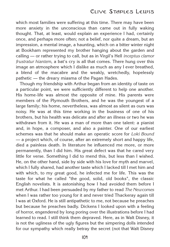which most families were suffering at this time. There may have been more anxiety in the unconscious than came out in fully waking thought. That, at least, would explain an experience I had, certainly once, and perhaps more often; not a belief, nor quite a dream, but an impression, a mental image, a haunting, which on a bitter winter night at Bookham represented my brother hanging about the garden and calling — or rather trying to call, but as in Virgil's Hell *inceptus clamor frustratur hiantem*, a bat's cry is all that comes. There hung over this image an atmosphere which I dislike as much as any I ever breathed, a blend of the macabre and the weakly, wretchedly, hopelessly pathetic — the dreary miasma of the Pagan Hades.

Though my friendship with Arthur began from an identity of taste on a particular point, we were sufficiently different to help one another. His home-life was almost the opposite of mine. His parents were members of the Plymouth Brothers, and he was the youngest of a large family; his home, nevertheless, was almost as silent as ours was noisy. He was at this time working in the business of one of his brothers, but his health was delicate and after an illness or two he was withdrawn from it. He was a man of more than one talent: a pianist and, in hope, a composer, and also a painter. One of our earliest schemes was that he should make an operatic score for *Loki Bound* — a project which, of course, after an extremely short and happy life, died a painless death. In literature he influenced me more, or more permanently, than I did him. His great defect was that he cared very little for verse. Something I did to mend this, but less than I wished. He, on the other hand, side by side with his love for myth and marvel, which I fully shared, had another taste which I lacked till I met him and with which, to my great good, he infected me for life. This was the taste for what he called "the good, solid, old books", the classic English novelists. It is astonishing how I had avoided them before I met Arthur. I had been persuaded by my father to read *The Newcomes* when I was rather too young for it and never tried Thackeray again till I was at Oxford. He is still antipathetic to me, not because he preaches but because he preaches badly. Dickens I looked upon with a feeling of horror, engendered by long poring over the illustrations before I had learned to read. I still think them depraved. Here, as in Walt Disney, it is not the ugliness of the ugly figures but the simpering dolls intended for our sympathy which really betray the secret (not that Walt Disney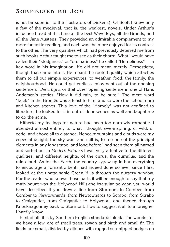is not far superior to the illustrators of Dickens). Of Scott I knew only a few of the medieval, that is, the weakest, novels. Under Arthur's influence I read at this time all the best Waverleys, all the BrontÎs, and all the Jane Austens. They provided an admirable complement to my more fantastic reading, and each was the more enjoyed for its contrast to the other. The very qualities which had previously deterred me from such books Arthur taught me to see as their charm. What I would have called their "stodginess" or "ordinariness" he called "Homeliness" — a key word in his imagination. He did not mean merely Domesticity, though that came into it. He meant the rooted quality which attaches them to all our simple experiences, to weather, food, the family, the neighbourhood. He could get endless enjoyment out of the opening sentence of *Jane Eyre*, or that other opening sentence in one of Hans Andersen's stories, "How it did rain, to be sure." The mere word "beck" in the Brontës was a feast to him; and so were the schoolroom and kitchen scenes. This love of the "Homely" was not confined to literature; he looked for it in out-of-door scenes as well and taught me to do the same.

Hitherto my feelings for nature had been too narrowly romantic. I attended almost entirely to what I thought awe-inspiring, or wild, or eerie, and above all to distance. Hence mountains and clouds were my especial delight; the sky was, and still is, to me one of the principal elements in any landscape, and long before I had seen them all named and sorted out in *Modern Painters* I was very attentive to the different qualities, and different heights, of the cirrus, the cumulus, and the rain-cloud. As for the Earth, the country I grew up in had everything to encourage a romantic bent, had indeed done so ever since I first looked at the unattainable Green Hills through the nursery window. For the reader who knows those parts it will be enough to say that my main haunt was the Holywood Hills-the irregular polygon you would have described if you drew a line from Stormont to Comber, from Comber to Newtownards, from Newtownards to Scrabo, from Scrabo to Craigantlet, from Craigantlet to Holywood, and thence through Knocknagonney back to Stormont. How to suggest it all to a foreigner I hardly know.

First of all, it is by Southern English standards bleak. The woods, for we have a few, are of small trees, rowan and birch and small fir. The fields are small, divided by ditches with ragged sea-nipped hedges on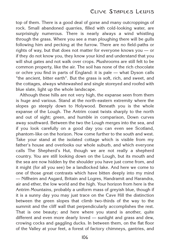top of them. There is a good deal of gorse and many outcroppings of rock. Small abandoned quarries, filled with cold-looking water, are surprisingly numerous. There is nearly always a wind whistling through the grass. Where you see a man ploughing there will be gulls following him and pecking at the furrow. There are no field-paths or rights of way, but that does not matter for everyone knows you — or if they do not know you, they know your kind and understand that you will shut gates and not walk over crops. Mushrooms are still felt to be common property, like the air. The soil has none of the rich chocolate or ochre you find in parts of England: it is pale — what Dyson calls "the ancient, bitter earth". But the grass is soft, rich, and sweet, and the cottages, always whitewashed and single storeyed and roofed with blue slate, light up the whole landscape.

Although these hills are not very high, the expanse seen from them is huge and various. Stand at the north-eastern extremity where the slopes go steeply down to Holywood. Beneath you is the whole expanse of the Lough. The Antrim coast twists sharply to the north and out of sight; green, and humble in comparison, Down curves away southward. Between the two the Lough merges into the sea, and if you look carefully on a good day you can even see Scotland, phantom-like on the horizon. Now come further to the south and west. Take your stand at the isolated cottage which is visible from my father's house and overlooks our whole suburb, and which everyone calls The Shepherd's Hut, though we are not really a shepherd country. You are still looking down on the Lough, but its mouth and the sea are now hidden by the shoulder you have just come from, and it might (for all you see) be a landlocked lake. And here we come to one of those great contrasts which have bitten deeply into my mind — Niflheim and Asgard, Britain and Logres, Handramit and Harandra, air and ether, the low world and the high. Your horizon from here is the Antrim Mountains, probably a uniform mass of greyish blue, though if it is a sunny day you may just trace on the Cave Hill the distinction between the green slopes that climb two-thirds of the way to the summit and the cliff wall that perpendicularly accomplishes the rest. That is one beauty; and here where you stand is another, quite different and even more dearly loved — sunlight and grass and dew, crowing cocks and gaggling ducks. In between them, on the flat floor of the Valley at your feet, a forest of factory chimneys, gantries, and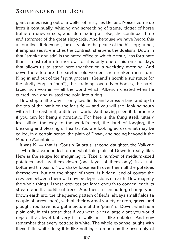giant cranes rising out of a welter of mist, lies Belfast. Noises come up from it continually, whining and screeching of trams, clatter of horse traffic on uneven sets, and, dominating all else, the continual throb and stammer of the great shipyards. And because we have heard this all our lives it does not, for us, violate the peace of the hill-top; rather, it emphasises it, enriches the contrast, sharpens the dualism. Down in that "smoke and stir" is the hated office to which Arthur, less fortunate than I, must return to-morrow: for it is only one of his rare holidays that allows us to stand here together on a weekday morning. And down there too are the barefoot old women, the drunken men stumbling in and out of the "spirit grocers" (Ireland's horrible substitute for the kindly English "pub"), the straining, overdriven horses, the hardfaced rich women — all the world which Alberich created when he cursed love and twisted the gold into a ring.

Now step a little way — only two fields and across a lane and up to the top of the bank on the far side — and you will see, looking south with a little east in it, a different world. And having seen it, blame me if you can for being a romantic. For here is the thing itself, utterly irresistible, the way to the world's end, the land of longing, the breaking and blessing of hearts. You are looking across what may be called, in a certain sense, the plain of Down, and seeing beyond it the Mourne Mountains.

It was K. — that is, Cousin Quartus' second daughter, the Valkyrie — who first expounded to me what this plain of Down is really like. Here is the recipe for imagining it. Take a number of medium-sized potatoes and lay them down (one layer of them only) in a flatbottomed tin basin. Now shake loose earth over them till the potatoes themselves, but not the shape of them, is hidden; and of course the crevices between them will now be depressions of earth. Now magnify the whole thing till those crevices are large enough to conceal each its stream and its huddle of trees. And then, for colouring, change your brown earth into the chequered pattern of fields, always small fields (a couple of acres each), with all their normal variety of crop, grass, and plough. You have now got a picture of the "plain" of Down, which is a plain only in this sense that if you were a very large giant you would regard it as level but very ill to walk on — like cobbles. And now remember that every cottage is white. The whole expanse laughs with these little white dots; it is like nothing so much as the assembly of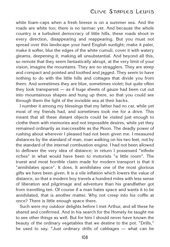white foam-caps when a fresh breeze is on a summer sea. And the roads are white too; there is no tarmac yet. And because the whole country is a turbulent democracy of little hills, these roads shoot in every direction, disappearing and reappearing. But you must not spread over this landscape your hard English sunlight; make it paler, make it softer, blur the edges of the white cumuli, cover it with watery gleams, deepening it, making all unsubstantial. And beyond all this, so remote that they seem fantastically abrupt, at the very limit of your vision, imagine the mountains. They are no stragglers. They are steep and compact and pointed and toothed and jagged. They seem to have nothing to do with the little hills and cottages that divide you from them. And sometimes they are blue, sometimes violet; but quite often they look transparent — as if huge sheets of gauze had been cut out into mountainous shapes and hung up there, so that you could see through them the light of the invisible sea at their backs.

I number it among my blessings that my father had no car, while yet most of my friends had, and sometimes took me for a drive. This meant that all these distant objects could be visited just enough to clothe them with memories and not impossible desires, while yet they remained ordinarily as inaccessible as the Moon. The deadly power of rushing about wherever I pleased had not been given me. I measured distances by the standard of man, man walking on his two feet, not by the standard of the internal combustion engine. I had not been allowed to deflower the very idea of distance; in return I possessed "infinite riches" in what would have been to motorists "a little room". The truest and most horrible claim made for modern transport is that it "annihilates space". It does. It annihilates one of the most glorious gifts we have been given. It is a vile inflation which lowers the value of distance, so that a modern boy travels a hundred miles with less sense of liberation and pilgrimage and adventure than his grandfather got from travelling ten. Of course if a man hates space and wants it to be annihilated, that is another matter. Why not creep into his coffin at once? There is little enough space there.

Such were my outdoor delights before I met Arthur, and all these he shared and confirmed. And in his search for the Homely he taught me to see other things as well. But for him I should never have known the beauty of the ordinary vegetables that we destine to the pot. "Drills," he used to say. "Just ordinary drills of cabbages — what can be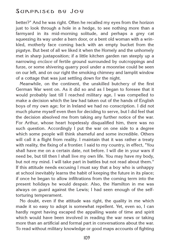better?" And he was right. Often he recalled my eyes from the horizon just to look through a hole in a hedge, to see nothing more than a farmyard in its mid-morning solitude, and perhaps a grey cat squeezing its way under a barn door, or a bent old woman with a wrinkled, motherly face coming back with an empty bucket from the pigstye. But best of all we liked it when the Homely and the unhomely met in sharp juxtaposition; if a little kitchen garden ran steeply up a narrowing *enclave* of fertile ground surrounded by outcroppings and furze, or some shivering quarry pool under a moonrise could be seen on our left, and on our right the smoking chimney and lamplit window of a cottage that was just settling down for the night.

Meanwhile, on the continent, the unskilled butchery of the first German War went on. As it did so and as I began to foresee that it would probably last till I reached military age, I was compelled to make a decision which the law had taken out of the hands of English boys of my own age; for in Ireland we had no conscription. I did not much plume myself even then for deciding to serve, but I did feel that the decision absolved me from taking any further notice of the war. For Arthur, whose heart hopelessly disqualified him, there was no such question. Accordingly I put the war on one side to a degree which some people will think shameful and some incredible. Others will call it a flight from reality. I maintain that it was rather a treaty with reality, the fixing of a frontier. I said to my country, in effect, "You shall have me on a certain date, not before. I will die in your wars if need be, but till then I shall live my own life. You may have my body, but not my mind. I will take part in battles but not read about them." If this attitude needs excusing I must say that a boy who is unhappy at school inevitably learns the habit of keeping the future in its place; if once he began to allow infiltrations from the coming term into the present holidays he would despair. Also, the Hamilton in me was always on guard against the Lewis; I had seen enough of the selftorturing temperament.

No doubt, even if the attitude was right, the quality in me which made it so easy to adopt is somewhat repellent. Yet, even so, I can hardly regret having escaped the appalling waste of time and spirit which would have been involved in reading the war news or taking more than an artificial and formal part in conversations about the war. To read without military knowledge or good maps accounts of fighting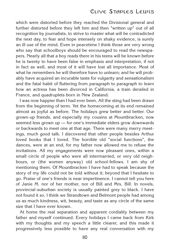which were distorted before they reached the Divisional general and further distorted before they left him and then "written up" out of all recognition by journalists, to strive to master what will be contradicted the next day, to fear and hope intensely on shaky evidence, is surely an ill use of the mind. Even in peacetime I think those are very wrong who say that schoolboys should be encouraged to read the newspapers. Nearly all that a boy reads there in his teens will be known before he is twenty to have been false in emphasis and interpretation, if not in fact as well, and most of it will have lost all importance. Most of what he remembers he will therefore have to unlearn; and he will probably have acquired an incurable taste for vulgarity and sensationalism and the fatal habit of fluttering from paragraph to paragraph to learn how an actress has been divorced in California, a train derailed in France, and quadruplets born in New Zealand.

I was now happier than I had ever been. All the sting had been drawn from the beginning of term. Yet the homecoming at its end remained almost as joyful as before. The holidays grew better and better. Our grown-up friends, and especially my cousins at Mountbracken, now seemed less grown up — for one's immediate elders grow downwards or backwards to meet one at that age. There were many merry meetings, much good talk. I discovered that other people besides Arthur loved books that I loved. The horrible old "social functions", the dances, were at an end, for my father now allowed me to refuse the invitations. All my engagements were now pleasant ones, within a small circle of people who were all intermarried, or very old neighbours, or (the women anyway) old school-fellows. I am shy of mentioning them. Of Mountbracken I have had to speak because the story of my life could not be told without it; beyond that I hesitate to go. Praise of one's friends is near impertinence. I cannot tell you here of Janie M. nor of her mother, nor of Bill and Mrs. Bill. In novels, provincial-suburban society is usually painted grey to black. I have not found it so. I think we Strandtown and Belmont people had among us as much kindness, wit, beauty, and taste as any circle of the same size that I have ever known.

At home the real separation and apparent cordiality between my father and myself continued. Every holidays I came back from Kirk with my thoughts and my speech a little clearer, and this made it progressively less possible to have any real conversation with my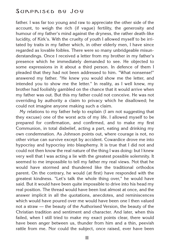father. I was far too young and raw to appreciate the other side of the account, to weigh the rich (if vague) fertility, the generosity and humour of my father's mind against the dryness, the rather death-like lucidity, of Kirk's. With the cruelty of youth I allowed myself to be irritated by traits in my father which, in other elderly men, I have since regarded as lovable foibles. There were so many unbridgeable misunderstandings. Once I received a letter from my brother in my father's presence which he immediately demanded to see. He objected to some expressions in it about a third person. In defence of them I pleaded that they had not been addressed to him. "What nonsense!" answered my father. "He knew you would show me the letter, and intended you to show me the letter." In reality, as I well knew, my brother had foolishly gambled on the chance that it would arrive when my father was out. But this my father could not conceive. He was not overriding by authority a claim to privacy which he disallowed; he could not imagine anyone making such a claim.

My relations to my father help to explain (I am not suggesting that they excuse) one of the worst acts of my life. I allowed myself to be prepared for confirmation, and confirmed, and to make my first Communion, in total disbelief, acting a part, eating and drinking my own condemnation. As Johnson points out, where courage is not, no other virtue can survive except by accident. Cowardice drove me into hypocrisy and hypocrisy into blasphemy. It is true that I did not and could not then know the real nature of the thing I was doing: but I knew very well that I was acting a lie with the greatest possible solemnity. It seemed to me impossible to tell my father my real views. Not that he would have stormed and thundered like the traditional orthodox parent. On the contrary, he would (at first) have responded with the greatest kindness. "Let's talk the whole thing over," he would have said. But it would have been quite impossible to drive into his head my real position. The thread would have been lost almost at once, and the answer implicit in all the quotations, anecdotes, and reminiscences which would have poured over me would have been one I then valued not a straw — the beauty of the Authorised Version, the beauty of the Christian tradition and sentiment and character. And later, when this failed, when I still tried to make my exact points clear, there would have been anger between us, thunder from him and a thin, peevish rattle from me. Nor could the subject, once raised, ever have been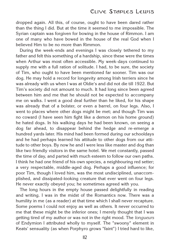dropped again. All this, of course, ought to have been dared rather than the thing I did. But at the time it seemed to me impossible. The Syrian captain was forgiven for bowing in the house of Rimmon. I am one of many who have bowed in the house of the real God when I believed Him to be no more than Rimmon.

During the week-ends and evenings I was closely tethered to my father and felt this something of a hardship, since these were the times when Arthur was most often accessible. My week-days continued to supply me with a full ration of solitude. I had, to be sure, the society of Tim, who ought to have been mentioned far sooner. Tim was our dog. He may hold a record for longevity among Irish terriers since he was already with us when I was at Oldie's and did not die till 1922. But Tim's society did not amount to much. It had long since been agreed between him and me that he should not be expected to accompany me on walks. I went a good deal further than he liked, for his shape was already that of a bolster, or even a barrel, on four legs. Also, I went to places where other dogs might be met; and though Tim was no coward (I have seen him fight like a demon on his home ground) he hated dogs. In his walking days he had been known, on seeing a dog far ahead, to disappear behind the hedge and re-emerge a hundred yards later. His mind had been formed during our schooldays and he had perhaps learned his attitude to other dogs from our attitude to other boys. By now he and I were less like master and dog than like two friendly visitors in the same hotel. We met constantly, passed the time of day, and parted with much esteem to follow our own paths. I think he had one friend of his own species, a neighbouring red setter; a very respectable, middle-aged dog. Perhaps a good influence; for poor Tim, though I loved him, was the most undisciplined, unaccomplished, and dissipated-looking creature that ever went on four legs. He never exactly obeyed you; he sometimes agreed with you.

The long hours in the empty house passed delightfully in reading and writing. I was in the midst of the Romantics now. There was a humility in me (as a reader) at that time which I shall never recapture. Some poems I could not enjoy as well as others. It never occurred to me that these might be the inferior ones; I merely thought that I was getting tired of my author or was not in the right mood. The *longueurs* of Endymion I attributed wholly to myself. The "swoony" element in Keats' sensuality (as when Porphyro grows "faint") I tried hard to like,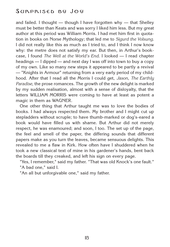and failed. I thought  $-$  though I have forgotten why  $-$  that Shelley must be better than Keats and was sorry I liked him less. But my great author at this period was William Morris. I had met him first in quotation in books on Norse Mythology; that led me to *Sigurd the Volsung*. I did not really like this as much as I tried to, and I think I now know why: the metre does not satisfy my ear. But then, in Arthur's bookcase, I found *The Well at the World's End*. I looked — I read chapter headings — I dipped — and next day I was off into town to buy a copy of my own. Like so many new steps it appeared to be partly a revival — "Knights in Armour" returning from a very early period of my childhood. After that I read all the Morris I could get, *Jason*, *The Earthly Paradise*, the prose romances. The growth of the new delight is marked by my sudden realisation, almost with a sense of disloyalty, that the letters WILLIAM MORRIS were coming to have at least as potent a magic in them as WAGNER.

One other thing that Arthur taught me was to love the bodies of books. I had always respected them. My brother and I might cut up stepladders without scruple; to have thumb-marked or dog's-eared a book would have filled us with shame. But Arthur did not merely respect, he was enamoured; and soon, I too. The set up of the page, the feel and smell of the paper, the differing sounds that different papers make as you turn the leaves, became sensuous delights. This revealed to me a flaw in Kirk. How often have I shuddered when he took a new classical text of mine in his gardener's hands, bent back the boards till they creaked, and left his sign on every page.

"Yes, I remember," said my father. "That was old Knock's one fault." "A bad one," said I.

"An all but unforgivable one," said my father.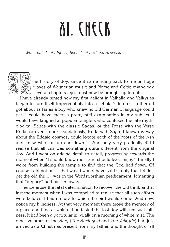## XI. Check

*When bale is at highest, boote is at next. Sir Aldingar*



he history of Joy, since it came riding back to me on huge waves of Wagnerian music and Norse and Celtic mythology several chapters ago, must now be brought up to date.

I have already hinted how my first delight in Valhalla and Valkyries began to turn itself imperceptibly into a scholar's interest in them. I got about as far as a boy who knew no old Germanic language could get. I could have faced a pretty stiff examination in my subject. I would have laughed at popular bunglers who confused the late mythological Sagas with the classic Sagas, or the Prose with the Verse Edda, or even, more scandalously, Edda with Saga. I knew my way about the Eddaic cosmos, could locate each of the roots of the Ash and knew who ran up and down it. And only very gradually did I realise that all this was something quite different from the original Joy. And I went on adding detail to detail, progressing towards the moment when "I should know most and should least enjoy". Finally I woke from building the temple to find that the God had flown. Of course I did not put it that way. I would have said simply that I didn't get the old thrill. I was in the Wordsworthian predicament, lamenting that "a glory" had passed away.

Thence arose the fatal determination to recover the old thrill, and at last the moment when I was compelled to realise that all such efforts were failures. I had no lure to which the bird would come. And now, notice my blindness. At that very moment there arose the memory of a place and time at which I had tasted the lost Joy with unusual fullness. It had been a particular hill-walk on a morning of white mist. The other volumes of the *Ring* (*The Rheingold* and *The Valkyrie*) had just arrived as a Christmas present from my father, and the thought of all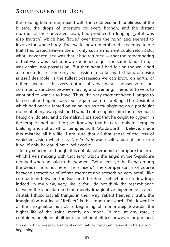the reading before me, mixed with the coldness and loneliness of the hillside, the drops of moisture on every branch, and the distant murmur of the concealed town, had produced a longing (yet it was also fruition) which had flowed over from the mind and seemed to involve the whole body. That walk I now remembered. It seemed to me that I had tasted heaven then. If only such a moment could return! But what I never realised was that it had returned — that the remembering of that walk was itself a new experience of just the same kind. True, it was desire, not possession. But then what I had felt on the walk had also been desire, and only possession in so far as that kind of desire is itself desirable, is the fullest possession we can know on earth; or rather, because the very nature of Joy makes nonsense of our common distinction between having and wanting. There, to have is to want and to want is to have. Thus, the very moment when I longed to be so stabbed again, was itself again such a stabbing. The Desirable which had once alighted on Valhalla was now alighting on a particular moment of my own past; and I would not recognise him there because, being an idolater and a formalist, I insisted that he ought to appear in the temple I had built him; not knowing that he cares only for temples building and not at all for temples built. Wordsworth, I believe, made this mistake all his life. I am sure that all that sense of the loss of vanished vision which fills *The Prelude* was itself vision of the same kind, if only he could have believed it.

In my scheme of thought it is not blasphemous to compare the error which I was making with that error which the angel at the Sepulchre rebuked when he said to the women, "Why seek ye the living among the dead? He is not here, He is risen." The comparison is of course between something of infinite moment and something very small; like comparison between the Sun and the Sun's reflection in a dewdrop. Indeed, in my view, very like it, for I do not think the resemblance between the Christian and the merely imaginative experience is accidental. I think that all things, in their way, reflect heavenly truth, the imagination not least. "Reflect" is the important word. This lower life of the imagination is not<sup>6</sup> a beginning of, nor a step towards, the higher life of the spirit, merely an image. In me, at any rate, it contained no element either of belief or of ethics; however far pursued,

<sup>6 -</sup> i.e. not necessarily and by its own nature. God can cause it to be such a beginning.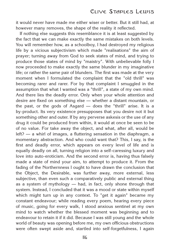it would never have made me either wiser or better. But it still had, at however many removes, the shape of the reality it reflected.

If nothing else suggests this resemblance it is at least suggested by the fact that we can make exactly the same mistakes on both levels. You will remember how, as a schoolboy, I had destroyed my religious life by a vicious subjectivism which made "realisations" the aim of prayer; turning away from God to seek states of mind, and trying to produce those states of mind by "maistry". With unbelievable folly I now proceeded to make exactly the same blunder in my imaginative life; or rather the same pair of blunders. The first was made at the very moment when I formulated the complaint that the "old thrill" was becoming rarer and rarer. For by that complaint I smuggled in the assumption that what I wanted was a "thrill", a state of my own mind. And there lies the deadly error. Only when your whole attention and desire are fixed on something else — whether a distant mountain, or the past, or the gods of Asgard — does the "thrill" arise. It is a by-product. Its very existence presupposes that you desire not it but something other and outer. If by any perverse askesis or the use of any drug it could be produced from within, it would at once be seen to be of no value. For take away the object, and what, after all, would be left? — a whirl of images, a fluttering sensation in the diaphragm, a momentary abstraction. And who could want that? This, I say, is the first and deadly error, which appears on every level of life and is equally deadly on all, turning religion into a self-caressing luxury and love into auto-eroticism. And the second error is, having thus falsely made a state of mind your aim, to attempt to produce it. From the fading of the Northernness I ought to have drawn the conclusion that the Object, the Desirable, was further away, more external, less subjective, than even such a comparatively public and external thing as a system of mythology — had, in fact, only shone through that system. Instead, I concluded that it was a mood or state within myself which might turn up in any context. To "get it again" became my constant endeavour; while reading every poem, hearing every piece of music, going for every walk, I stood anxious sentinel at my own mind to watch whether the blessed moment was beginning and to endeavour to retain it if it did. Because I was still young and the whole world of beauty was opening before me, my own officious obstructions were often swept aside and, startled into self-forgetfulness, I again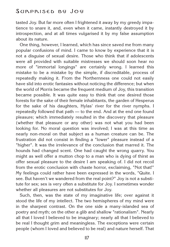tasted Joy. But far more often I frightened it away by my greedy impatience to snare it, and, even when it came, instantly destroyed it by introspection, and at all times vulgarised it by my false assumption about its nature.

One thing, however, I learned, which has since saved me from many popular confusions of mind. I came to know by experience that it is not a disguise of sexual desire. Those who think that if adolescents were all provided with suitable mistresses we should soon hear no more of "immortal longings" are certainly wrong. I learned this mistake to be a mistake by the simple, if discreditable, process of repeatedly making it. From the Northernness one could not easily have slid into erotic fantasies without noticing the difference; but when the world of Morris became the frequent medium of Joy, this transition became possible. It was quite easy to think that one desired those forests for the sake of their female inhabitants, the garden of Hesperus for the sake of his daughters, Hylas' river for the river nymphs. I repeatedly followed that path — to the end. And at the end one found pleasure; which immediately resulted in the discovery that pleasure (whether that pleasure or any other) was not what you had been looking for. No moral question was involved; I was at this time as nearly non-moral on that subject as a human creature can be. The frustration did not consist in finding a "lower" pleasure instead of a "higher". It was the irrelevance of the conclusion that marred it. The hounds had changed scent. One had caught the wrong quarry. You might as well offer a mutton chop to a man who is dying of thirst as offer sexual pleasure to the desire I am speaking of. I did not recoil from the erotic conclusion with chaste horror, exclaiming, "Not that!" My feelings could rather have been expressed in the words, "Quite. I see. But haven't we wandered from the real point?" Joy is not a substitute for sex; sex is very often a substitute for Joy. I sometimes wonder whether all pleasures are not substitutes for Joy.

Such, then, was the state of my imaginative life; over against it stood the life of my intellect. The two hemispheres of my mind were in the sharpest contrast. On the one side a many-islanded sea of poetry and myth; on the other a glib and shallow "rationalism". Nearly all that I loved I believed to be imaginary; nearly all that I believed to be real I thought grim and meaningless. The exceptions were certain people (whom I loved and believed to be real) and nature herself. That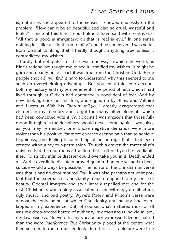is, nature as she appeared to the senses. I chewed endlessly on the problem: "How can it be so beautiful and also so cruel, wasteful and futile?" Hence at this time I could almost have said with Santayana, "All that is good is imaginary; all that is real is evil." In one sense nothing less like a "flight from reality" could be conceived. I was so far from wishful thinking that I hardly thought anything true unless it contradicted my wishes.

Hardly, but not quite. For there was one way in which the world, as Kirk's rationalism taught me to see it, gratified my wishes. It might be grim and deadly but at least it was free from the Christian God. Some people (not all) will find it hard to understand why this seemed to me such an overwhelming advantage. But you must take into account both my history and my temperament. The period of faith which I had lived through at Oldie's had contained a good deal of fear. And by now, looking back on that fear, and egged on by Shaw and Voltaire and Lucretius With his *Tantum religio*, I greatly exaggerated that element in my memory and forgot the many other elements which had been combined with it. At all costs I was anxious that those fullmoon-lit nights in the dormitory should never come again. I was also, as you may remember, one whose negative demands were more violent than his positive, far more eager to escape pain than to achieve happiness, and feeling it something of an outrage that I had been created without my own permission. To such a craven the materialist's universe had the enormous attraction that it offered you limited liabilities. No strictly infinite disaster could overtake you in it. Death ended all. And if ever finite disasters proved greater than one wished to bear, suicide would always be possible. The horror of the Christian universe was that it had no door marked *Exit*. It was also perhaps not unimportant that the externals of Christianity made no appeal to my sense of beauty. Oriental imagery and style largely repelled me; and for the rest, Christianity was mainly associated for me with ugly architecture, ugly music, and bad poetry. Wyvern Priory and Milton's verse were almost the only points at which Christianity and beauty had overlapped in my experience. But, of course, what mattered most of all was my deep-seated hatred of authority, my monstrous individualism, my lawlessness. No word in my vocabulary expressed deeper hatred than the word *Interference*. But Christianity placed at the centre what then seemed to me a transcendental Interferer. If its picture were true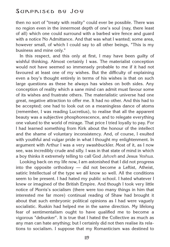then no sort of "treaty with reality" could ever be possible. There was no region even in the innermost depth of one's soul (nay, there least of all) which one could surround with a barbed wire fence and guard with a notice No Admittance. And that was what I wanted; some area, however small, of which I could say to all other beings, "This is my business and mine only."

In this respect, and this only at first, I may have been guilty of wishful thinking. Almost certainly I was. The materialist conception would not have seemed so immensely probable to me if it had not favoured at least one of my wishes. But the difficulty of explaining even a boy's thought entirely in terms of his wishes is that on such large questions as these he always has wishes on both sides. Any conception of reality which a sane mind can admit must favour some of its wishes and frustrate others. The materialistic universe had one great, negative attraction to offer me. It had no other. And this had to be accepted; one had to look out on a meaningless dance of atoms (remember, I was reading Lucretius), to realise that all the apparent beauty was a subjective phosphorescence, and to relegate everything one valued to the world of mirage. That price I tried loyally to pay. For I had learned something from Kirk about the honour of the intellect and the shame of voluntary inconsistency. And, of course, I exulted with youthful and vulgar pride in what I thought my enlightenment. In argument with Arthur I was a very swashbuckler. Most of it, as I now see, was incredibly crude and silly. I was in that state of mind in which a boy thinks it extremely telling to call God *Jahveh* and Jesus *Yeshua*.

Looking back on my life now, I am astonished that I did not progress into the opposite orthodoxy — did not become a Leftist, Atheist, satiric Intellectual of the type we all know so well. All the conditions seem to be present. I had hated my public school. I hated whatever I knew or imagined of the British Empire. And though I took very little notice of Morris's socialism (there were too many things in him that interested me far more) continual reading of Shaw had brought it about that such embryonic political opinions as I had were vaguely socialistic. Ruskin had helped me in the same direction. My lifelong fear of sentimentalism ought to have qualified me to become a vigorous "debunker". It is true that I hated the Collective as much as any man can hate anything; but I certainly did not then realise its relations to socialism. I suppose that my Romanticism was destined to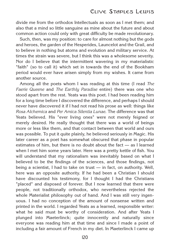divide me from the orthodox Intellectuals as soon as I met them; and also that a mind so little sanguine as mine about the future and about common action could only with great difficulty be made revolutionary.

Such, then, was my position: to care for almost nothing but the gods and heroes, the garden of the Hesperides, Launcelot and the Grail, and to believe in nothing but atoms and evolution and military service. At times the strain was severe, but I think this was a wholesome severity. Nor do I believe that the intermittent wavering in my materialistic "faith" (so to call it) which set in towards the end of the Bookham period would ever have arisen simply from my wishes. It came from another source.

Among all the poets whom I was reading at this time (I read *The Faerie Queene* and *The Earthly Paradise* entire) there was one who stood apart from the rest. Yeats was this poet. I had been reading him for a long time before I discovered the difference, and perhaps I should never have discovered it if I had not read his prose as well: things like *Rosa Alchemica* and *Per Amica Silentia Lunae*. The difference was that Yeats believed. His "ever living ones" were not merely feigned or merely desired. He really thought that there was a world of beings more or less like them, and that contact between that world and ours was possible. To put it quite plainly, he believed seriously in Magic. His later career as a poet has somewhat obscured that phase in popular estimates of him, but there is no doubt about the fact — as I learned when I met him some years later. Here was a pretty kettle of fish. You will understand that my rationalism was inevitably based on what I believed to be the findings of the sciences, and those findings, not being a scientist, I had to take on trust — in fact, on authority. Well, here was an opposite authority. If he had been a Christian I should have discounted his testimony, for I thought I had the Christians "placed" and disposed of forever. But I now learned that there were people, not traditionally orthodox, who nevertheless rejected the whole Materialist philosophy out of hand. And I was still very ingenuous. I had no conception of the amount of nonsense written and printed in the world. I regarded Yeats as a learned, responsible writer: what he said must be worthy of consideration. And after Yeats I plunged into Maeterlinck; quite innocently and naturally since everyone was reading him at that time and since I made a point of including a fair amount of French in my diet. In Maeterlinck I came up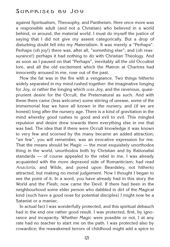against Spiritualism, Theosophy, and Pantheism. Here once more was a responsible adult (and not a Christian) who believed in a world behind, or around, the material world. I must do myself the justice of saying that I did not give my assent categorically. But a drop of disturbing doubt fell into my Materialism. It was merely a "Perhaps". Perhaps (oh joy!) there was, after all, "something else"; and (oh reassurance!) perhaps it had nothing to do with Christian Theology. And as soon as I paused on that "Perhaps", inevitably all the old Occultist lore, and all the old excitement which the Matron at Chartres had innocently aroused in me, rose out of the past.

Now the fat was in the fire with a vengeance. Two things hitherto widely separated in my mind rushed together: the imaginative longing for Joy, or rather the longing which *was* Joy, and the ravenous, quasiprurient desire for the Occult, the Preternatural as such. And with these there came (less welcome) some stirring of unease, some of the immemorial fear we have all known in the nursery, and (if we are honest) long after the nursery age. There is a kind of gravitation in the mind whereby good rushes to good and evil to evil. This mingled repulsion and desire drew towards them everything else in me that was bad. The idea that if there were Occult knowledge it was known to very few and scorned by the many became an added attraction; "we few", you will remember, was an evocative expression for me. That the means should be Magic — the most exquisitely unorthodox thing in the world, unorthodox both by Christian and by Rationalist standards — of course appealed to the rebel in me. I was already acquainted with the more depraved side of Romanticism; had read *Anactoria*, and Wilde, and pored upon Beardsley, not hitherto attracted, but making no moral judgement. Now I thought I began to see the point of it. In a word, you have already had in this story the World and the Flesh; now came the Devil. If there had been in the neighbourhood some elder person who dabbled in dirt of the Magical kind (such have a good nose for potential disciples) I might now be a Satanist or a maniac.

In actual fact I was wonderfully protected, and this spiritual debauch had in the end one rather good result. I was protected, first, by ignorance and incapacity. Whether Magic were possible or not, I at any rate had no teacher to start me on the path. I was protected also by cowardice; the reawakened terrors of childhood might add a spice to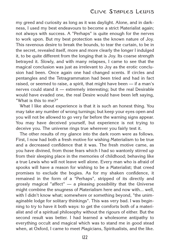my greed and curiosity as long as it was daylight. Alone, and in darkness, I used my best endeavours to become a strict Materialist again; not always with success. A "Perhaps" is quite enough for the nerves to work upon. But my best protection was the known nature of Joy. This ravenous desire to break the bounds, to tear the curtain, to be in the secret, revealed itself, more and more clearly the longer I indulged it, to be quite different from the longing that is Joy. Its coarse strength betrayed it. Slowly, and with many relapses, I came to see that the magical conclusion was just as irrelevant to Joy as the erotic conclusion had been. Once again one had changed scents. If circles and pentangles and the Tetragrammaton had been tried and had in fact raised, or seemed to raise, a spirit, that might have been — if a man's nerves could stand it — extremely interesting; but the real Desirable would have evaded one, the real Desire would have been left saying, "What is this to me?"

What I like about experience is that it is such an honest thing. You may take any number of wrong turnings; but keep your eyes open and you will not be allowed to go very far before the warning signs appear. You may have deceived yourself, but experience is not trying to deceive you. The universe rings true wherever you fairly test it.

The other results of my glance into the dark room were as follows. First, I now had both a fresh motive for wishing Materialism to be true and a decreased confidence that it was. The fresh motive came, as you have divined, from those fears which I had so wantonly stirred up from their sleeping place in the memories of childhood; behaving like a true Lewis who will not leave well alone. Every man who is afraid of spooks will have a reason for wishing to be a Materialist; that creed promises to exclude the bogies. As for my shaken confidence, it remained in the form of a "Perhaps", stripped of its directly and grossly magical "affect" — a pleasing possibility that the Universe might combine the snugness of Materialism here and now with... well, with I didn't know what; somewhere or something beyond, "the unimaginable lodge for solitary thinkings". This was very bad. I was beginning to try to have it both ways: to get the comforts both of a materialist and of a spiritual philosophy without the rigours of either. But the second result was better. I had learned a wholesome antipathy to everything occult and magical which was to stand me in good stead when, at Oxford, I came to meet Magicians, Spiritualists, and the like.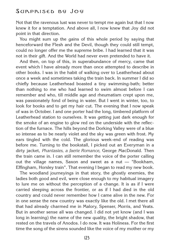Not that the ravenous lust was never to tempt me again but that I now knew it for a temptation. And above all, I now knew that Joy did not point in that direction.

You might sum up the gains of this whole period by saying that henceforward the Flesh and the Devil, though they could still tempt, could no longer offer me the supreme bribe. I had learned that it was not in their gift. And the World had never even pretended to have it.

And then, on top of this, in superabundance of mercy, came that event which I have already more than once attempted to describe in other books. I was in the habit of walking over to Leatherhead about once a week and sometimes taking the train back. In summer I did so chiefly because Leatherhead boasted a tiny swimming-bath; better than nothing to me who had learned to swim almost before I can remember and who, till middle age and rheumatism crept upon me, was passionately fond of being in water. But I went in winter, too, to look for books and to get my hair cut. The evening that I now speak of was in October. I and one porter had the long, timbered platform of Leatherhead station to ourselves. It was getting just dark enough for the smoke of an engine to glow red on the underside with the reflection of the furnace. The hills beyond the Dorking Valley were of a blue so intense as to be nearly violet and the sky was green with frost. My ears tingled with the cold. The glorious week-end of reading was before me. Turning to the bookstall, I picked out an Everyman in a dirty jacket, *Phantasies, a faerie Romance*, George MacDonald. Then the train came in. I can still remember the voice of the porter calling out the village names, Saxon and sweet as a nut — "Bookham, Effingham, Horsley train". That evening I began to read my new book.

The woodland journeyings in that story, the ghostly enemies, the ladies both good and evil, were close enough to my habitual imagery to lure me on without the perception of a change. It is as if I were carried sleeping across the frontier, or as if I had died in the old country and could never remember how I came alive in the new. For in one sense the new country was exactly like the old. I met there all that had already charmed me in Malory, Spenser, Morris, and Yeats. But in another sense all was changed. I did not yet know (and I was long in learning) the name of the new quality, the bright shadow, that rested on the travels of Anodos. I do now. It was Holiness. For the first time the song of the sirens sounded like the voice of my mother or my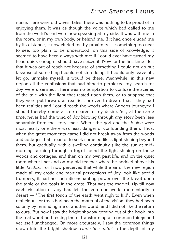nurse. Here were old wives' tales; there was nothing to be proud of in enjoying them. It was as though the voice which had called to me from the world's end were now speaking at my side. It was with me in the room, or in my own body, or behind me. If it had once eluded me by its distance, it now eluded me by proximity — something too near to see, too plain to be understood, on this side of knowledge. It seemed to have been always with me; if I could ever have turned my head quick enough I should have seized it. Now for the first time I felt that it was out of reach not because of something I could not do but because of something I could not stop doing. If I could only leave off, let go, unmake myself, it would be there. Meanwhile, in this new region all the confusions that had hitherto perplexed my search for Joy were disarmed. There was no temptation to confuse the scenes of the tale with the light that rested upon them, or to suppose that they were put forward as realities, or even to dream that if they had been realities and I could reach the woods where Anodos journeyed I should thereby come a step nearer to my desire. Yet, at the same time, never had the wind of Joy blowing through any story been less separable from the story itself. Where the god and the *idolon* were most nearly one there was least danger of confounding them. Thus, when the great moments came I did not break away from the woods and cottages that I read of to seek some bodiless light shining beyond them, but gradually, with a swelling continuity (like the sun at midmorning burning through a fog) I found the light shining on those woods and cottages, and then on my own past life, and on the quiet room where I sat and on my old teacher where he nodded above his little *Tacitus*. For I now perceived that while the air of the new region made all my erotic and magical perversions of Joy look like sordid trumpery, it had no such disenchanting power over the bread upon the table or the coals in the grate. That was the marvel. Up till now each visitation of Joy had left the common world momentarily a desert — "The first touch of the earth went nigh to kill". Even when real clouds or trees had been the material of the vision, they had been so only by reminding me of another world; and I did not like the return to ours. But now I saw the bright shadow coming out of the book into the real world and resting there, transforming all common things and yet itself unchanged. Or, more accurately, I saw the common things drawn into the bright shadow. *Unde hoc mihi?* In the depth of my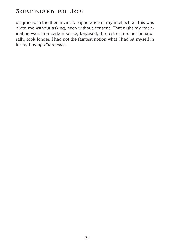disgraces, in the then invincible ignorance of my intellect, all this was given me without asking, even without consent. That night my imagination was, in a certain sense, baptised; the rest of me, not unnaturally, took longer. I had not the faintest notion what I had let myself in for by buying *Phantastes*.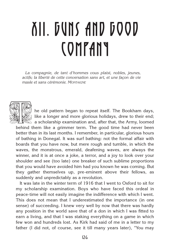## XII. Guns and Good COMPANY

La compagnie, de tant d'hommes vous plaist, nobles, jeunes, *actifs; la liberté de cette conversation sans art, et une façon de vie masle et sans cérémonie. Montaigne*



he old pattern began to repeat itself. The Bookham days, like a longer and more glorious holidays, drew to their end; a scholarship examination and, after that, the Army, loomed

behind them like a grimmer term. The good time had never been better than in its last months. I remember, in particular, glorious hours of bathing in Donegal. It was surf bathing: not the formal affair with boards that you have now, but mere rough and tumble, in which the waves, the monstrous, emerald, deafening waves, are always the winner, and it is at once a joke, a terror, and a joy to look over your shoulder and see (too late) one breaker of such sublime proportions that you would have avoided him had you known he was coming. But they gather themselves up, pre-eminent above their fellows, as suddenly and unpredictably as a revolution.

It was late in the winter term of 1916 that I went to Oxford to sit for my scholarship examination. Boys who have faced this ordeal in peace-time will not easily imagine the indifference with which I went. This does not mean that I underestimated the importance (in one sense) of succeeding. I knew very well by now that there was hardly any position in the world save that of a don in which I was fitted to earn a living, and that I was staking everything on a game in which few won and hundreds lost. As Kirk had said of me in a letter to my father (I did not, of course, see it till many years later), "You may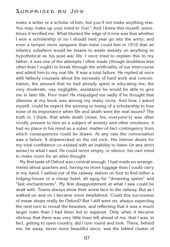make a writer or a scholar of him, but you'll not make anything else. You may make up your mind to *that*." And I knew this myself; sometimes it terrified me. What blunted the edge of it now was that whether I won a scholarship or no I should next year go into the army; and even a temper more sanguine than mine could feel in 1916 that an infantry subaltern would be insane to waste anxiety on anything so hypothetical as his post-war life. I once tried to explain this to my father; it was one of the attempts I often made (though doubtless less often than I ought) to break through the artificiality of our intercourse and admit him to my real life. It was a total failure. He replied at once with fatherly counsels about the necessity of hard work and concentration, the amount that he had already spent in educating me, the very moderate, nay negligible, assistance he would be able to give me in later life. Poor man! He misjudged me sadly if he thought that idleness at my book was among my many vices. And how, I asked myself, could he expect the winning or losing of a scholarship to lose none of its importance when life and death were the real issues? The truth is, I think, that while death (mine, his, everyone's) was often vividly present to him as a subject of anxiety and other emotions, it had no place in his mind as a sober, matter-of-fact contingency from which consequences could be drawn. At any rate the conversation was a failure. It shipwrecked on the old rock. His intense desire for my total confidence co-existed with an inability to listen (in any strict sense) to what I said. He could never empty, or silence, his own mind to make room for an alien thought.

My first taste of Oxford was comical enough. I had made no arrangements about quarters and, having no more luggage than I could carry in my hand, I sallied out of the railway station on foot to find either a lodging-house or a cheap hotel; all agog for "dreaming spires" and "last enchantments". My first disappointment at what I saw could be dealt with. Towns always show their worst face to the railway. But as I walked on and on I became more bewildered. Could this succession of mean shops really be Oxford? But I still went on, always expecting the next turn to reveal the beauties, and reflecting that it was a much larger town than I had been led to suppose. Only when it became obvious that there was very little town left ahead of me, that I was, in fact, getting to open country, did I turn round and look. There, behind me, far away, never more beautiful since, was the fabled cluster of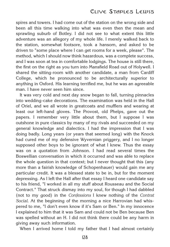spires and towers. I had come out of the station on the wrong side and been all this time walking into what was even then the mean and sprawling suburb of Botley. I did not see to what extent this little adventure was an allegory of my whole life. I merely walked back to the station, somewhat footsore, took a hansom, and asked to be driven to "some place where I can get rooms for a week, please". The method, which I should now think hazardous, was a complete success, and I was soon at tea in comfortable lodgings. The house is still there, the first on the right as you turn into Mansfield Road out of Holywell. I shared the sitting-room with another candidate, a man from Cardiff College, which he pronounced to be architecturally superior to anything in Oxford. His learning terrified me, but he was an agreeable man. I have never seen him since.

It was very cold and next day snow began to fall, turning pinnacles into wedding-cake decorations. The examination was held in the Hall of Oriel, and we all wrote in greatcoats and mufflers and wearing at least our left-hand gloves. The Provost, old Phelps, gave out the papers. I remember very little about them, but I suppose I was outshone in pure classics by many of my rivals and succeeded on my general knowledge and dialectics. I had the impression that I was doing badly. Long years (or years that seemed long) with the Knock had cured me of my defensive Wyvernian priggery, and I no longer supposed other boys to be ignorant of what I knew. Thus the essay was on a quotation from Johnson. I had read several times the Boswellian conversation in which it occurred and was able to replace the whole question in that context; but I never thought that this (any more than a fairish knowledge of Schopenhauer) would gain me any particular credit. It was a blessed state to be in, but for the moment depressing. As I left the Hall after that essay I heard one candidate say to his friend, "I worked in all my stuff about Rousseau and the Social Contract." That struck dismay into my soul, for though I had dabbled (not to my good) in the *Confessions* I knew nothing of the *Contrat Social*. At the beginning of the morning a nice Harrovian had whispered to me, "I don't even know if it's Sam or Ben." In my innocence I explained to him that it was Sam and could not be Ben because Ben was spelled without an H. I did not think there could be any harm in giving away such information.

When I arrived home I told my father that I had almost certainly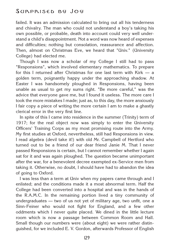failed. It was an admission calculated to bring out all his tenderness and chivalry. The man who could not understand a boy's taking his own possible, or probable, death into account could very well understand a child's disappointment. Not a word was now heard of expenses and difficulties; nothing but consolation, reassurance and affection. Then, almost on Christmas Eve, we heard that "Univ." (University College) had elected me.

Though I was now a scholar of my College I still had to pass "Responsions", which involved elementary mathematics. To prepare for this I returned after Christmas for one last term with Kirk — a golden term, poignantly happy under the approaching shadow. At Easter I was handsomely ploughed in Responsions, having been unable as usual to get my sums right. "Be more careful," was the advice that everyone gave me, but I found it useless. The more care I took the more mistakes I made; just as, to this day, the more anxiously I fair copy a piece of writing the more certain I am to make a ghastly clerical error in the very first line.

In spite of this I came into residence in the summer (Trinity) term of 1917; for the real object now was simply to enter the University Officers' Training Corps as my most promising route into the Army. My first studies at Oxford, nevertheless, still had Responsions in view. I read algebra (devil take it!) with old Mr. Campbell of Hertford who turned out to be a friend of our dear friend Janie M. That I never passed Responsions is certain, but I cannot remember whether I again sat for it and was again ploughed. The question became unimportant after the war, for a benevolent decree exempted ex-Service men from taking it. Otherwise, no doubt, I should have had to abandon the idea of going to Oxford.

I was less than a term at Univ when my papers came through and I enlisted; and the conditions made it a most abnormal term. Half the College had been converted into a hospital and was in the hands of the R.A.M.C. In the remaining portion lived a tiny community of undergraduates — two of us not yet of military age, two unfit, one a Sinn-Feiner who would not fight for England, and a few other oddments which I never quite placed. We dined in the little lecture room which is now a passage between Common Room and Hall. Small though our numbers were (about eight) we were rather distinguished, for we included E. V. Gordon, afterwards Professor of English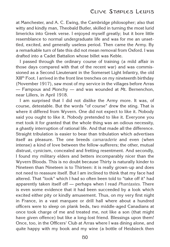at Manchester, and A. C. Ewing, the Cambridge philosopher; also that witty and kindly man, Theobald Butler, skilled in turning the most lurid limericks into Greek verse. I enjoyed myself greatly; but it bore little resemblance to normal undergraduate life and was for me an unsettled, excited, and generally useless period. Then came the Army. By a remarkable turn of fate this did not mean removal from Oxford. I was drafted into a Cadet Battalion whose billet was Keble.

I passed through the ordinary course of training (a mild affair in those days compared with that of the recent war) and was commissioned as a Second Lieutenant in the Somerset Light Infantry, the old XIII<sup>th</sup> Foot. I arrived in the front line trenches on my nineteenth birthday (November 1917), saw most of my service in the villages before Arras — Fampoux and Monchy — and was wounded at Mt. Bernenchon, near Lillers, in April 1918.

I am surprised that I did not dislike the Army more. It was, of course, detestable. But the words "of course" drew the sting. That is where it differed from Wyvern. One did not expect to like it. Nobody said you ought to like it. Nobody pretended to like it. Everyone you met took it for granted that the whole thing was an odious necessity, a ghastly interruption of rational life. And that made all the difference. Straight tribulation is easier to bear than tribulation which advertises itself as pleasure. The one breeds *camaraderie* and even (when intense) a kind of love between the fellow-sufferers; the other, mutual distrust, cynicism, concealed and fretting resentment. And secondly, I found my military elders and betters incomparably nicer than the Wyvern Bloods. This is no doubt because Thirty is naturally kinder to Nineteen than Nineteen is to Thirteen: it is really grown-up and does not need to reassure itself. But I am inclined to think that my face had altered. That "look" which I had so often been told to "take off it" had apparently taken itself off — perhaps when I read *Phantastes*. There is even some evidence that it had been succeeded by a look which excited either pity or kindly amusement. Thus, on my very first night in France, in a vast marquee or drill hall where about a hundred officers were to sleep on plank beds, two middle-aged Canadians at once took charge of me and treated me, not like a son (that might have given offence) but like a long-lost friend. Blessings upon them! Once, too, in the Officers' Club at Arras where I was dining alone, and quite happy with my book and my wine (a bottle of Heidsieck then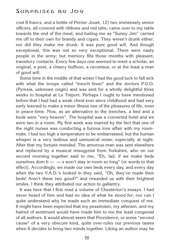cost 8 francs, and a bottle of Perrier Jouet, 12) two immensely senior officers, all covered with ribbons and red tabs, came over to my table towards the end of the meal, and hailing me as "Sunny Jim" carried me off to their own for brandy and cigars. They weren't drunk either; nor did they make me drunk. It was pure good will. And though exceptional, this was not so very exceptional. There were nasty people in the army; but memory fills those months with pleasant, transitory contacts. Every few days one seemed to meet a scholar, an original, a poet, a cheery buffoon, a raconteur, or at the least a man of good will.

Some time in the middle of that winter I had the good luck to fall sick with what the troops called "trench fever" and the doctors P.U.O. (Pyrexia, unknown origin) and was sent for a wholly delightful three weeks to hospital at Le Tréport. Perhaps I ought to have mentioned before that I had had a weak chest ever since childhood and had very early learned to make a minor illness one of the pleasures of life, even in peace-time. Now, as an alternative to the trenches, a bed and a book were "very heaven". The hospital was a converted hotel and we were two in a room. My first week was marred by the fact that one of the night nurses was conducting a furious love affair with my roommate. I had too high a temperature to be embarrassed, but the human whisper is a very tedious and unmusical noise; especially at night. After that my fortune mended. The amorous man was sent elsewhere and replaced by a musical misogynist from Yorkshire, who on our second morning together said to me, "Eh, lad, if we make beds ourselves dom  $b - -s$  won't stay in room so long" (or words to that effect). Accordingly, we made our own beds every day, and every day when the two V.A.D.'s looked in they said, "Oh, they've made their beds! Aren't these two good?" and rewarded us with their brightest smiles. I think they attributed our action to gallantry.

It was here that I first read a volume of Chesterton's essays. I had never heard of him and had no idea of what he stood for; nor can I quite understand why he made such an immediate conquest of me. It might have been expected that my pessimism, my atheism, and my hatred of sentiment would have made him to me the least congenial of all authors. It would almost seem that Providence, or some "second cause" of a very obscure kind, quite over-rules our previous tastes when It decides to bring two minds together. Liking an author may be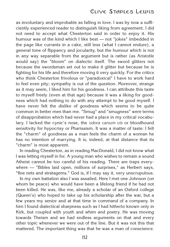as involuntary and improbable as falling in love. I was by now a sufficiently experienced reader to distinguish liking from agreement. I did not need to accept what Chesterton said in order to enjoy it. His humour was of the kind which I like best — not "jokes" imbedded in the page like currants in a cake, still less (what I cannot endure), a general tone of flippancy and jocularity, but the humour which is not in any way separable from the argument but is rather (as Aristotle would say) the "bloom" on dialectic itself. The sword glitters not because the swordsman set out to make it glitter but because he is fighting for his life and therefore moving it very quickly. For the critics who think Chesterton frivolous or "paradoxical" I have to work hard to feel even pity; sympathy is out of the question. Moreover, strange as it may seem, I liked him for his goodness. I can attribute this taste to myself freely (even at that age) because it was a liking for goodness which had nothing to do with any attempt to be good myself. I have never felt the dislike of goodness which seems to be quite common in better men than me. "Smug" and "smugness" were terms of disapprobation which had never had a place in my critical vocabulary. I lacked the cynic's nose, the *odora canum vis* or bloodhound sensitivity for hypocrisy or Pharisaism. It was a matter of taste: I felt the "charm" of goodness as a man feels the charm of a woman he has no intention of marrying. It is, indeed, at that distance that its "charm" is most apparent.

In reading Chesterton, as in reading MacDonald, I did not know what I was letting myself in for. A young man who wishes to remain a sound Atheist cannot be too careful of his reading. There are traps everywhere — "Bibles laid open, millions of surprises," as Herbert says, "fine nets and stratagems." God is, if I may say it, very unscrupulous.

In my own battalion also I was assailed. Here I met one Johnson (on whom be peace) who would have been a lifelong friend if he had not been killed. He was, like me, already a scholar of an Oxford college (Queen's) who hoped to take up his scholarship after the war, but a few years my senior and at that time in command of a company. In him I found dialectical sharpness such as I had hitherto known only in Kirk, but coupled with youth and whim and poetry. He was moving towards Theism and we had endless arguments on that and every other topic whenever we were out of the line. But it was not this that mattered. The important thing was that he was a man of conscience.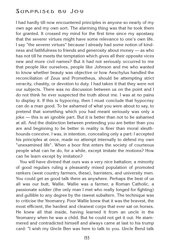I had hardly till now encountered principles in anyone so nearly of my own age and my own sort. The alarming thing was that he took them for granted. It crossed my mind for the first time since my apostasy that the severer virtues might have some relevance to one's own life. I say "the severer virtues" because I already had some notion of kindness and faithfulness to friends and generosity about money — as who has not till he meets the temptation which gives all their opposite vices new and more civil names? But it had not seriously occurred to me that people like ourselves, people like Johnson and me who wanted to know whether beauty was objective or how Aeschylus handled the reconciliation of Zeus and Prometheus, should be attempting strict veracity, chastity, or devotion to duty. I had taken it that they were not our subjects. There was no discussion between us on the point and I do not think he ever suspected the truth about me. I was at no pains to display it. If this is hypocrisy, then I must conclude that hypocrisy can do a man good. To be ashamed of what you were about to say, to pretend that something which you had meant seriously was only a joke — this is an ignoble part. But it is better than not to be ashamed at all. And the distinction between pretending you are better than you are and beginning to be better in reality is finer than moral sleuthhounds conceive. I was, in intention, concealing only a part: I accepted his principles at once, made no attempt internally to defend my own "unexamined life". When a boor first enters the society of courteous people what can he do, for a while, except imitate the motions? How can he learn except by imitation?

You will have divined that ours was a very nice battalion; a minority of good regulars ruling a pleasantly mixed population of promoted rankers (west country farmers, these), barristers, and university men. You could get as good talk there as anywhere. Perhaps the best of us all was our butt, Wallie. Wallie was a farmer, a Roman Catholic, a passionate soldier (the only man I met who really longed for fighting) and gullible to any degree by the rawest subaltern. The technique was to criticise the Yeomanry. Poor Wallie knew that it was the bravest, the most efficient, the hardest and cleanest corps that ever sat on horses. He knew all that inside, having learned it from an uncle in the Yeomanry when he was a child. But he could not get it out. He stammered and contradicted himself and always came at last to his trump card: "I wish my Uncle Ben was here to talk to you. Uncle Bend talk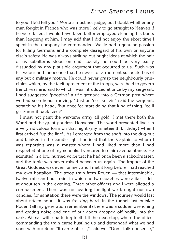to you. He'd tell you." Mortals must not judge; but I doubt whether any man fought in France who was more likely to go straight to Heaven if he were killed. I would have been better employed cleaning his boots than laughing at him. I may add that I did not enjoy the short time I spent in the company he commanded. Wallie had a genuine passion for killing Germans and a complete disregard of his own or anyone else's safety. He was always striking out bright ideas at which the hair of us subalterns stood on end. Luckily he could be very easily dissuaded by any plausible argument that occurred to us. Such was his valour and innocence that he never for a moment suspected us of any but a military motive. He could never grasp the neighbourly principles which, by the tacit agreement of the troops, were held to govern trench-warfare, and to which I was introduced at once by my sergeant. I had suggested "pooping" a rifle grenade into a German post where we had seen heads moving. "Just as 'ee like, zir," said the sergeant, scratching his head, "but once 'ee start doing that kind of thing, 'ee'll get zummit back, zee?"

I must not paint the war-time army all gold. I met there both the World and the great goddess Nonsense. The world presented itself in a very ridiculous form on that night (my nineteenth birthday) when I first arrived "up the line". As I emerged from the shaft into the dug-out and blinked in the candle-light I noticed that the Captain to whom I was reporting was a master whom I had liked more than I had respected at one of my schools. I ventured to claim acquaintance. He admitted in a low, hurried voice that he had once been a schoolmaster, and the topic was never raised between us again. The impact of the Great Goddess was even funnier, and I met it long before I had reached my own battalion. The troop train from Rouen — that interminable, twelve-mile-an-hour train, in which no two coaches were alike — left at about ten in the evening. Three other officers and I were allotted a compartment. There was no heating; for light we brought our own candles; for sanitation there were the windows. The journey would last about fifteen hours. It was freezing hard. In the tunnel just outside Rouen (all my generation remember it) there was a sudden wrenching and grating noise and one of our doors dropped off bodily into the dark. We sat with chattering teeth till the next stop, where the officer commanding the train came bustling up and demanded what we had done with our door. "It came off, sir," said we. "Don't talk nonsense,"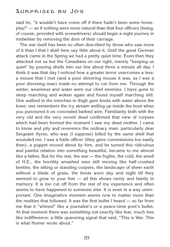said he, "it wouldn't have come off if there hadn't been some horseplay!" — as if nothing were more natural than that four officers (being, of course, provided with screwdrivers) should begin a night journey in midwinter by removing the door of their carriage.

The war itself has been so often described by those who saw more of it than I that I shall here say little about it. Until the great German attack came in the Spring we had a pretty quiet time. Even then they attacked not us but the Canadians on our right, merely "keeping us quiet" by pouring shells into our line about three a minute all day. I think it was that day I noticed how a greater terror overcomes a less: a mouse that I met (and a poor shivering mouse it was, as I was a poor shivering man) made no attempt to run from me. Through the winter, weariness and water were our chief enemies. I have gone to sleep marching and woken again and found myself marching still. One walked in the trenches in thigh gum boots with water above the knee; one remembers the icy stream welling up inside the boot when you punctured it on concealed barbed wire. Familiarity both with the very old and the very recent dead confirmed that view of corpses which had been formed the moment I saw my dead mother. I came to know and pity and reverence the ordinary man: particularly dear Sergeant Ayres, who was (I suppose) killed by the same shell that wounded me. I was a futile officer (they gave commissions too easily then), a puppet moved about by him, and he turned this ridiculous and painful relation into something beautiful, became to me almost like a father. But for the rest, the war — the frights, the cold, the smell of H.E., the horribly smashed men still moving like half-crushed beetles, the sitting or standing corpses, the landscape of sheer earth without a blade of grass, the boots worn day and night till they seemed to grow to your feet — all this shows rarely and faintly in memory. It is too cut off from the rest of my experience and often seems to have happened to someone else. It is even in a way unimportant. One imaginative moment seems now to matter more than the realities that followed. It was the first bullet I heard — so far from me that it "whined" like a journalist's or a peace-time poet's bullet. At that moment there was something not exactly like fear, much less like indifference: a little quavering signal that said, "This is War. This is what Homer wrote about."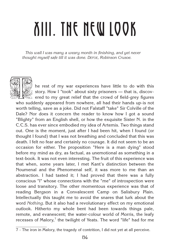# **XIII. THE NEW LOOK**

*This wall I was many a weary month in finishing, and yet never thought myself safe till it was done. Defoe, Robinson Crusoe.*



he rest of my war experiences have little to do with this story. How I "took" about sixty prisoners — that is, discovered to my great relief that the crowd of field-grey figures

who suddenly appeared from nowhere, all had their hands up-is not worth telling, save as a joke. Did not Falstaff "take" Sir Colville of the Dale? Nor does it concern the reader to know how I got a sound "Blighty" from an English shell, or how the exquisite Sister N. in the C.C.S. has ever since embodied my idea of Artemis. Two things stand out. One is the moment, just after I had been hit, when I found (or thought I found) that I was not breathing and concluded that this was death. I felt no fear and certainly no courage. It did not seem to be an occasion for either. The proposition "Here is a man dying" stood before my mind as dry, as factual, as unemotional as something in a text-book. It was not even interesting. The fruit of this experience was that when, some years later, I met Kant's distinction between the Noumenal and the Phenomenal self, it was more to me than an abstraction. I had tasted it; I had proved that there was a fully conscious "I" whose connections with the "me" of introspection were loose and transitory. The other momentous experience was that of reading Bergson in a Convalescent Camp on Salisbury Plain. Intellectually this taught me to avoid the snares that lurk about the word *Nothing*. But it also had a revolutionary effect on my emotional outlook. Hitherto my whole bent had been towards things pale, remote, and evanescent; the water-colour world of Morris, the leafy recesses of Malory, $7$  the twilight of Yeats. The word "life" had for me

<sup>7 -</sup> The iron in Malory, the tragedy of contrition, I did not yet at all perceive.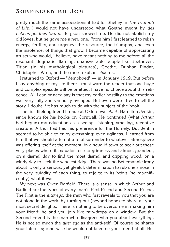pretty much the same associations it had for Shelley in *The Triumph of Life*. I would not have understood what Goethe meant by *des Lebens goldnes Baum*. Bergson showed me. He did not abolish my old loves, but he gave me a new one. From him I first learned to relish energy, fertility, and urgency; the resource, the triumphs, and even the insolence, of things that grow. I became capable of appreciating artists who would, I believe, have meant nothing to me before; all the resonant, dogmatic, flaming, unanswerable people like Beethoven, Titian (in his mythological pictures), Goethe, Dunbar, Pindar, Christopher Wren, and the more exultant Psalms.

I returned to Oxford — "demobbed" — in January 1919. But before I say anything of my life there I must warn the reader that one huge and complex episode will be omitted. I have no choice about this reticence. All I can or need say is that my earlier hostility to the emotions was very fully and variously avenged. But even were I free to tell the story, I doubt if it has much to do with the subject of the book.

The first lifelong friend I made at Oxford was A. K. Hamilton Jenkin, since known for his books on Cornwall. He continued (what Arthur had begun) my education as a seeing, listening, smelling, receptive creature. Arthur had had his preference for the Homely. But Jenkin seemed to be able to enjoy everything; even ugliness. I learned from him that we should attempt a total surrender to whatever atmosphere was offering itself at the moment; in a squalid town to seek out those very places where its squalor rose to grimness and almost grandeur, on a dismal day to find the most dismal and dripping wood, on a windy day to seek the windiest ridge. There was no Betjemannic irony about it; only a serious, yet gleeful, determination to rub one's nose in the very quiddity of each thing, to rejoice in its being (so magnificently) what it was.

My next was Owen Barfield. There is a sense in which Arthur and Barfield are the types of every man's First Friend and Second Friend. The First is the *alter ego*, the man who first reveals to you that you are not alone in the world by turning out (beyond hope) to share all your most secret delights. There is nothing to be overcome in making him your friend; he and you join like rain-drops on a window. But the Second Friend is the man who disagrees with you about everything. He is not so much the *alter ego* as the anti-self. Of course he shares your interests; otherwise he would not become your friend at all. But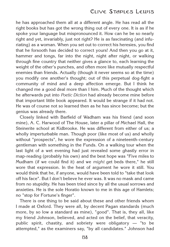he has approached them all at a different angle. He has read all the right books but has got the wrong thing out of every one. It is as if he spoke your language but mispronounced it. How can he be so nearly right and yet, invariably, just not right? He is as fascinating (and infuriating) as a woman. When you set out to correct his heresies, you find that he forsooth has decided to correct yours! And then you go at it, hammer and tongs, far into the night, night after night, or walking through fine country that neither gives a glance to, each learning the weight of the other's punches, and often more like mutually respectful enemies than friends. Actually (though it never seems so at the time) you modify one another's thought; out of this perpetual dog-fight a community of mind and a deep affection emerge. But I think he changed me a good deal more than I him. Much of the thought which he afterwards put into *Poetic Diction* had already become mine before that important little book appeared. It would be strange if it had not. He was of course not so learned then as he has since become; but the genius was already there.

Closely linked with Barfield of Wadham was his friend (and soon mine), A. C. Harwood of The House, later a pillar of Michael Hall, the Steinerite school at Kidbrooke. He was different from either of us; a wholly imperturbable man. Though poor (like most of us) and wholly without "prospects", he wore the expression of a nineteenth-century gentleman with something in the Funds. On a walking tour when the last light of a wet evening had just revealed some ghastly error in map-reading (probably his own) and the best hope was "Five miles to Mudham (if we could find it) and we *might* get beds there," he still wore that expression. In the heat of argument he wore it still. You would think that he, if anyone, would have been told to "take that look off his face". But I don't believe he ever was. It was no mask and came from no stupidity. He has been tried since by all the usual sorrows and anxieties. He is the sole Horatio known to me in this age of Hamlets; no "stop for Fortune's finger".

There is one thing to be said about these and other friends whom I made at Oxford. They were all, by decent Pagan standards (much more, by so low a standard as mine), "good". That is, they all, like my friend Johnson, believed, and acted on the belief, that veracity, public spirit, chastity, and sobriety were obligatory — "to be attempted," as the examiners say, "by all candidates." Johnson had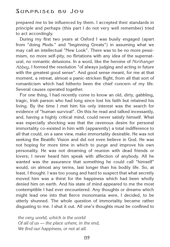prepared me to be influenced by them. I accepted their standards in principle and perhaps (this part I do not very well remember) tried to act accordingly.

During my first two years at Oxford I was busily engaged (apart from "doing Mods." and "beginning Greats") in assuming what we may call an intellectual "New Look". There was to be no more pessimism, no more self-pity, no flirtations with any idea of the supernatural, no romantic delusions. In a word, like the heroine of *Northanger Abbey*, I formed the resolution "of always judging and acting in future with the greatest good sense". And good sense meant, for me at that moment, a retreat, almost a panic-stricken flight, from all that sort of romanticism which had hitherto been the chief concern of my life. Several causes operated together.

For one thing, I had recently come to know an old, dirty, gabbling, tragic, Irish parson who had long since lost his faith but retained his living. By the time I met him his only interest was the search for evidence of "human survival". On this he read and talked incessantly, and, having a highly critical mind, could never satisfy himself. What was especially shocking was that the ravenous desire for personal immortality co-existed in him with (apparently) a total indifference to all that could, on a sane view, make immortality desirable. He was not seeking the Beatific Vision and did not even believe in God. He was not hoping for more time in which to purge and improve his own personality. He was not dreaming of reunion with dead friends or lovers; I never heard him speak with affection of anybody. All he wanted was the assurance that something he could call "himself" would, on almost any terms, last longer than his bodily life. So, at least, I thought. I was too young and hard to suspect that what secretly moved him was a thirst for the happiness which had been wholly denied him on earth. And his state of mind appeared to me the most contemptible I had ever encountered. Any thoughts or dreams which might lead one into that fierce monomania were, I decided, to be utterly shunned. The whole question of immortality became rather disgusting to me. I shut it out. All one's thoughts must be confined to

*the very world, which is the world Of all of us — the place where, in the end, We find our happiness, or not at all.*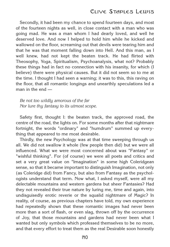Secondly, it had been my chance to spend fourteen days, and most of the fourteen nights as well, in close contact with a man who was going mad. He was a man whom I had dearly loved, and well he deserved love. And now I helped to hold him while he kicked and wallowed on the floor, screaming out that devils were tearing him and that he was that moment falling down into Hell. And this man, as I well knew, had not kept the beaten track. He had flirted with Theosophy, Yoga, Spiritualism, Psychoanalysis, what not? Probably these things had in fact no connection with his insanity, for which (I believe) there were physical causes. But it did not seem so to me at the time. I thought I had seen a warning; it was to this, this raving on the floor, that all romantic longings and unearthly speculations led a man in the end —

*Be not too wildly amorous of the far Nor lure thy fantasy to its utmost scope.*

Safety first, thought I: the beaten track, the approved road, the centre of the road, the lights on. For some months after that nightmare fortnight, the words "ordinary" and "humdrum" summed up everything that appeared to me most desirable.

Thirdly, the new Psychology was at that time sweeping through us all. We did not swallow it whole (few people then did) but we were all influenced. What we were most concerned about was "Fantasy" or "wishful thinking". For (of course) we were all poets and critics and set a very great value on "Imagination" in some high Coleridgean sense, so that it became important to distinguish Imagination, not only (as Coleridge did) from Fancy, but also from Fantasy as the psychologists understand that term. Now what, I asked myself, were all my delectable mountains and western gardens but sheer Fantasies? Had they not revealed their true nature by luring me, time and again, into undisguisedly erotic reverie or the squalid nightmare of Magic? In reality, of course, as previous chapters have told, my own experience had repeatedly shown that these romantic images had never been more than a sort of flash, or even slag, thrown off by the occurrence of Joy, that those mountains and gardens had never been what I wanted but only symbols which professed themselves to be no more, and that every effort to treat them as the real Desirable soon honestly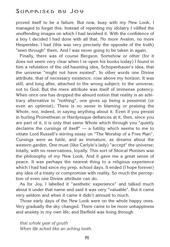proved itself to be a failure. But now, busy with my New Look, I managed to forget this. Instead of repenting my idolatry I vilified the unoffending images on which I had lavished it. With the confidence of a boy I decided I had done with all that. No more Avalon, no more Hesperides. I had (this was very precisely the opposite of the truth) "seen through" them. And I was never going to be taken in again.

Finally, there was of course Bergson. Somehow or other (for it does not seem very clear when I re-open his books today) I found in him a refutation of the old haunting idea, Schopenhauer's idea, that the universe "might not have existed". In other words one Divine attribute, that of necessary existence, rose above my horizon. It was still, and long after, attached to the wrong subject; to the universe, not to God. But the mere attribute was itself of immense potency. When once one has dropped the absurd notion that reality is an arbitrary alternative to "nothing", one gives up being a pessimist (or even an optimist). There is no sense in blaming or praising the Whole, nor, indeed, in saying anything about it. Even if you persist in hurling Promethean or Hardyesque defiances at it, then, since you are part of it, it is only that same Whole which through you "quietly declaims the cursings of itself"  $-$  a futility which seems to me to vitiate Lord Russell's stirring essay on "The Worship of a Free Man". Cursings were as futile, and as immature, as dreams about the western garden. One must (like Carlyle's lady) "accept" the universe; totally, with no reservations, loyally. This sort of Stoical Monism was the philosophy of my New Look. And it gave me a great sense of peace. It was perhaps the nearest thing to a religious experience which I had had since my prep. school days. It ended (I hope forever) any idea of a treaty or compromise with reality. So much the perception of even one Divine attribute can do.

As for Joy, I labelled it "aesthetic experience" and talked much about it under that name and said it was very "valuable". But it came very seldom and when it came it didn't amount to much.

Those early days of the New Look were on the whole happy ones. Very gradually the sky changed. There came to be more unhappiness and anxiety in my own life; and Barfield was living through

*that whole year of youth When life ached like an aching tooth.*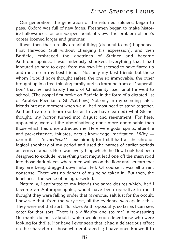Our generation, the generation of the returned soldiers, began to pass. Oxford was full of new faces. Freshmen began to make historical allowances for our warped point of view. The problem of one's career loomed larger and grimmer.

It was then that a really dreadful thing (dreadful to me) happened. First Harwood (still without changing his expression), and then Barfield, embraced the doctrines of Steiner and became Anthroposophists. I was hideously shocked. Everything that I had laboured so hard to expel from my own life seemed to have flared up and met me in my best friends. Not only my best friends but those whom I would have thought safest; the one so immovable, the other brought up in a free-thinking family and so immune from all "superstition" that he had hardly heard of Christianity itself until he went to school. (The gospel first broke on Barfield in the form of a dictated list of Parables Peculiar to St. Matthew.) Not only in my seeming-safest friends but at a moment when we all had most need to stand together. And as I came to learn (so far as I ever have learned) what Steiner thought, my horror turned into disgust and resentment. For here, apparently, were all the abominations; none more abominable than those which had once attracted me. Here were gods, spirits, after-life and pre-existence, initiates, occult knowledge, meditation. "Why damn it — it's *medieval*," I exclaimed; for I still had all the chronological snobbery of my period and used the names of earlier periods as terms of abuse. Here was everything which the New Look had been designed to exclude; everything that might lead one off the main road into those dark places where men wallow on the floor and scream that they are being dragged down into Hell. Of course it was all arrant nonsense. There was no danger of *my* being taken in. But then, the loneliness, the sense of being deserted.

Naturally, I attributed to my friends the same desires which, had I become an Anthroposophist, would have been operative in me. I thought they were falling under that ravenous, salt lust for the occult. I now see that, from the very first, all the evidence was against this. They were not that sort. Nor does Anthroposophy, so far as I can see, cater for that sort. There is a difficulty and (to me) a re-assuring Germanic dullness about it which would soon deter those who were looking for thrills. Nor have I ever seen that it had a deleterious effect on the character of those who embraced it; I have once known it to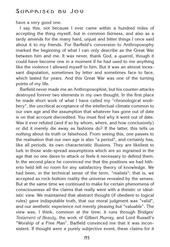have a very good one.

I say this, not because I ever came within a hundred miles of accepting the thing myself, but in common fairness, and also as a tardy amends for the many hard, unjust and bitter things I once said about it to my friends. For Barfield's conversion to Anthroposophy marked the beginning of what I can only describe as the Great War between him and me. It was never, thank God, a quarrel, though it could have become one in a moment if he had used to me anything like the violence I allowed myself to him. But it was an almost incessant disputation, sometimes by letter and sometimes face to face, which lasted for years. And this Great War was one of the turning points of my life.

Barfield never made me an Anthroposophist, but his counter-attacks destroyed forever two elements in my own thought. In the first place he made short work of what I have called my "chronological snobbery", the uncritical acceptance of the intellectual climate common to our own age and the assumption that whatever has gone out of date is on that account discredited. You must find why it went out of date. Was it ever refuted (and if so by whom, where, and how conclusively) or did it merely die away as fashions do? If the latter, this tells us nothing about its truth or falsehood. From seeing this, one passes to the realisation that our own age is also "a period", and certainly has, like all periods, its own characteristic illusions. They are likeliest to lurk in those wide-spread assumptions which are so ingrained in the age that no one dares to attack or feels it necessary to defend them. In the second place he convinced me that the positions we had hitherto held left no room for any satisfactory theory of knowledge. We had been, in the technical sense of the term, "realists"; that is, we accepted as rock-bottom reality the universe revealed by the senses. But at the same time we continued to make for certain phenomena of consciousness all the claims that really went with a theistic or idealistic view. We maintained that abstract thought (if obedient to logical rules) gave indisputable truth, that our moral judgment was "valid", and our aesthetic experience not merely pleasing but "valuable". The view was, I think, common at the time; it runs through Bridges' *Testament of Beauty*, the work of Gilbert Murray, and Lord Russell's "Worship of a Free Man". Barfield convinced me that it was inconsistent. If thought were a purely subjective event, these claims for it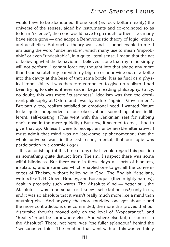would have to be abandoned. If one kept (as rock-bottom reality) the universe of the senses, aided by instruments and co-ordinated so as to form "science", then one would have to go much further — as many have since gone — and adopt a Behaviouristic theory of logic, ethics, and aesthetics. But such a theory was, and is, unbelievable to me. I am using the word "unbelievable", which many use to mean "improbable" or even "undesirable", in a quite literal sense. I mean that the act of believing what the behaviourist believes is one that my mind simply will not perform. I cannot force my thought into that shape any more than I can scratch my ear with my big toe or pour wine out of a bottle into the cavity at the base of that same bottle. It is as final as a physical impossibility. I was therefore compelled to give up realism. I had been trying to defend it ever since I began reading philosophy. Partly, no doubt, this was mere "cussedness". Idealism was then the dominant philosophy at Oxford and I was by nature "against Government". But partly, too, realism satisfied an emotional need. I wanted Nature to be quite independent of our observation; something other, indifferent, self-existing. (This went with the Jenkinian zest for rubbing one's nose in the mere quiddity.) But now, it seemed to me, I had to give that up. Unless I were to accept an unbelievable alternative, I must admit that mind was no late-come epiphenomenon; that the whole universe was, in the last resort, mental; that our logic was participation in a cosmic *Logos*.

It is astonishing (at this time of day) that I could regard this position as something quite distinct from Theism. I suspect there was some wilful blindness. But there were in those days all sorts of blankets, insulators, and insurances which enabled one to get all the conveniences of Theism, without believing in God. The English Hegelians, writers like T. H. Green, Bradley, and Bosanquet (then mighty names), dealt in precisely such wares. The Absolute Mind — better still, the Absolute — was impersonal, or it knew itself (but not us?) only in us, and it was so absolute that it wasn't really much more like a mind than anything else. And anyway, the more muddled one got about it and the more contradictions one committed, the more this proved that our discursive thought moved only on the level of "Appearance", and "Reality" must be somewhere else. And where else but, of course, in the Absolute? There, not here, was "the fuller splendour" behind the "sensuous curtain". The emotion that went with all this was certainly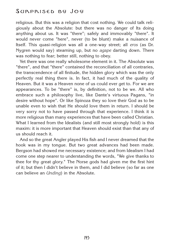religious. But this was a religion that cost nothing. We could talk religiously about the Absolute: but there was no danger of Its doing anything about us. It was "there"; safely and immovably "there". It would never come "here", never (to be blunt) make a nuisance of Itself. This quasi-religion was all a one-way street; all *eros* (as Dr. Nygren would say) steaming up, but no *agape* darting down. There was nothing to fear; better still, nothing to obey.

Yet there was one really wholesome element in it. The Absolute was "there", and that "there" contained the reconciliation of all contraries, the transcendence of all finitude, the hidden glory which was the only perfectly real thing there is. In fact, it had much of the quality of Heaven. But it was a Heaven none of us could ever get to. For we are appearances. To be "there" is, by definition, not to be we. All who embrace such a philosophy live, like Dante's virtuous Pagans, "in desire without hope". Or like Spinoza they so love their God as to be unable even to wish that He should love them in return. I should be very sorry not to have passed through that experience. I think it is more religious than many experiences that have been called Christian. What I learned from the Idealists (and still most strongly hold) is this maxim: it is more important that Heaven should exist than that any of us should reach it.

And so the great Angler played His fish and I never dreamed that the hook was in my tongue. But two great advances had been made. Bergson had showed me necessary existence; and from Idealism I had come one step nearer to understanding the words, "We give thanks to thee for thy great glory." The Norse gods had given me the first hint of it; but then I didn't believe in them, and I did believe (so far as one can believe an *Unding*) in the Absolute.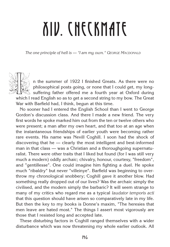# XIV. CHECKMATE

*The one principle of hell is — "I am my own." GEORGE MACDONALD* 



IN THE SUITE OF THE SUITE OF THE SUITE OF THE SUITE OF THE SUITE OF THE SUITE OF THE SUITE OF SUITE SUITE SUITE SUITE SUITE SUITE SUITE SUITE SUITE SUITE SUITE SUITE OF THE SUITE OF THE SUITE OF THE SUITE OF THE SUITE OF T philosophical posts going, or none that I could get, my longsuffering father offered me a fourth year at Oxford during which I read English so as to get a second string to my bow. The Great War with Barfield had, I think, begun at this time.

No sooner had I entered the English School than I went to George Gordon's discussion class. And there I made a new friend. The very first words he spoke marked him out from the ten or twelve others who were present; a man after my own heart, and that too at an age when the instantaneous friendships of earlier youth were becoming rather rare events. His name was Nevill Coghill. I soon had the shock of discovering that he — clearly the most intelligent and best-informed man in that class — was a Christian and a thoroughgoing supernaturalist. There were other traits that I liked but found (for I was still very much a modern) oddly archaic; chivalry, honour, courtesy, "freedom", and "gentillesse". One could imagine him fighting a duel. He spoke much "ribaldry" but never "villeinye". Barfield was beginning to overthrow my chronological snobbery; Coghill gave it another blow. Had something really dropped out of our lives? Was the archaic simply the civilised, and the modern simply the barbaric? It will seem strange to many of my critics who regard me as a typical *laudator temporis acti* that this question should have arisen so comparatively late in my life. But then the key to my books is Donne's maxim, "The heresies that men leave are hated most." The things I assert most vigorously are those that I resisted long and accepted late.

These disturbing factors in Coghill ranged themselves with a wider disturbance which was now threatening my whole earlier outlook. All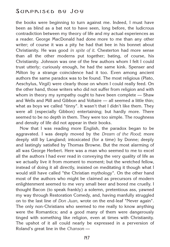the books were beginning to turn against me. Indeed, I must have been as blind as a bat not to have seen, long before, the ludicrous contradiction between my theory of life and my actual experiences as a reader. George MacDonald had done more to me than any other writer; of course it was a pity he had that bee in his bonnet about Christianity. He was good *in spite of it*. Chesterton had more sense than all the other moderns put together; bating, of course, his Christianity. Johnson was one of the few authors whom I felt I could trust utterly; curiously enough, he had the same kink. Spenser and Milton by a strange coincidence had it too. Even among ancient authors the same paradox was to be found. The most religious (Plato, Aeschylus, Virgil) were clearly those on whom I could really feed. On the other hand, those writers who did not suffer from religion and with whom in theory my sympathy ought to have been complete - Shaw and Wells and Mill and Gibbon and Voltaire — all seemed a little thin; what as boys we called "tinny". It wasn't that I didn't like them. They were all (especially Gibbon) entertaining; but hardly more. There seemed to be no depth in them. They were too simple. The roughness and density of life did not appear in their books.

Now that I was reading more English, the paradox began to be aggravated. I was deeply moved by the *Dream of the Rood*; more deeply still by Langland; intoxicated (for a time) by Donne; deeply and lastingly satisfied by Thomas Browne. But the most alarming of all was George Herbert. Here was a man who seemed to me to excel all the authors I had ever read in conveying the very quality of life as we actually live it from moment to moment; but the wretched fellow, instead of doing it all directly, insisted on meditating it though what I would still have called "the Christian mythology". On the other hand most of the authors who might be claimed as precursors of modern enlightenment seemed to me very small beer and bored me cruelly. I thought Bacon (to speak frankly) a solemn, pretentious ass, yawned my way through Restoration Comedy, and, having manfully struggled on to the last line of *Don Juan*, wrote on the end-leaf "Never again". The only non-Christians who seemed to me really to know anything were the Romantics; and a good many of them were dangerously tinged with something like religion, even at times with Christianity. The upshot of it all could nearly be expressed in a perversion of Roland's great line in the *Chanson* —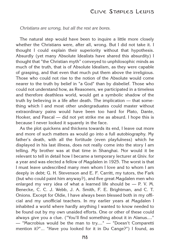*Christians are wrong, but all the rest are bores.*

The natural step would have been to inquire a little more closely whether the Christians were, after all, wrong. But I did not take it. I thought I could explain their superiority without that hypothesis. Absurdly (yet many Absolute Idealists have shared this absurdity) I thought that "the Christian myth" conveyed to unphilosophic minds as much of the truth, that is of Absolute Idealism, as they were capable of grasping, and that even that much put them above the irreligious. Those who could not rise to the notion of the Absolute would come nearer to the truth by belief in "a God" than by disbelief. Those who could not understand how, as Reasoners, we participated in a timeless and therefore deathless world, would get a symbolic shadow of the truth by believing in a life after death. The implication — that something which I and most other undergraduates could master without extraordinary pains would have been too hard for Plato, Dante, Hooker, and Pascal — did not yet strike me as absurd. I hope this is because I never looked it squarely in the face.

As the plot quickens and thickens towards its end, I leave out more and more of such matters as would go into a full autobiography. My father's death, with all the fortitude (even playfulness) which he displayed in his last illness, does not really come into the story I am telling. My brother was at that time in Shanghai. Nor would it be relevant to tell in detail how I became a temporary lecturer at Univ. for a year and was elected a fellow of Magdalen in 1925. The worst is that I must leave undescribed many men whom I love and to whom I am deeply in debt; G. H. Stevenson and E. F. Carritt, my tutors, the Fark (but who could paint him anyway?), and five great Magdalen men who enlarged my very idea of what a learned life should be  $-$  P. V. M. Benecke, C. C. J. Webb, J. A. Smith, F. E. Brightman, and C. T. Onions. Except for Oldie, I have always been blessed both in my official and my unofficial teachers. In my earlier years at Magdalen I inhabited a world where hardly anything I wanted to know needed to be found out by my own unaided efforts. One or other of these could always give you a clue. ("You'll find something about it in Alanus...." — "Macrobius would be the man to try...." — "Doesn't Comparetti mention it?"... "Have you looked for it in Du Cange?") I found, as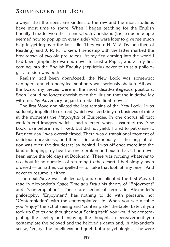always, that the ripest are kindest to the raw and the most studious have most time to spare. When I began teaching for the English Faculty, I made two other friends, both Christians (these queer people seemed now to pop up on every side) who were later to give me much help in getting over the last stile. They were H. V. V. Dyson (then of Reading) and J. R. R. Tolkien. Friendship with the latter marked the breakdown of two old prejudices. At my first coming into the world I had been (implicitly) warned never to trust a Papist, and at my first coming into the English Faculty (explicitly) never to trust a philologist. Tolkien was both.

Realism had been abandoned; the New Look was somewhat damaged; and chronological snobbery was seriously shaken. All over the board my pieces were in the most disadvantageous positions. Soon I could no longer cherish even the illusion that the initiative lay with me. My Adversary began to make His final moves.

The first Move annihilated the last remains of the New Look. I was suddenly impelled to re-read (which was certainly no business of mine at the moment) the *Hippolytus* of Euripides. In one chorus all that world's end imagery which I had rejected when I assumed my New Look rose before me. I liked, but did not yield; I tried to patronise it. But next day I was overwhelmed. There was a transitional moment of delicious uneasiness, and then  $-$  instantaneously  $-$  the long inhibition was over, the dry desert lay behind, I was off once more into the land of longing, my heart at once broken and exalted as it had never been since the old days at Bookham. There was nothing whatever to do about it; no question of returning to the desert. I had simply been ordered — or, rather, compelled — to "take that look off my face". And never to resume it either.

The next Move was intellectual, and consolidated the first Move. I read in Alexander's *Space Time and Deity* his theory of "Enjoyment" and "Contemplation". These are technical terms in Alexander's philosophy; "Enjoyment" has nothing to do with pleasure, nor "Contemplation" with the contemplative life. When you see a table you "enjoy" the act of seeing and "contemplate" the table. Later, if you took up Optics and thought about Seeing itself, you would be contemplating the seeing and enjoying the thought. In bereavement you contemplate the beloved and the beloved's death and, in Alexander's sense, "enjoy" the loneliness and grief; but a psychologist, if he were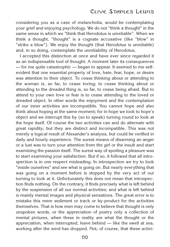considering you as a case of melancholia, would be contemplating your grief and enjoying psychology. We do not "think a thought" in the same sense in which we "think that Herodotus is unreliable". When we think a thought, "thought" is a cognate accusative (like "blow" in "strike a blow"). We enjoy the thought (that Herodotus is unreliable) and, in so doing, contemplate the unreliability of Herodotus.

I accepted this distinction at once and have ever since regarded it as an indispensable tool of thought. A moment later its consequences — for me quite catastrophic — began to appear. It seemed to me selfevident that one essential property of love, hate, fear, hope, or desire was attention to their object. To cease thinking about or attending to the woman is, so far, to cease loving; to cease thinking about or attending to the dreaded thing is, so far, to cease being afraid. But to attend to your own love or fear is to cease attending to the loved or dreaded object. In other words the enjoyment and the contemplation of our inner activities are incompatible. You cannot hope and also think about hoping at the same moment; for in hope we look to hope's object and we interrupt this by (so to speak) turning round to look at the hope itself. Of course the two activities can and do alternate with great rapidity; but they are distinct and incompatible. This was not merely a logical result of Alexander's analysis, but could be verified in daily and hourly experience. The surest means of disarming an anger or a lust was to turn your attention from the girl or the insult and start examining the passion itself. The surest way of spoiling a pleasure was to start examining your satisfaction. But if so, it followed that all introspection is in one respect misleading. In introspection we try to look "inside ourselves" and see what is going on. But nearly everything that was going on a moment before is stopped by the very act of our turning to look at it. Unfortunately this does not mean that introspection finds nothing. On the contrary, it finds precisely what is left behind by the suspension of all our normal activities; and what is left behind is mainly mental images and physical sensations. The great error is to mistake this mere sediment or track or by-product for the activities themselves. That is how men may come to believe that thought is only unspoken words, or the appreciation of poetry only a collection of mental pictures, when these in reality are what the thought or the appreciation, when interrupted, leave behind — like the swell at sea, working after the wind has dropped. Not, of course, that these activi-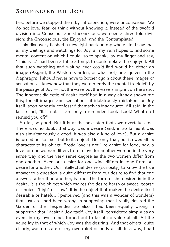ties, before we stopped them by introspection, were unconscious. We do not love, fear, or think without knowing it. Instead of the twofold division into Conscious and Unconscious, we need a three-fold division: the Unconscious, the Enjoyed, and the Contemplated.

This discovery flashed a new light back on my whole life. I saw that all my waitings and watchings for Joy, all my vain hopes to find some mental content on which I could, so to speak, lay my finger and say, "This is it," had been a futile attempt to contemplate the enjoyed. All that such watching and waiting ever *could* find would be either an image (Asgard, the Western Garden, or what not) or a quiver in the diaphragm. I should never have to bother again about these images or sensations. I knew now that they were merely the mental track left by the passage of Joy — not the wave but the wave's imprint on the sand. The inherent dialectic of desire itself had in a way already shown me this; for all images and sensations, if idolatrously mistaken for Joy itself, soon honestly confessed themselves inadequate. All said, in the last resort, "It is not I. I am only a reminder. Look! Look! What do I remind you of?"

So far, so good. But it is at the next step that awe overtakes me. There was no doubt that Joy was a desire (and, in so far as it was also simultaneously a good, it was also a kind of love). But a desire is turned not to itself but to its object. Not only that, but it owes all its character to its object. Erotic love is not like desire for food, nay, a love for one woman differs from a love for another woman in the very same way and the very same degree as the two women differ from one another. Even our desire for one wine differs in tone from our desire for another. Our intellectual desire (curiosity) to know the true answer to a question is quite different from our desire to find that one answer, rather than another, is true. The form of the desired is in the desire. It is the object which makes the desire harsh or sweet, coarse or choice, "high" or "low". It is the object that makes the desire itself desirable or hateful. I perceived (and this was a wonder of wonders) that just as I had been wrong in supposing that I really desired the Garden of the Hesperides, so also I had been equally wrong in supposing that I desired Joy itself. Joy itself, considered simply as an event in my own mind, turned out to be of no value at all. All the value lay in that of which Joy was the desiring. And that object, quite clearly, was no state of my own mind or body at all. In a way, I had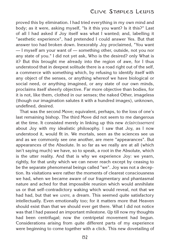proved this by elimination. I had tried everything in my own mind and body; as it were, asking myself, "Is it this you want? Is it this?" Last of all I had asked if Joy itself was what I wanted; and, labelling it "aesthetic experience", had pretended I could answer Yes. But that answer too had broken down. Inexorably Joy proclaimed, "You want — I myself am your want of — something other, outside, not you nor any state of you." I did not yet ask, Who is the desired? only What is it? But this brought me already into the region of awe, for I thus understood that in deepest solitude there is a road right out of the self, a commerce with something which, by refusing to identify itself with any object of the senses, or anything whereof we have biological or social need, or anything imagined, or any state of our own minds, proclaims itself sheerly objective. Far more objective than bodies, for it is not, like them, clothed in our senses; the naked Other, imageless (though our imagination salutes it with a hundred images), unknown, undefined, desired.

That was the second Move; equivalent, perhaps, to the loss of one's last remaining bishop. The third Move did not seem to me dangerous at the time. It consisted merely in linking up this new *éclaircissement* about Joy with my idealistic philosophy. I saw that Joy, as I now understood it, would fit in. We mortals, seen as the sciences see us and as we commonly see one another, are mere "appearances". But appearances of the Absolute. In so far as we really are at all (which isn't saying much) we have, so to speak, a root in the Absolute, which is the utter reality. And that is why we experience Joy: we yearn, rightly, for that unity which we can never reach except by ceasing to be the separate phenomenal beings called "we". Joy was not a deception. Its visitations were rather the moments of clearest consciousness we had, when we became aware of our fragmentary and phantasmal nature and ached for that impossible reunion which would annihilate us or that self-contradictory waking which would reveal, not that we had had, but that we *were*, a dream. This seemed quite satisfactory intellectually. Even emotionally too; for it matters more that Heaven should exist than that we should ever get there. What I did not notice was that I had passed an important milestone. Up till now my thoughts had been centrifugal; now the centripetal movement had begun. Considerations arising from quite different parts of my experience were beginning to come together with a click. This new dovetailing of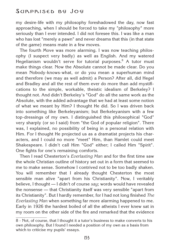my desire-life with my philosophy foreshadowed the day, now fast approaching, when I should be forced to take my "philosophy" more seriously than I ever intended. I did not foresee this. I was like a man who has lost "merely a pawn" and never dreams that this (in that state of the game) means mate in a few moves.

The fourth Move was more alarming. I was now teaching philosophy (I suspect very badly) as well as English. And my watered Hegelianism wouldn't serve for tutorial purposes.<sup>8</sup> A tutor must make things clear. Now the Absolute cannot be made clear. Do you mean Nobody-knows-what, or do you mean a superhuman mind and therefore (we may as well admit) a Person? After all, did Hegel and Bradley and all the rest of them ever do more than add mystifications to the simple, workable, theistic idealism of Berkeley? I thought not. And didn't Berkeley's "God" do all the same work as the Absolute, with the added advantage that we had at least some notion of what we meant by Him? I thought He did. So I was driven back into something like Berkeleyanism; but Berkeleyanism with a few top-dressings of my own. I distinguished this philosophical "God" very sharply (or so I said) from "the God of popular religion". There was, I explained, no possibility of being in a personal relation with Him. For I thought He projected us as a dramatist projects his characters, and I could no more "meet" Him, than Hamlet could meet Shakespeare. I didn't call Him "God" either; I called Him "Spirit". One fights for one's remaining comforts.

Then I read Chesterton's *Everlasting Man* and for the first time saw the whole Christian outline of history set out in a form that seemed to me to make sense. Somehow I contrived not to be too badly shaken. You will remember that I already thought Chesterton the most sensible man alive "apart from his Christianity". Now, I veritably believe, I thought — I didn't of course *say*; words would have revealed the nonsense — that Christianity itself was very sensible "apart from its Christianity". But I hardly remember, for I had not long finished *The Everlasting Man* when something far more alarming happened to me. Early in 1926 the hardest boiled of all the atheists I ever knew sat in my room on the other side of the fire and remarked that the evidence

<sup>8 -</sup> Not, of course, that I thought it a tutor's business to make converts to his own philosophy. But I found I needed a position of my own as a basis from which to criticise my pupils' essays.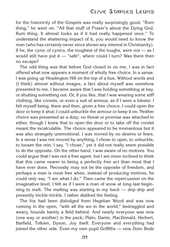for the historicity of the Gospels was really surprisingly good. "Rum thing," he went on. "All that stuff of Frazer's about the Dying God. Rum thing. It almost looks as if it had really happened once." To understand the shattering impact of it, you would need to know the man (who has certainly never since shown any interest in Christianity). If he, the cynic of cynics, the toughest of the toughs, were not  $-$  as I would still have put it — "safe", where could I turn? Was there then no escape?

The odd thing was that before God closed in on me, I was in fact offered what now appears a moment of wholly free choice. In a sense. I was going up Headington Hill on the top of a bus. Without words and (I think) almost without images, a fact about myself was somehow presented to me. I became aware that I was holding something at bay, or shutting something out. Or, if you like, that I was wearing some stiff clothing, like corsets, or even a suit of armour, as if I were a lobster. I felt myself being, there and then, given a free choice. I could open the door or keep it shut; I could unbuckle the armour or keep it on. Neither choice was presented as a duty; no threat or promise was attached to either, though I knew that to open the door or to take off the corslet meant the incalculable. The choice appeared to be momentous but it was also strangely unemotional. I was moved by no desires or fears. In a sense I was not moved by anything. I chose to open, to unbuckle, to loosen the rein. I say, "I chose," yet it did not really seem possible to do the opposite. On the other hand, I was aware of no motives. You could argue that I was not a free agent, but I am more inclined to think that this came nearer to being a perfectly free act than most that I have ever done. Necessity may not be the opposite of freedom, and perhaps a man is most free when, instead of producing motives, he could only say, "I am what I do." Then came the repercussion on the imaginative level. I felt as if I were a man of snow at long last beginning to melt. The melting was starting in my back — drip-drip and presently trickle-trickle. I rather disliked the feeling.

The fox had been dislodged from Hegelian Wood and was now running in the open, "with all the wo in the world," bedraggled and weary, hounds barely a field behind. And nearly everyone was now (one way or another) in the pack; Plato, Dante, MacDonald, Herbert, Barfield, Tolkien, Dyson, Joy itself. Everyone and everything had joined the other side. Even my own pupil Griffiths — now Dom Bede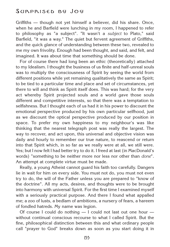Griffiths — though not yet himself a believer, did his share. Once, when he and Barfield were lunching in my room, I happened to refer to philosophy as "a subject". "It wasn't a *subject* to Plato," said Barfield, "it was a way." The quiet but fervent agreement of Griffiths, and the quick glance of understanding between these two, revealed to me my own frivolity. Enough had been thought, and said, and felt, and imagined. It was about time that something should be done.

For of course there had long been an ethic (theoretically) attached to my Idealism. I thought the business of us finite and half-unreal souls was to multiply the consciousness of Spirit by seeing the world from different positions while yet remaining qualitatively the same as Spirit; to be tied to a particular time and place and set of circumstances, yet there to will and think as Spirit itself does. This was hard; for the very act whereby Spirit projected souls and a world gave those souls different and competitive interests, so that there was a temptation to selfishness. But I thought each of us had it in his power to discount the emotional perspective produced by his own particular selfhood, just as we discount the optical perspective produced by our position in space. To prefer my own happiness to my neighbour's was like thinking that the nearest telegraph post was really the largest. The way to recover, and act upon, this universal and objective vision was daily and hourly to remember our true nature, to reascend or return into that Spirit which, in so far as we really were at all, we still were. Yes; but I now felt I had better try to do it. I freed at last (in MacDonald's words) "something to be neither more nor less nor other than *done*". An attempt at complete virtue must be made.

Really, a young Atheist cannot guard his faith too carefully. Dangers lie in wait for him on every side. You must not do, you must not even try to do, the will of the Father unless you are prepared to "know of the doctrine". All my acts, desires, and thoughts were to be brought into harmony with universal Spirit. For the first time I examined myself with a seriously practical purpose. And there I found what appalled me; a zoo of lusts, a bedlam of ambitions, a nursery of fears, a hareem of fondled hatreds. My name was legion.

Of course I could do nothing — I could not last out one hour without continual conscious recourse to what I called Spirit. But the fine, philosophical distinction between this and what ordinary people call "prayer to God" breaks down as soon as you start doing it in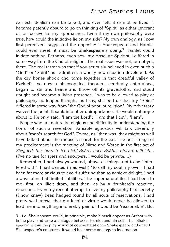earnest. Idealism can be talked, and even felt; it cannot be lived. It became patently absurd to go on thinking of "Spirit" as either ignorant of, or passive to, my approaches. Even if my own philosophy were true, how could the initiative lie on my side? My own analogy, as I now first perceived, suggested the opposite: if Shakespeare and Hamlet could ever meet, it must be Shakespeare's doing.<sup>9</sup> Hamlet could initiate nothing. Perhaps, even now, my Absolute Spirit still differed in some way from the God of religion. The real issue was not, or not yet, there. The real terror was that if you seriously believed in even such a "God" or "Spirit" as I admitted, a wholly new situation developed. As the dry bones shook and came together in that dreadful valley of Ezekiel's, so now a philosophical theorem, cerebrally entertained, began to stir and heave and throw off its gravecloths, and stood upright and became a living presence. I was to be allowed to play at philosophy no longer. It might, as I say, still be true that my "Spirit" differed in some way from "the God of popular religion". My Adversary waived the point. It sank into utter unimportance. He would not argue about it. He only said, "I am the Lord"; "I am that I am"; "I am".

People who are naturally religious find difficulty in understanding the horror of such a revelation. Amiable agnostics will talk cheerfully about "man's search for God". To me, as I then was, they might as well have talked about the mouse's search for the cat. The best image of my predicament is the meeting of Mime and Wotan in the first act of *Siegfried*; *hier brauch' ich nicht Spärer noch Späher, Einsam will ich*... (I've no use for spies and snoopers. I would be private....)

Remember, I had always wanted, above all things, not to be "interfered with". I had wanted (mad wish) "to call my soul my own". I had been far more anxious to avoid suffering than to achieve delight. I had always aimed at limited liabilities. The supernatural itself had been to me, first, an illicit dram, and then, as by a drunkard's reaction, nauseous. Even my recent attempt to live my philosophy had secretly (I now knew) been hedged round by all sorts of reservations. I had pretty well known that my ideal of virtue would never be allowed to lead me into anything intolerably painful; I would be "reasonable". But

<sup>9 -</sup> i.e. Shakespeare could, in principle, make himself appear as Author within the play, and write a dialogue between Hamlet and himself. The "Shakespeare" within the play would of course be at once Shakespeare and one of Shakespeare's creatures. It would bear some analogy to Incarnation.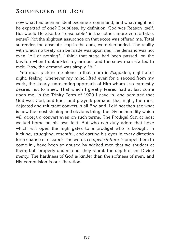now what had been an ideal became a command; and what might not be expected of one? Doubtless, by definition, God was Reason itself. But would He also be "reasonable" in that other, more comfortable, sense? Not the slightest assurance on that score was offered me. Total surrender, the absolute leap in the dark, were demanded. The reality with which no treaty can be made was upon me. The demand was not even "All or nothing". I think that stage had been passed, on the bus-top when I unbuckled my armour and the snow-man started to melt. Now, the demand was simply "All".

You must picture me alone in that room in Magdalen, night after night, feeling, whenever my mind lifted even for a second from my work, the steady, unrelenting approach of Him whom I so earnestly desired not to meet. That which I greatly feared had at last come upon me. In the Trinity Term of 1929 I gave in, and admitted that God was God, and knelt and prayed: perhaps, that night, the most dejected and reluctant convert in all England. I did not then see what is now the most shining and obvious thing; the Divine humility which will accept a convert even on such terms. The Prodigal Son at least walked home on his own feet. But who can duly adore that Love which will open the high gates to a prodigal who is brought in kicking, struggling, resentful, and darting his eyes in every direction for a chance of escape? The words *compelle intrare*, 'compel them to come in', have been so abused by wicked men that we shudder at them; but, properly understood, they plumb the depth of the Divine mercy. The hardness of God is kinder than the softness of men, and His compulsion is our liberation.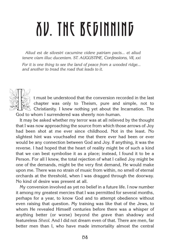# XV. THE BEGINNING

*Aliud est de silvestri cacumine videre patriam pacis... et aliud tenere viam illuc ducentem. ST. AUGUSTINE, Confessions, VII, xxi*

*For it is one thing to see the land of peace from a wooded ridge... and another to tread the road that leads to it.*



t must be understood that the conversion recorded in the last chapter was only to Theism, pure and simple, not to Christianity. I knew nothing yet about the Incarnation. The God to whom I surrendered was sheerly non-human.

It may be asked whether my terror was at all relieved by the thought that I was now approaching the source from which those arrows of Joy had been shot at me ever since childhood. Not in the least. No slightest hint was vouchsafed me that there ever had been or ever would be any connection between God and Joy. If anything, it was the reverse. I had hoped that the heart of reality might be of such a kind that we can best symbolise it as a place; instead, I found it to be a Person. For all I knew, the total rejection of what I called Joy might be one of the demands, might be the very first demand, He would make upon me. There was no strain of music from within, no smell of eternal orchards at the threshold, when I was dragged through the doorway. No kind of desire was present at all.

My conversion involved as yet no belief in a future life. I now number it among my greatest mercies that I was permitted for several months, perhaps for a year, to know God and to attempt obedience without even raising that question. My training was like that of the Jews, to whom He revealed Himself centuries before there was a whisper of anything better (or worse) beyond the grave than shadowy and featureless *Sheol*. And I did not dream even of that. There are men, far better men than I, who have made immortality almost the central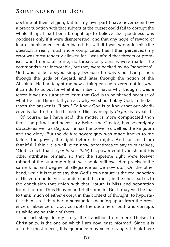doctrine of their religion; but for my own part I have never seen how a preoccupation with that subject at the outset could fail to corrupt the whole thing. I had been brought up to believe that goodness was goodness only if it were disinterested, and that any hope of reward or fear of punishment contaminated the will. If I was wrong in this (the question is really much more complicated than I then perceived) my error was most tenderly allowed for. I was afraid that threats or promises would demoralise me; no threats or promises were made. The commands were inexorable, but they were backed by no "sanctions". God was to be obeyed simply because he was God. Long since, through the gods of Asgard, and later through the notion of the Absolute, He had taught me how a thing can be revered not for what it can do to us but for what it is in itself. That is why, though it was a terror, it was no surprise to learn that God is to be obeyed because of what He is in Himself. If you ask why we should obey God, in the last resort the answer is, "I am." To know God is to know that our obedience is due to Him. In His nature His sovereignty *de jure* is revealed.

Of course, as I have said, the matter is more complicated than that. The primal and necessary Being, the Creator, has sovereignty *de facto* as well as *de jure*. He has the power as well as the kingdom and the glory. But the *de jure* sovereignty was made known to me before the power, the right before the might. And for this I am thankful. I think it is well, even now, sometimes to say to ourselves, "God is such that if (*per impossibile*) his power could vanish and His other attributes remain, so that the supreme right were forever robbed of the supreme might, we should still owe Him precisely the same kind and degree of allegiance as we now do." On the other hand, while it is true to say that God's own nature is the real sanction of His commands, yet to understand this must, in the end, lead us to the conclusion that union with that Nature is bliss and separation from it horror. Thus Heaven and Hell come in. But it may well be that to think much of either except in this context of thought, to hypostatise them as if they had a substantial meaning apart from the presence or absence of God, corrupts the doctrine of both and corrupts us while we so think of them.

The last stage in my story, the transition from mere Theism to Christianity, is the one on which I am now least informed. Since it is also the most recent, this ignorance may seem strange. I think there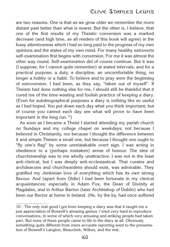are two reasons. One is that as we grow older we remember the more distant past better than what is nearer. But the other is, I believe, that one of the first results of my Theistic conversion was a marked decrease (and high time, as all readers of this book will agree) in the fussy attentiveness which I had so long paid to the progress of my own opinions and the states of my own mind. For many healthy extroverts self-examination first begins with conversion. For me it was almost the other way round. Self-examination did of course continue. But it was (I suppose, for I cannot quite remember) at stated intervals, and for a practical purpose; a duty, a discipline, an uncomfortable thing, no longer a hobby or a habit. To believe and to pray were the beginning of extroversion. I had been, as they say, "taken out of myself". If Theism had done nothing else for me, I should still be thankful that it cured me of the time-wasting and foolish practice of keeping a diary. (Even for autobiographical purposes a diary is nothing like so useful as I had hoped. You put down each day what you think important; but of course you cannot each day see what will prove to have been important in the long run.<sup>10</sup>)

As soon as I became a Theist I started attending my parish church on Sundays and my college chapel on weekdays; not because I believed in Christianity, nor because I thought the difference between it and simple Theism a small one, but because I thought one ought to "fly one's flag" by some unmistakable overt sign. I was acting in obedience to a (perhaps mistaken) sense of honour. The idea of churchmanship was to me wholly unattractive. I was not in the least anti-clerical, but I was deeply anti-ecclesiastical. That curates and archdeacons and churchwardens should exist, was admirable. They gratified my Jenkinian love of everything which has its own strong flavour. And (apart from Oldie) I had been fortunate in my clerical acquaintances; especially in Adam Fox, the Dean of Divinity at Magdalen, and in Arthur Barton (later Archbishop of Dublin) who had been our Rector at home in Ireland. (He, by the by, had once suffered

<sup>10 -</sup> The only real good I got from keeping a diary was that it taught me a just appreciation of Boswell's amazing genius. I tried very hard to reproduce conversations, in some of which very amusing and striking people had taken part. But none of these people came to life in the diary at all. Obviously something quite different from mere accurate reporting went to the presentation of Boswell's Langton, Beauclerk, Wilkes, and the rest.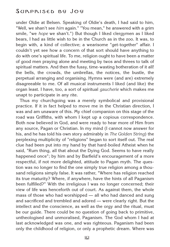under Oldie at Belsen. Speaking of Oldie's death, I had said to him, "Well, we shan't see *him* again." "You mean," he answered with a grim smile, "we *hope* we shan't.") But though I liked clergymen as I liked bears, I had as little wish to be in the Church as in the zoo. It was, to begin with, a kind of collective; a wearisome "get-together" affair. I couldn't yet see how a concern of that sort should have anything to do with one's spiritual life. To me, religion ought to have been a matter of good men praying alone and meeting by twos and threes to talk of spiritual matters. And then the fussy, time-wasting botheration of it all! the bells, the crowds, the umbrellas, the notices, the bustle, the perpetual arranging and organising. Hymns were (and are) extremely disagreeable to me. Of all musical instruments I liked (and like) the organ least. I have, too, a sort of spiritual *gaucherie* which makes me unapt to participate in any rite.

Thus my churchgoing was a merely symbolical and provisional practice. If it in fact helped to move me in the Christian direction, I was and am unaware of this. My chief companion on this stage of the road was Griffiths, with whom I kept up a copious correspondence. Both now believed in God, and were ready to hear more of Him from any source, Pagan or Christian. In my mind (I cannot now answer for his, and he has told his own story admirably in *The Golden String*) the perplexing multiplicity of "religions" began to sort itself out. The real clue had been put into my hand by that hard-boiled Atheist when he said, "Rum thing, all that about the Dying God. Seems to have really happened once"; by him and by Barfield's encouragement of a more respectful, if not more delighted, attitude to Pagan myth. The question was no longer to find the one simply true religion among a thousand religions simply false. It was rather, "Where has religion reached its true maturity? Where, if anywhere, have the hints of all Paganism been fulfilled?" With the irreligious I was no longer concerned; their view of life was henceforth out of court. As against them, the whole mass of those who had worshipped — all who had danced and sung and sacrificed and trembled and adored — were clearly right. But the intellect and the conscience, as well as the orgy and the ritual, must be our guide. There could be no question of going back to primitive, untheologised and unmoralised, Paganism. The God whom I had at last acknowledged was one, and was righteous. Paganism had been only the childhood of religion, or only a prophetic dream. Where was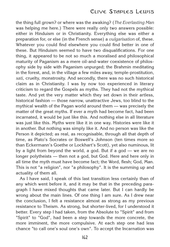the thing full grown? or where was the awaking? (*The Everlasting Man* was helping me here.) There were really only two answers possible: either in Hinduism or in Christianity. Everything else was either a preparation for, or else (in the French sense) a *vulgarisation* of, these. Whatever you could find elsewhere you could find better in one of these. But Hinduism seemed to have two disqualifications. For one thing, it appeared to be not so much a moralised and philosophical maturity of Paganism as a mere oil-and-water coexistence of philosophy side by side with Paganism unpurged; the Brahmin meditating in the forest, and, in the village a few miles away, temple-prostitution, *sati*, cruelty, monstrosity. And secondly, there was no such historical claim as in Christianity. I was by now too experienced in literary criticism to regard the Gospels as myths. They had not the mythical taste. And yet the very matter which they set down in their artless, historical fashion — those narrow, unattractive Jews, too blind to the mythical wealth of the Pagan world around them — was precisely the matter of the great myths. If ever a myth had become fact, had been incarnated, it would be just like this. And nothing else in all literature was just like this. Myths were like it in one way. Histories were like it in another. But nothing was simply like it. And no person was like the Person it depicted; as real, as recognisable, through all that depth of time, as Plato's Socrates or Boswell's Johnson (ten times more so than Eckermann's Goethe or Lockhart's Scott), yet also numinous, lit by a light from beyond the world, a god. But if a god — we are no longer polytheists — then not a god, but God. Here and here only in all time the myth must have become fact; the Word, flesh; God, Man. This is not "a religion", nor "a philosophy". It is the summing up and actuality of them all.

As I have said, I speak of this last transition less certainly than of any which went before it, and it may be that in the preceding paragraph I have mixed thoughts that came later. But I can hardly be wrong about the main lines. Of one thing I am sure. As I drew near the conclusion, I felt a resistance almost as strong as my previous resistance to Theism. As strong, but shorter-lived, for I understood it better. Every step I had taken, from the Absolute to "Spirit" and from "Spirit" to "God", had been a step towards the more concrete, the more imminent, the more compulsive. At each step one had less chance "to call one's soul one's own". To accept the Incarnation was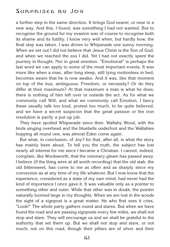a further step in the same direction. It brings God nearer, or near in a new way. And this, I found, was something I had not wanted. But to recognise the ground for my evasion was of course to recognise both its shame and its futility. I know very well when, but hardly how, the final step was taken. I was driven to Whipsnade one sunny morning. When we set out I did not believe that Jesus Christ is the Son of God, and when we reached the zoo I did. Yet I had not exactly spent the journey in thought. Nor in great emotion. "Emotional" is perhaps the last word we can apply to some of the most important events. It was more like when a man, after long sleep, still lying motionless in bed, becomes aware that he is now awake. And it was, like that moment on top of the bus, ambiguous. Freedom, or necessity? Or do they differ at their maximum? At that maximum a man is what he does; there is nothing of him left over or outside the act. As for what we commonly call Will, and what we commonly call Emotion, I fancy these usually talk too loud, protest too much, to be quite believed, and we have a secret suspicion that the great passion or the iron resolution is partly a put-up job.

They have spoiled Whipsnade since then. Wallaby Wood, with the birds singing overhead and the bluebells underfoot and the Wallabies hopping all round one, was almost Eden come again.

But what, in conclusion, of Joy? for that, after all, is what the story has mainly been about. To tell you the truth, the subject has lost nearly all interest for me since I became a Christian. I cannot, indeed, complain, like Wordsworth, that the visionary gleam has passed away. I believe (if the thing were at all worth recording) that the old stab, the old bittersweet, has come to me as often and as sharply since my conversion as at any time of my life whatever. But I now know that the experience, considered as a state of my own mind, had never had the kind of importance I once gave it. It was valuable only as a pointer to something other and outer. While that other was in doubt, the pointer naturally loomed large in my thoughts. When we are lost in the woods the sight of a signpost is a great matter. He who first sees it cries, "Look!" The whole party gathers round and stares. But when we have found the road and are passing signposts every few miles, we shall not stop and stare. They will encourage us and we shall be grateful to the authority that set them up. But we shall not stop and stare, or not much; not on this road, though their pillars are of silver and their